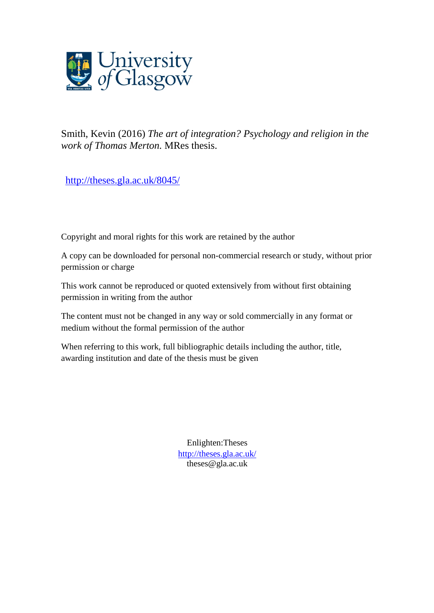

Smith, Kevin (2016) *The art of integration? Psychology and religion in the work of Thomas Merton.* MRes thesis.

<http://theses.gla.ac.uk/8045/>

Copyright and moral rights for this work are retained by the author

A copy can be downloaded for personal non-commercial research or study, without prior permission or charge

This work cannot be reproduced or quoted extensively from without first obtaining permission in writing from the author

The content must not be changed in any way or sold commercially in any format or medium without the formal permission of the author

When referring to this work, full bibliographic details including the author, title, awarding institution and date of the thesis must be given

> Enlighten:Theses <http://theses.gla.ac.uk/> [theses@gla.ac.uk](mailto:theses@gla.ac.uk)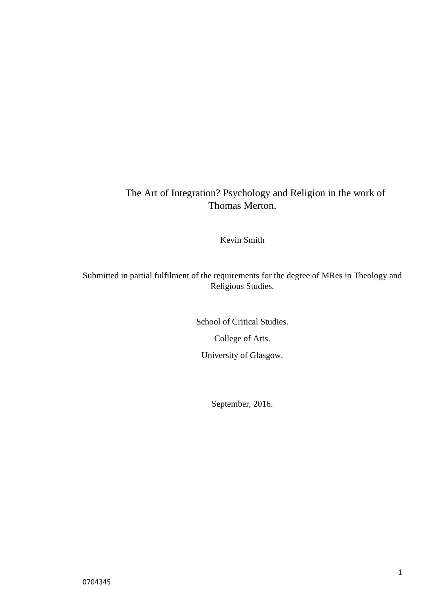# The Art of Integration? Psychology and Religion in the work of Thomas Merton.

Kevin Smith

Submitted in partial fulfilment of the requirements for the degree of MRes in Theology and Religious Studies.

> School of Critical Studies. College of Arts. University of Glasgow.

> > September, 2016.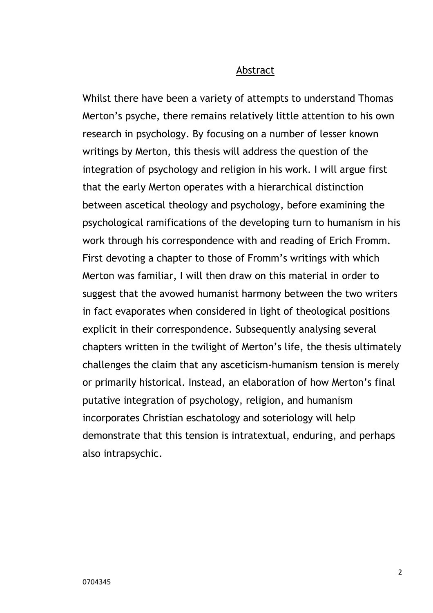## Abstract

Whilst there have been a variety of attempts to understand Thomas Merton's psyche, there remains relatively little attention to his own research in psychology. By focusing on a number of lesser known writings by Merton, this thesis will address the question of the integration of psychology and religion in his work. I will argue first that the early Merton operates with a hierarchical distinction between ascetical theology and psychology, before examining the psychological ramifications of the developing turn to humanism in his work through his correspondence with and reading of Erich Fromm. First devoting a chapter to those of Fromm's writings with which Merton was familiar, I will then draw on this material in order to suggest that the avowed humanist harmony between the two writers in fact evaporates when considered in light of theological positions explicit in their correspondence. Subsequently analysing several chapters written in the twilight of Merton's life, the thesis ultimately challenges the claim that any asceticism-humanism tension is merely or primarily historical. Instead, an elaboration of how Merton's final putative integration of psychology, religion, and humanism incorporates Christian eschatology and soteriology will help demonstrate that this tension is intratextual, enduring, and perhaps also intrapsychic.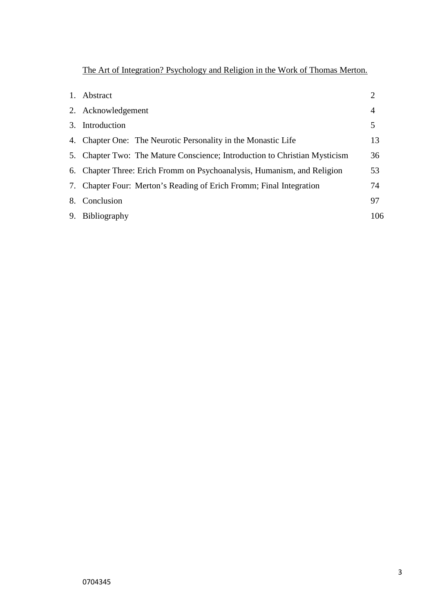The Art of Integration? Psychology and Religion in the Work of Thomas Merton.

| 1. | Abstract                                                                   | 2   |
|----|----------------------------------------------------------------------------|-----|
|    | 2. Acknowledgement                                                         | 4   |
|    | 3. Introduction                                                            | 5   |
|    | 4. Chapter One: The Neurotic Personality in the Monastic Life              | 13  |
|    | 5. Chapter Two: The Mature Conscience; Introduction to Christian Mysticism | 36  |
|    | 6. Chapter Three: Erich Fromm on Psychoanalysis, Humanism, and Religion    | 53  |
|    | 7. Chapter Four: Merton's Reading of Erich Fromm; Final Integration        | 74  |
|    | 8. Conclusion                                                              | 97  |
|    | 9. Bibliography                                                            | 106 |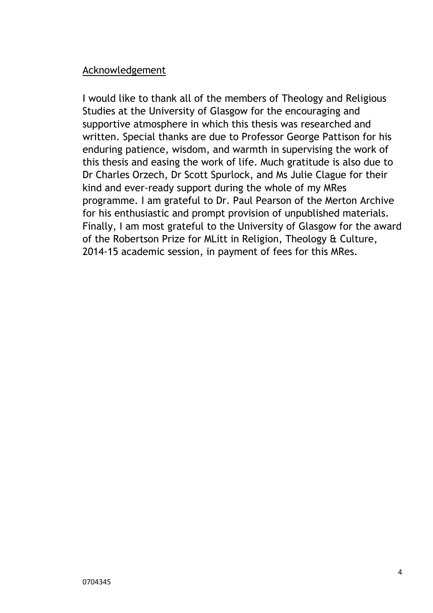# Acknowledgement

I would like to thank all of the members of Theology and Religious Studies at the University of Glasgow for the encouraging and supportive atmosphere in which this thesis was researched and written. Special thanks are due to Professor George Pattison for his enduring patience, wisdom, and warmth in supervising the work of this thesis and easing the work of life. Much gratitude is also due to Dr Charles Orzech, Dr Scott Spurlock, and Ms Julie Clague for their kind and ever-ready support during the whole of my MRes programme. I am grateful to Dr. Paul Pearson of the Merton Archive for his enthusiastic and prompt provision of unpublished materials. Finally, I am most grateful to the University of Glasgow for the award of the Robertson Prize for MLitt in Religion, Theology & Culture, 2014-15 academic session, in payment of fees for this MRes.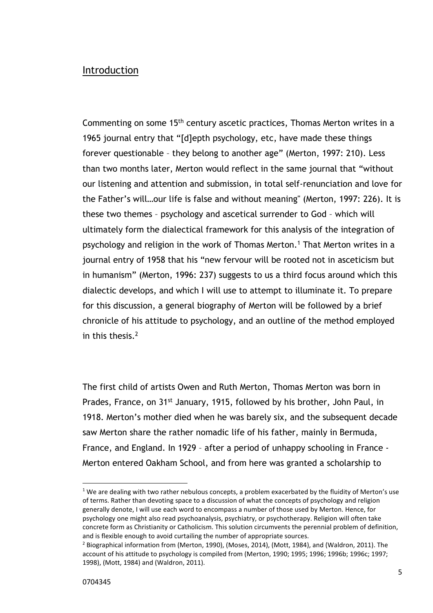## Introduction

Commenting on some 15<sup>th</sup> century ascetic practices, Thomas Merton writes in a 1965 journal entry that "[d]epth psychology, etc, have made these things forever questionable – they belong to another age" (Merton, 1997: 210). Less than two months later, Merton would reflect in the same journal that "without our listening and attention and submission, in total self-renunciation and love for the Father's will…our life is false and without meaning" (Merton, 1997: 226). It is these two themes – psychology and ascetical surrender to God – which will ultimately form the dialectical framework for this analysis of the integration of psychology and religion in the work of Thomas Merton.<sup>1</sup> That Merton writes in a journal entry of 1958 that his "new fervour will be rooted not in asceticism but in humanism" (Merton, 1996: 237) suggests to us a third focus around which this dialectic develops, and which I will use to attempt to illuminate it. To prepare for this discussion, a general biography of Merton will be followed by a brief chronicle of his attitude to psychology, and an outline of the method employed in this thesis. $<sup>2</sup>$ </sup>

The first child of artists Owen and Ruth Merton, Thomas Merton was born in Prades, France, on 31<sup>st</sup> January, 1915, followed by his brother, John Paul, in 1918. Merton's mother died when he was barely six, and the subsequent decade saw Merton share the rather nomadic life of his father, mainly in Bermuda, France, and England. In 1929 – after a period of unhappy schooling in France - Merton entered Oakham School, and from here was granted a scholarship to

 $1$  We are dealing with two rather nebulous concepts, a problem exacerbated by the fluidity of Merton's use of terms. Rather than devoting space to a discussion of what the concepts of psychology and religion generally denote, I will use each word to encompass a number of those used by Merton. Hence, for psychology one might also read psychoanalysis, psychiatry, or psychotherapy. Religion will often take concrete form as Christianity or Catholicism. This solution circumvents the perennial problem of definition, and is flexible enough to avoid curtailing the number of appropriate sources.

<sup>&</sup>lt;sup>2</sup> Biographical information from (Merton, 1990), (Moses, 2014), (Mott, 1984), and (Waldron, 2011). The account of his attitude to psychology is compiled from (Merton, 1990; 1995; 1996; 1996b; 1996c; 1997; 1998), (Mott, 1984) and (Waldron, 2011).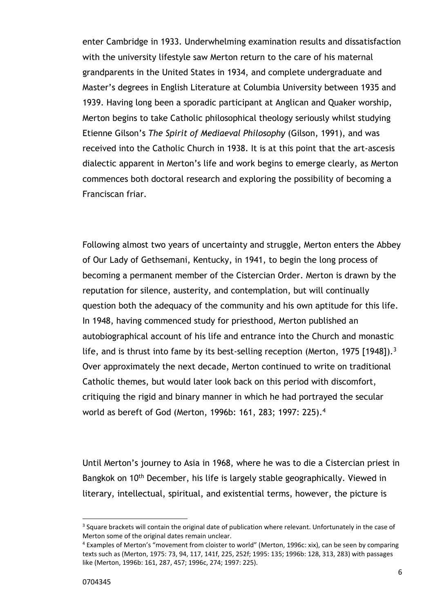enter Cambridge in 1933. Underwhelming examination results and dissatisfaction with the university lifestyle saw Merton return to the care of his maternal grandparents in the United States in 1934, and complete undergraduate and Master's degrees in English Literature at Columbia University between 1935 and 1939. Having long been a sporadic participant at Anglican and Quaker worship, Merton begins to take Catholic philosophical theology seriously whilst studying Etienne Gilson's *The Spirit of Mediaeval Philosophy* (Gilson, 1991), and was received into the Catholic Church in 1938. It is at this point that the art-ascesis dialectic apparent in Merton's life and work begins to emerge clearly, as Merton commences both doctoral research and exploring the possibility of becoming a Franciscan friar.

Following almost two years of uncertainty and struggle, Merton enters the Abbey of Our Lady of Gethsemani, Kentucky, in 1941, to begin the long process of becoming a permanent member of the Cistercian Order. Merton is drawn by the reputation for silence, austerity, and contemplation, but will continually question both the adequacy of the community and his own aptitude for this life. In 1948, having commenced study for priesthood, Merton published an autobiographical account of his life and entrance into the Church and monastic life, and is thrust into fame by its best-selling reception (Merton, 1975  $[1948]$ ).<sup>3</sup> Over approximately the next decade, Merton continued to write on traditional Catholic themes, but would later look back on this period with discomfort, critiquing the rigid and binary manner in which he had portrayed the secular world as bereft of God (Merton, 1996b: 161, 283; 1997: 225).<sup>4</sup>

Until Merton's journey to Asia in 1968, where he was to die a Cistercian priest in Bangkok on 10<sup>th</sup> December, his life is largely stable geographically. Viewed in literary, intellectual, spiritual, and existential terms, however, the picture is

<sup>&</sup>lt;sup>3</sup> Square brackets will contain the original date of publication where relevant. Unfortunately in the case of Merton some of the original dates remain unclear.

<sup>&</sup>lt;sup>4</sup> Examples of Merton's "movement from cloister to world" (Merton, 1996c: xix), can be seen by comparing texts such as (Merton, 1975: 73, 94, 117, 141f, 225, 252f; 1995: 135; 1996b: 128, 313, 283) with passages like (Merton, 1996b: 161, 287, 457; 1996c, 274; 1997: 225).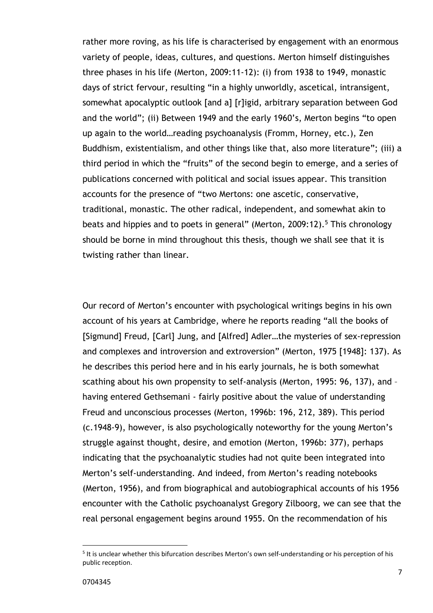rather more roving, as his life is characterised by engagement with an enormous variety of people, ideas, cultures, and questions. Merton himself distinguishes three phases in his life (Merton, 2009:11-12): (i) from 1938 to 1949, monastic days of strict fervour, resulting "in a highly unworldly, ascetical, intransigent, somewhat apocalyptic outlook [and a] [r]igid, arbitrary separation between God and the world"; (ii) Between 1949 and the early 1960's, Merton begins "to open up again to the world…reading psychoanalysis (Fromm, Horney, etc.), Zen Buddhism, existentialism, and other things like that, also more literature"; (iii) a third period in which the "fruits" of the second begin to emerge, and a series of publications concerned with political and social issues appear. This transition accounts for the presence of "two Mertons: one ascetic, conservative, traditional, monastic. The other radical, independent, and somewhat akin to beats and hippies and to poets in general" (Merton, 2009:12).<sup>5</sup> This chronology should be borne in mind throughout this thesis, though we shall see that it is twisting rather than linear.

Our record of Merton's encounter with psychological writings begins in his own account of his years at Cambridge, where he reports reading "all the books of [Sigmund] Freud, [Carl] Jung, and [Alfred] Adler…the mysteries of sex-repression and complexes and introversion and extroversion" (Merton, 1975 [1948]: 137). As he describes this period here and in his early journals, he is both somewhat scathing about his own propensity to self-analysis (Merton, 1995: 96, 137), and – having entered Gethsemani - fairly positive about the value of understanding Freud and unconscious processes (Merton, 1996b: 196, 212, 389). This period (c.1948-9), however, is also psychologically noteworthy for the young Merton's struggle against thought, desire, and emotion (Merton, 1996b: 377), perhaps indicating that the psychoanalytic studies had not quite been integrated into Merton's self-understanding. And indeed, from Merton's reading notebooks (Merton, 1956), and from biographical and autobiographical accounts of his 1956 encounter with the Catholic psychoanalyst Gregory Zilboorg, we can see that the real personal engagement begins around 1955. On the recommendation of his

<sup>&</sup>lt;sup>5</sup> It is unclear whether this bifurcation describes Merton's own self-understanding or his perception of his public reception.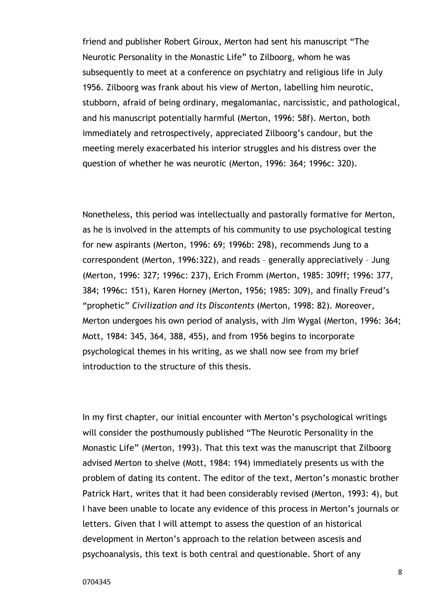friend and publisher Robert Giroux, Merton had sent his manuscript "The Neurotic Personality in the Monastic Life" to Zilboorg, whom he was subsequently to meet at a conference on psychiatry and religious life in July 1956. Zilboorg was frank about his view of Merton, labelling him neurotic, stubborn, afraid of being ordinary, megalomaniac, narcissistic, and pathological, and his manuscript potentially harmful (Merton, 1996: 58f). Merton, both immediately and retrospectively, appreciated Zilboorg's candour, but the meeting merely exacerbated his interior struggles and his distress over the question of whether he was neurotic (Merton, 1996: 364; 1996c: 320).

Nonetheless, this period was intellectually and pastorally formative for Merton, as he is involved in the attempts of his community to use psychological testing for new aspirants (Merton, 1996: 69; 1996b: 298), recommends Jung to a correspondent (Merton, 1996:322), and reads – generally appreciatively – Jung (Merton, 1996: 327; 1996c: 237), Erich Fromm (Merton, 1985: 309ff; 1996: 377, 384; 1996c: 151), Karen Horney (Merton, 1956; 1985: 309), and finally Freud's "prophetic" *Civilization and its Discontents* (Merton, 1998: 82). Moreover, Merton undergoes his own period of analysis, with Jim Wygal (Merton, 1996: 364; Mott, 1984: 345, 364, 388, 455), and from 1956 begins to incorporate psychological themes in his writing, as we shall now see from my brief introduction to the structure of this thesis.

In my first chapter, our initial encounter with Merton's psychological writings will consider the posthumously published "The Neurotic Personality in the Monastic Life" (Merton, 1993). That this text was the manuscript that Zilboorg advised Merton to shelve (Mott, 1984: 194) immediately presents us with the problem of dating its content. The editor of the text, Merton's monastic brother Patrick Hart, writes that it had been considerably revised (Merton, 1993: 4), but I have been unable to locate any evidence of this process in Merton's journals or letters. Given that I will attempt to assess the question of an historical development in Merton's approach to the relation between ascesis and psychoanalysis, this text is both central and questionable. Short of any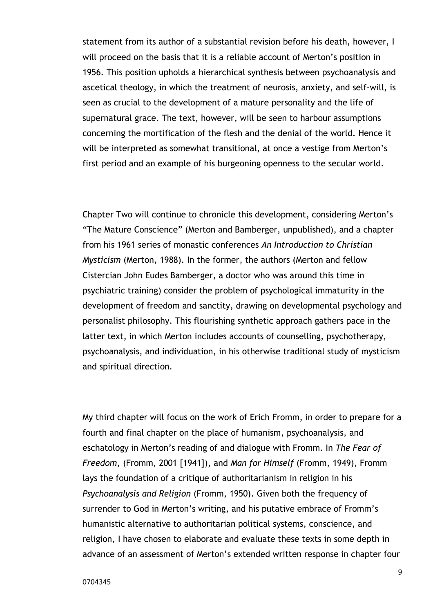statement from its author of a substantial revision before his death, however, I will proceed on the basis that it is a reliable account of Merton's position in 1956. This position upholds a hierarchical synthesis between psychoanalysis and ascetical theology, in which the treatment of neurosis, anxiety, and self-will, is seen as crucial to the development of a mature personality and the life of supernatural grace. The text, however, will be seen to harbour assumptions concerning the mortification of the flesh and the denial of the world. Hence it will be interpreted as somewhat transitional, at once a vestige from Merton's first period and an example of his burgeoning openness to the secular world.

Chapter Two will continue to chronicle this development, considering Merton's "The Mature Conscience" (Merton and Bamberger, unpublished), and a chapter from his 1961 series of monastic conferences *An Introduction to Christian Mysticism* (Merton, 1988). In the former, the authors (Merton and fellow Cistercian John Eudes Bamberger, a doctor who was around this time in psychiatric training) consider the problem of psychological immaturity in the development of freedom and sanctity, drawing on developmental psychology and personalist philosophy. This flourishing synthetic approach gathers pace in the latter text, in which Merton includes accounts of counselling, psychotherapy, psychoanalysis, and individuation, in his otherwise traditional study of mysticism and spiritual direction.

My third chapter will focus on the work of Erich Fromm, in order to prepare for a fourth and final chapter on the place of humanism, psychoanalysis, and eschatology in Merton's reading of and dialogue with Fromm. In *The Fear of Freedom*, (Fromm, 2001 [1941]), and *Man for Himself* (Fromm, 1949), Fromm lays the foundation of a critique of authoritarianism in religion in his *Psychoanalysis and Religion* (Fromm, 1950). Given both the frequency of surrender to God in Merton's writing, and his putative embrace of Fromm's humanistic alternative to authoritarian political systems, conscience, and religion, I have chosen to elaborate and evaluate these texts in some depth in advance of an assessment of Merton's extended written response in chapter four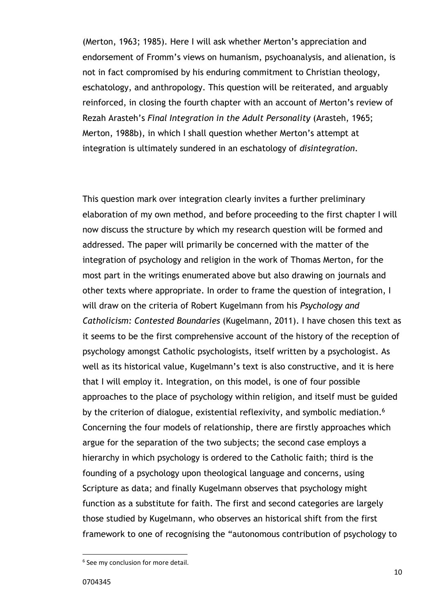(Merton, 1963; 1985). Here I will ask whether Merton's appreciation and endorsement of Fromm's views on humanism, psychoanalysis, and alienation, is not in fact compromised by his enduring commitment to Christian theology, eschatology, and anthropology. This question will be reiterated, and arguably reinforced, in closing the fourth chapter with an account of Merton's review of Rezah Arasteh's *Final Integration in the Adult Personality* (Arasteh, 1965; Merton, 1988b), in which I shall question whether Merton's attempt at integration is ultimately sundered in an eschatology of *disintegration*.

This question mark over integration clearly invites a further preliminary elaboration of my own method, and before proceeding to the first chapter I will now discuss the structure by which my research question will be formed and addressed. The paper will primarily be concerned with the matter of the integration of psychology and religion in the work of Thomas Merton, for the most part in the writings enumerated above but also drawing on journals and other texts where appropriate. In order to frame the question of integration, I will draw on the criteria of Robert Kugelmann from his *Psychology and Catholicism: Contested Boundaries* (Kugelmann, 2011). I have chosen this text as it seems to be the first comprehensive account of the history of the reception of psychology amongst Catholic psychologists, itself written by a psychologist. As well as its historical value, Kugelmann's text is also constructive, and it is here that I will employ it. Integration, on this model, is one of four possible approaches to the place of psychology within religion, and itself must be guided by the criterion of dialogue, existential reflexivity, and symbolic mediation.<sup>6</sup> Concerning the four models of relationship, there are firstly approaches which argue for the separation of the two subjects; the second case employs a hierarchy in which psychology is ordered to the Catholic faith; third is the founding of a psychology upon theological language and concerns, using Scripture as data; and finally Kugelmann observes that psychology might function as a substitute for faith. The first and second categories are largely those studied by Kugelmann, who observes an historical shift from the first framework to one of recognising the "autonomous contribution of psychology to

<sup>&</sup>lt;sup>6</sup> See my conclusion for more detail.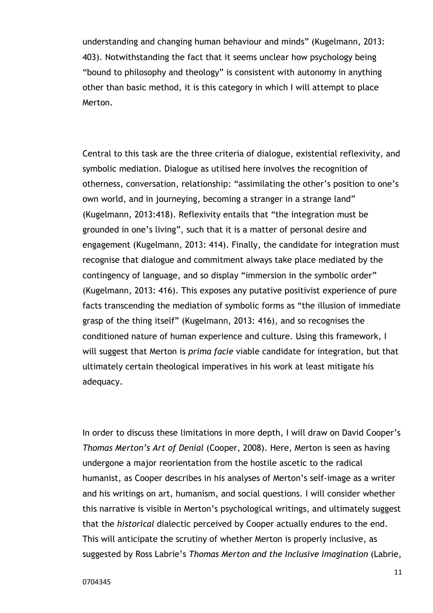understanding and changing human behaviour and minds" (Kugelmann, 2013: 403). Notwithstanding the fact that it seems unclear how psychology being "bound to philosophy and theology" is consistent with autonomy in anything other than basic method, it is this category in which I will attempt to place Merton.

Central to this task are the three criteria of dialogue, existential reflexivity, and symbolic mediation. Dialogue as utilised here involves the recognition of otherness, conversation, relationship: "assimilating the other's position to one's own world, and in journeying, becoming a stranger in a strange land" (Kugelmann, 2013:418). Reflexivity entails that "the integration must be grounded in one's living", such that it is a matter of personal desire and engagement (Kugelmann, 2013: 414). Finally, the candidate for integration must recognise that dialogue and commitment always take place mediated by the contingency of language, and so display "immersion in the symbolic order" (Kugelmann, 2013: 416). This exposes any putative positivist experience of pure facts transcending the mediation of symbolic forms as "the illusion of immediate grasp of the thing itself" (Kugelmann, 2013: 416), and so recognises the conditioned nature of human experience and culture. Using this framework, I will suggest that Merton is *prima facie* viable candidate for integration, but that ultimately certain theological imperatives in his work at least mitigate his adequacy.

In order to discuss these limitations in more depth, I will draw on David Cooper's *Thomas Merton's Art of Denial* (Cooper, 2008). Here, Merton is seen as having undergone a major reorientation from the hostile ascetic to the radical humanist, as Cooper describes in his analyses of Merton's self-image as a writer and his writings on art, humanism, and social questions. I will consider whether this narrative is visible in Merton's psychological writings, and ultimately suggest that the *historical* dialectic perceived by Cooper actually endures to the end. This will anticipate the scrutiny of whether Merton is properly inclusive, as suggested by Ross Labrie's *Thomas Merton and the Inclusive Imagination* (Labrie,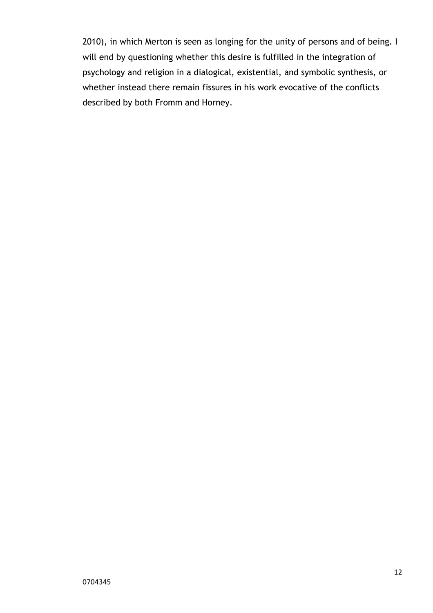2010), in which Merton is seen as longing for the unity of persons and of being. I will end by questioning whether this desire is fulfilled in the integration of psychology and religion in a dialogical, existential, and symbolic synthesis, or whether instead there remain fissures in his work evocative of the conflicts described by both Fromm and Horney.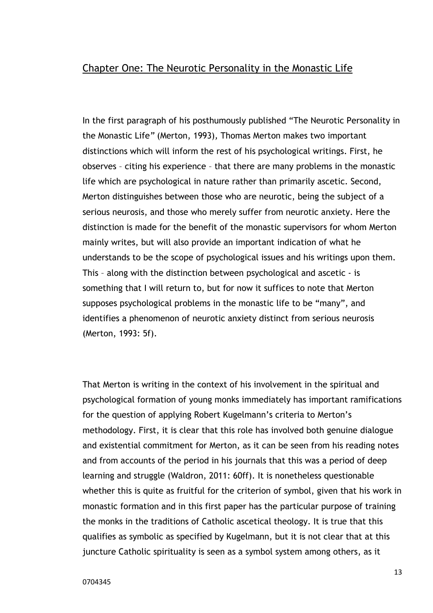## Chapter One: The Neurotic Personality in the Monastic Life

In the first paragraph of his posthumously published "The Neurotic Personality in the Monastic Life*"* (Merton, 1993)*,* Thomas Merton makes two important distinctions which will inform the rest of his psychological writings. First, he observes – citing his experience – that there are many problems in the monastic life which are psychological in nature rather than primarily ascetic. Second, Merton distinguishes between those who are neurotic, being the subject of a serious neurosis, and those who merely suffer from neurotic anxiety. Here the distinction is made for the benefit of the monastic supervisors for whom Merton mainly writes, but will also provide an important indication of what he understands to be the scope of psychological issues and his writings upon them. This – along with the distinction between psychological and ascetic - is something that I will return to, but for now it suffices to note that Merton supposes psychological problems in the monastic life to be "many", and identifies a phenomenon of neurotic anxiety distinct from serious neurosis (Merton, 1993: 5f).

That Merton is writing in the context of his involvement in the spiritual and psychological formation of young monks immediately has important ramifications for the question of applying Robert Kugelmann's criteria to Merton's methodology. First, it is clear that this role has involved both genuine dialogue and existential commitment for Merton, as it can be seen from his reading notes and from accounts of the period in his journals that this was a period of deep learning and struggle (Waldron, 2011: 60ff). It is nonetheless questionable whether this is quite as fruitful for the criterion of symbol, given that his work in monastic formation and in this first paper has the particular purpose of training the monks in the traditions of Catholic ascetical theology. It is true that this qualifies as symbolic as specified by Kugelmann, but it is not clear that at this juncture Catholic spirituality is seen as a symbol system among others, as it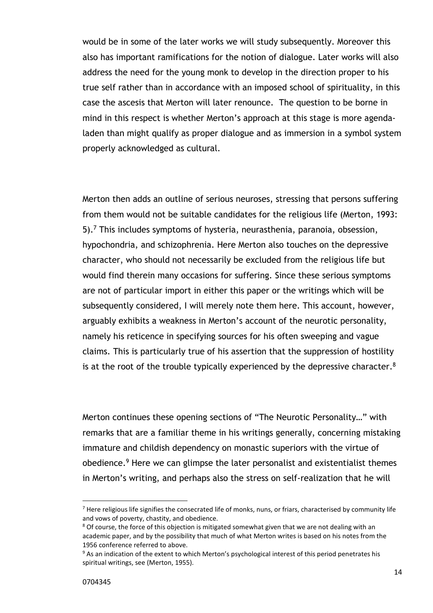would be in some of the later works we will study subsequently. Moreover this also has important ramifications for the notion of dialogue. Later works will also address the need for the young monk to develop in the direction proper to his true self rather than in accordance with an imposed school of spirituality, in this case the ascesis that Merton will later renounce. The question to be borne in mind in this respect is whether Merton's approach at this stage is more agendaladen than might qualify as proper dialogue and as immersion in a symbol system properly acknowledged as cultural.

Merton then adds an outline of serious neuroses, stressing that persons suffering from them would not be suitable candidates for the religious life (Merton, 1993: 5).<sup>7</sup> This includes symptoms of hysteria, neurasthenia, paranoia, obsession, hypochondria, and schizophrenia. Here Merton also touches on the depressive character, who should not necessarily be excluded from the religious life but would find therein many occasions for suffering. Since these serious symptoms are not of particular import in either this paper or the writings which will be subsequently considered, I will merely note them here. This account, however, arguably exhibits a weakness in Merton's account of the neurotic personality, namely his reticence in specifying sources for his often sweeping and vague claims. This is particularly true of his assertion that the suppression of hostility is at the root of the trouble typically experienced by the depressive character. $8$ 

Merton continues these opening sections of "The Neurotic Personality…" with remarks that are a familiar theme in his writings generally, concerning mistaking immature and childish dependency on monastic superiors with the virtue of obedience.<sup>9</sup> Here we can glimpse the later personalist and existentialist themes in Merton's writing, and perhaps also the stress on self-realization that he will

<sup>&</sup>lt;sup>7</sup> Here religious life signifies the consecrated life of monks, nuns, or friars, characterised by community life and vows of poverty, chastity, and obedience.

<sup>&</sup>lt;sup>8</sup> Of course, the force of this objection is mitigated somewhat given that we are not dealing with an academic paper, and by the possibility that much of what Merton writes is based on his notes from the 1956 conference referred to above.

<sup>&</sup>lt;sup>9</sup> As an indication of the extent to which Merton's psychological interest of this period penetrates his spiritual writings, see (Merton, 1955).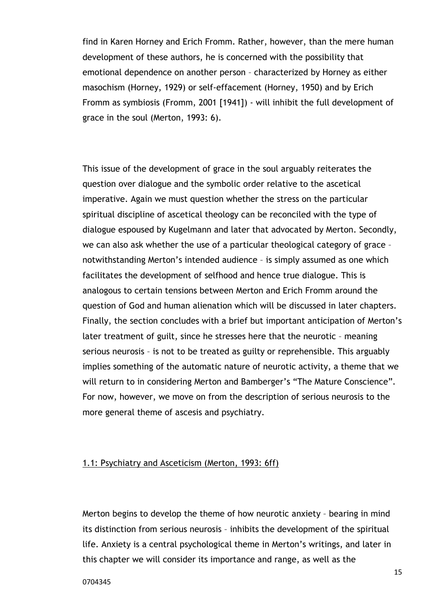find in Karen Horney and Erich Fromm. Rather, however, than the mere human development of these authors, he is concerned with the possibility that emotional dependence on another person – characterized by Horney as either masochism (Horney, 1929) or self-effacement (Horney, 1950) and by Erich Fromm as symbiosis (Fromm, 2001 [1941]) - will inhibit the full development of grace in the soul (Merton, 1993: 6).

This issue of the development of grace in the soul arguably reiterates the question over dialogue and the symbolic order relative to the ascetical imperative. Again we must question whether the stress on the particular spiritual discipline of ascetical theology can be reconciled with the type of dialogue espoused by Kugelmann and later that advocated by Merton. Secondly, we can also ask whether the use of a particular theological category of grace – notwithstanding Merton's intended audience – is simply assumed as one which facilitates the development of selfhood and hence true dialogue. This is analogous to certain tensions between Merton and Erich Fromm around the question of God and human alienation which will be discussed in later chapters. Finally, the section concludes with a brief but important anticipation of Merton's later treatment of guilt, since he stresses here that the neurotic – meaning serious neurosis – is not to be treated as guilty or reprehensible. This arguably implies something of the automatic nature of neurotic activity, a theme that we will return to in considering Merton and Bamberger's "The Mature Conscience"*.* For now, however, we move on from the description of serious neurosis to the more general theme of ascesis and psychiatry.

#### 1.1: Psychiatry and Asceticism (Merton, 1993: 6ff)

Merton begins to develop the theme of how neurotic anxiety – bearing in mind its distinction from serious neurosis – inhibits the development of the spiritual life. Anxiety is a central psychological theme in Merton's writings, and later in this chapter we will consider its importance and range, as well as the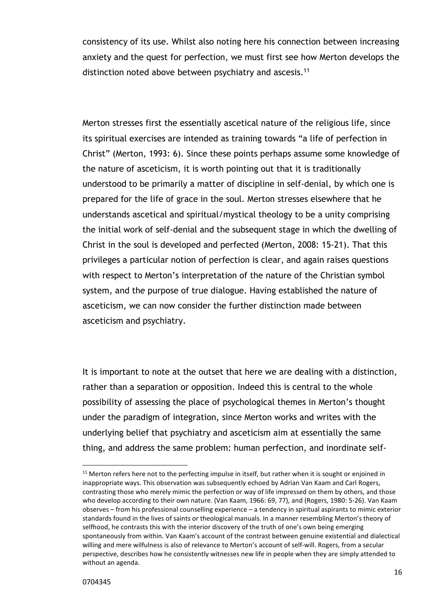consistency of its use. Whilst also noting here his connection between increasing anxiety and the quest for perfection, we must first see how Merton develops the distinction noted above between psychiatry and ascesis.<sup>11</sup>

Merton stresses first the essentially ascetical nature of the religious life, since its spiritual exercises are intended as training towards "a life of perfection in Christ" (Merton, 1993: 6). Since these points perhaps assume some knowledge of the nature of asceticism, it is worth pointing out that it is traditionally understood to be primarily a matter of discipline in self-denial, by which one is prepared for the life of grace in the soul. Merton stresses elsewhere that he understands ascetical and spiritual/mystical theology to be a unity comprising the initial work of self-denial and the subsequent stage in which the dwelling of Christ in the soul is developed and perfected (Merton, 2008: 15-21). That this privileges a particular notion of perfection is clear, and again raises questions with respect to Merton's interpretation of the nature of the Christian symbol system, and the purpose of true dialogue. Having established the nature of asceticism, we can now consider the further distinction made between asceticism and psychiatry.

It is important to note at the outset that here we are dealing with a distinction, rather than a separation or opposition. Indeed this is central to the whole possibility of assessing the place of psychological themes in Merton's thought under the paradigm of integration, since Merton works and writes with the underlying belief that psychiatry and asceticism aim at essentially the same thing, and address the same problem: human perfection, and inordinate self-

 $\overline{a}$ 

 $11$  Merton refers here not to the perfecting impulse in itself, but rather when it is sought or enjoined in inappropriate ways. This observation was subsequently echoed by Adrian Van Kaam and Carl Rogers, contrasting those who merely mimic the perfection or way of life impressed on them by others, and those who develop according to their own nature. (Van Kaam, 1966: 69, 77), and (Rogers, 1980: 5-26). Van Kaam observes – from his professional counselling experience – a tendency in spiritual aspirants to mimic exterior standards found in the lives of saints or theological manuals. In a manner resembling Merton's theory of selfhood, he contrasts this with the interior discovery of the truth of one's own being emerging spontaneously from within. Van Kaam's account of the contrast between genuine existential and dialectical willing and mere wilfulness is also of relevance to Merton's account of self-will. Rogers, from a secular perspective, describes how he consistently witnesses new life in people when they are simply attended to without an agenda.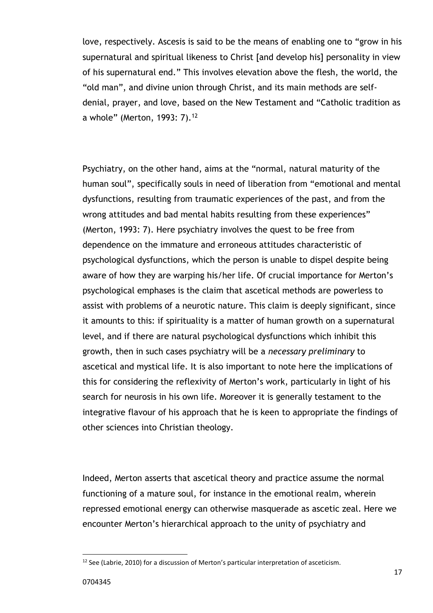love, respectively. Ascesis is said to be the means of enabling one to "grow in his supernatural and spiritual likeness to Christ [and develop his] personality in view of his supernatural end." This involves elevation above the flesh, the world, the "old man", and divine union through Christ, and its main methods are selfdenial, prayer, and love, based on the New Testament and "Catholic tradition as a whole" (Merton, 1993: 7).<sup>12</sup>

Psychiatry, on the other hand, aims at the "normal, natural maturity of the human soul", specifically souls in need of liberation from "emotional and mental dysfunctions, resulting from traumatic experiences of the past, and from the wrong attitudes and bad mental habits resulting from these experiences" (Merton, 1993: 7). Here psychiatry involves the quest to be free from dependence on the immature and erroneous attitudes characteristic of psychological dysfunctions, which the person is unable to dispel despite being aware of how they are warping his/her life. Of crucial importance for Merton's psychological emphases is the claim that ascetical methods are powerless to assist with problems of a neurotic nature. This claim is deeply significant, since it amounts to this: if spirituality is a matter of human growth on a supernatural level, and if there are natural psychological dysfunctions which inhibit this growth, then in such cases psychiatry will be a *necessary preliminary* to ascetical and mystical life. It is also important to note here the implications of this for considering the reflexivity of Merton's work, particularly in light of his search for neurosis in his own life. Moreover it is generally testament to the integrative flavour of his approach that he is keen to appropriate the findings of other sciences into Christian theology.

Indeed, Merton asserts that ascetical theory and practice assume the normal functioning of a mature soul, for instance in the emotional realm, wherein repressed emotional energy can otherwise masquerade as ascetic zeal. Here we encounter Merton's hierarchical approach to the unity of psychiatry and

 $12$  See (Labrie, 2010) for a discussion of Merton's particular interpretation of asceticism.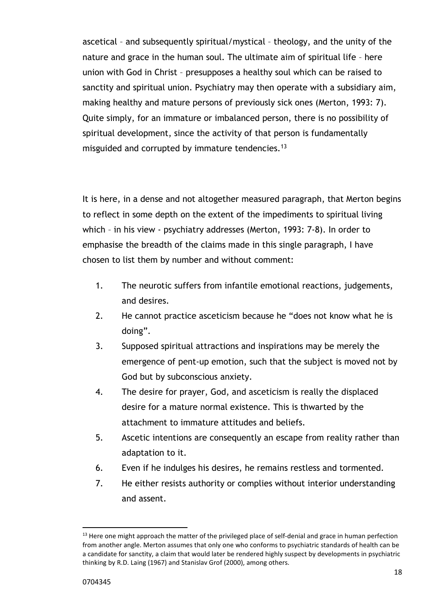ascetical – and subsequently spiritual/mystical – theology, and the unity of the nature and grace in the human soul. The ultimate aim of spiritual life – here union with God in Christ – presupposes a healthy soul which can be raised to sanctity and spiritual union. Psychiatry may then operate with a subsidiary aim, making healthy and mature persons of previously sick ones (Merton, 1993: 7). Quite simply, for an immature or imbalanced person, there is no possibility of spiritual development, since the activity of that person is fundamentally misguided and corrupted by immature tendencies.<sup>13</sup>

It is here, in a dense and not altogether measured paragraph, that Merton begins to reflect in some depth on the extent of the impediments to spiritual living which – in his view - psychiatry addresses (Merton, 1993: 7-8). In order to emphasise the breadth of the claims made in this single paragraph, I have chosen to list them by number and without comment:

- 1. The neurotic suffers from infantile emotional reactions, judgements, and desires.
- 2. He cannot practice asceticism because he "does not know what he is doing".
- 3. Supposed spiritual attractions and inspirations may be merely the emergence of pent-up emotion, such that the subject is moved not by God but by subconscious anxiety.
- 4. The desire for prayer, God, and asceticism is really the displaced desire for a mature normal existence. This is thwarted by the attachment to immature attitudes and beliefs.
- 5. Ascetic intentions are consequently an escape from reality rather than adaptation to it.
- 6. Even if he indulges his desires, he remains restless and tormented.
- 7. He either resists authority or complies without interior understanding and assent.

 $\overline{a}$ 

<sup>&</sup>lt;sup>13</sup> Here one might approach the matter of the privileged place of self-denial and grace in human perfection from another angle. Merton assumes that only one who conforms to psychiatric standards of health can be a candidate for sanctity, a claim that would later be rendered highly suspect by developments in psychiatric thinking by R.D. Laing (1967) and Stanislav Grof (2000), among others.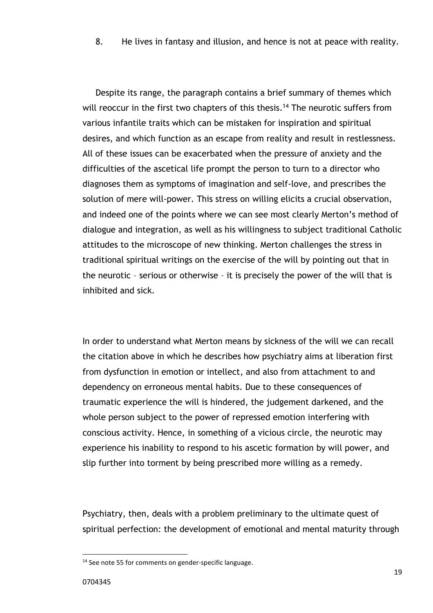8. He lives in fantasy and illusion, and hence is not at peace with reality.

Despite its range, the paragraph contains a brief summary of themes which will reoccur in the first two chapters of this thesis.<sup>14</sup> The neurotic suffers from various infantile traits which can be mistaken for inspiration and spiritual desires, and which function as an escape from reality and result in restlessness. All of these issues can be exacerbated when the pressure of anxiety and the difficulties of the ascetical life prompt the person to turn to a director who diagnoses them as symptoms of imagination and self-love, and prescribes the solution of mere will-power. This stress on willing elicits a crucial observation, and indeed one of the points where we can see most clearly Merton's method of dialogue and integration, as well as his willingness to subject traditional Catholic attitudes to the microscope of new thinking. Merton challenges the stress in traditional spiritual writings on the exercise of the will by pointing out that in the neurotic – serious or otherwise – it is precisely the power of the will that is inhibited and sick.

In order to understand what Merton means by sickness of the will we can recall the citation above in which he describes how psychiatry aims at liberation first from dysfunction in emotion or intellect, and also from attachment to and dependency on erroneous mental habits. Due to these consequences of traumatic experience the will is hindered, the judgement darkened, and the whole person subject to the power of repressed emotion interfering with conscious activity. Hence, in something of a vicious circle, the neurotic may experience his inability to respond to his ascetic formation by will power, and slip further into torment by being prescribed more willing as a remedy.

Psychiatry, then, deals with a problem preliminary to the ultimate quest of spiritual perfection: the development of emotional and mental maturity through

<sup>&</sup>lt;sup>14</sup> See note 55 for comments on gender-specific language.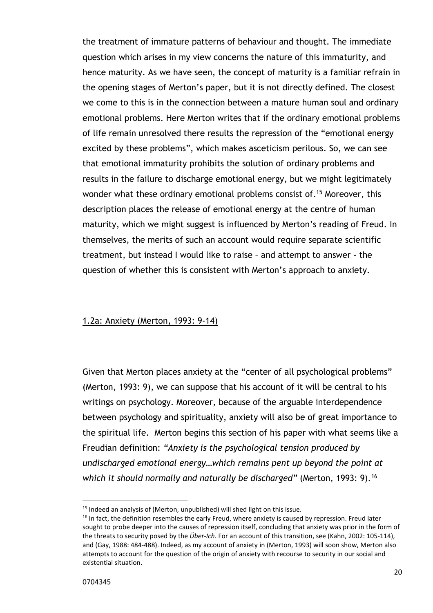the treatment of immature patterns of behaviour and thought. The immediate question which arises in my view concerns the nature of this immaturity, and hence maturity. As we have seen, the concept of maturity is a familiar refrain in the opening stages of Merton's paper, but it is not directly defined. The closest we come to this is in the connection between a mature human soul and ordinary emotional problems. Here Merton writes that if the ordinary emotional problems of life remain unresolved there results the repression of the "emotional energy excited by these problems", which makes asceticism perilous. So, we can see that emotional immaturity prohibits the solution of ordinary problems and results in the failure to discharge emotional energy, but we might legitimately wonder what these ordinary emotional problems consist of.<sup>15</sup> Moreover, this description places the release of emotional energy at the centre of human maturity, which we might suggest is influenced by Merton's reading of Freud. In themselves, the merits of such an account would require separate scientific treatment, but instead I would like to raise – and attempt to answer - the question of whether this is consistent with Merton's approach to anxiety.

#### 1.2a: Anxiety (Merton, 1993: 9-14)

Given that Merton places anxiety at the "center of all psychological problems" (Merton, 1993: 9), we can suppose that his account of it will be central to his writings on psychology. Moreover, because of the arguable interdependence between psychology and spirituality, anxiety will also be of great importance to the spiritual life. Merton begins this section of his paper with what seems like a Freudian definition: *"Anxiety is the psychological tension produced by undischarged emotional energy…which remains pent up beyond the point at which it should normally and naturally be discharged"* (Merton, 1993: 9).<sup>16</sup>

<sup>&</sup>lt;sup>15</sup> Indeed an analysis of (Merton, unpublished) will shed light on this issue.

<sup>&</sup>lt;sup>16</sup> In fact, the definition resembles the early Freud, where anxiety is caused by repression. Freud later sought to probe deeper into the causes of repression itself, concluding that anxiety was prior in the form of the threats to security posed by the *Über-Ich*. For an account of this transition, see (Kahn, 2002: 105-114), and (Gay, 1988: 484-488). Indeed, as my account of anxiety in (Merton, 1993) will soon show, Merton also attempts to account for the question of the origin of anxiety with recourse to security in our social and existential situation.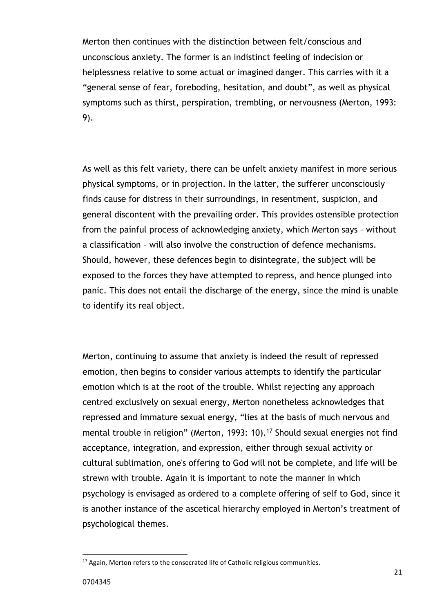Merton then continues with the distinction between felt/conscious and unconscious anxiety. The former is an indistinct feeling of indecision or helplessness relative to some actual or imagined danger. This carries with it a "general sense of fear, foreboding, hesitation, and doubt", as well as physical symptoms such as thirst, perspiration, trembling, or nervousness (Merton, 1993: 9).

As well as this felt variety, there can be unfelt anxiety manifest in more serious physical symptoms, or in projection. In the latter, the sufferer unconsciously finds cause for distress in their surroundings, in resentment, suspicion, and general discontent with the prevailing order. This provides ostensible protection from the painful process of acknowledging anxiety, which Merton says – without a classification – will also involve the construction of defence mechanisms. Should, however, these defences begin to disintegrate, the subject will be exposed to the forces they have attempted to repress, and hence plunged into panic. This does not entail the discharge of the energy, since the mind is unable to identify its real object.

Merton, continuing to assume that anxiety is indeed the result of repressed emotion, then begins to consider various attempts to identify the particular emotion which is at the root of the trouble. Whilst rejecting any approach centred exclusively on sexual energy, Merton nonetheless acknowledges that repressed and immature sexual energy, "lies at the basis of much nervous and mental trouble in religion" (Merton, 1993: 10).<sup>17</sup> Should sexual energies not find acceptance, integration, and expression, either through sexual activity or cultural sublimation, one's offering to God will not be complete, and life will be strewn with trouble. Again it is important to note the manner in which psychology is envisaged as ordered to a complete offering of self to God, since it is another instance of the ascetical hierarchy employed in Merton's treatment of psychological themes.

 $17$  Again, Merton refers to the consecrated life of Catholic religious communities.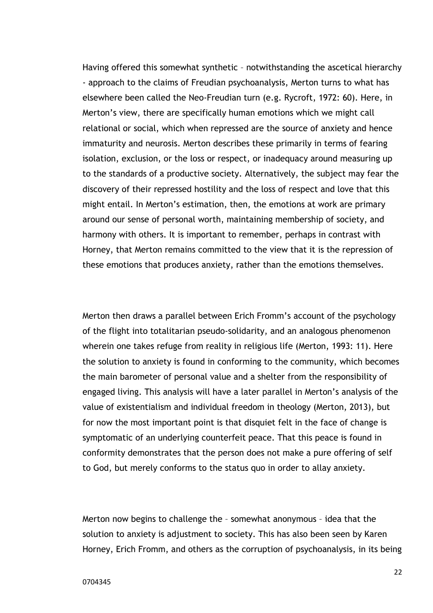Having offered this somewhat synthetic – notwithstanding the ascetical hierarchy - approach to the claims of Freudian psychoanalysis, Merton turns to what has elsewhere been called the Neo-Freudian turn (e.g. Rycroft, 1972: 60). Here, in Merton's view, there are specifically human emotions which we might call relational or social, which when repressed are the source of anxiety and hence immaturity and neurosis. Merton describes these primarily in terms of fearing isolation, exclusion, or the loss or respect, or inadequacy around measuring up to the standards of a productive society. Alternatively, the subject may fear the discovery of their repressed hostility and the loss of respect and love that this might entail. In Merton's estimation, then, the emotions at work are primary around our sense of personal worth, maintaining membership of society, and harmony with others. It is important to remember, perhaps in contrast with Horney, that Merton remains committed to the view that it is the repression of these emotions that produces anxiety, rather than the emotions themselves.

Merton then draws a parallel between Erich Fromm's account of the psychology of the flight into totalitarian pseudo-solidarity, and an analogous phenomenon wherein one takes refuge from reality in religious life (Merton, 1993: 11). Here the solution to anxiety is found in conforming to the community, which becomes the main barometer of personal value and a shelter from the responsibility of engaged living. This analysis will have a later parallel in Merton's analysis of the value of existentialism and individual freedom in theology (Merton, 2013), but for now the most important point is that disquiet felt in the face of change is symptomatic of an underlying counterfeit peace. That this peace is found in conformity demonstrates that the person does not make a pure offering of self to God, but merely conforms to the status quo in order to allay anxiety.

Merton now begins to challenge the – somewhat anonymous – idea that the solution to anxiety is adjustment to society. This has also been seen by Karen Horney, Erich Fromm, and others as the corruption of psychoanalysis, in its being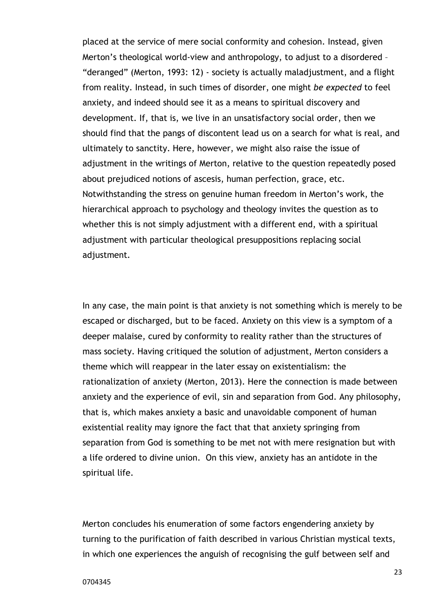placed at the service of mere social conformity and cohesion. Instead, given Merton's theological world-view and anthropology, to adjust to a disordered – "deranged" (Merton, 1993: 12) - society is actually maladjustment, and a flight from reality. Instead, in such times of disorder, one might *be expected* to feel anxiety, and indeed should see it as a means to spiritual discovery and development. If, that is, we live in an unsatisfactory social order, then we should find that the pangs of discontent lead us on a search for what is real, and ultimately to sanctity. Here, however, we might also raise the issue of adjustment in the writings of Merton, relative to the question repeatedly posed about prejudiced notions of ascesis, human perfection, grace, etc. Notwithstanding the stress on genuine human freedom in Merton's work, the hierarchical approach to psychology and theology invites the question as to whether this is not simply adjustment with a different end, with a spiritual adjustment with particular theological presuppositions replacing social adjustment.

In any case, the main point is that anxiety is not something which is merely to be escaped or discharged, but to be faced. Anxiety on this view is a symptom of a deeper malaise, cured by conformity to reality rather than the structures of mass society. Having critiqued the solution of adjustment, Merton considers a theme which will reappear in the later essay on existentialism: the rationalization of anxiety (Merton, 2013). Here the connection is made between anxiety and the experience of evil, sin and separation from God. Any philosophy, that is, which makes anxiety a basic and unavoidable component of human existential reality may ignore the fact that that anxiety springing from separation from God is something to be met not with mere resignation but with a life ordered to divine union. On this view, anxiety has an antidote in the spiritual life.

Merton concludes his enumeration of some factors engendering anxiety by turning to the purification of faith described in various Christian mystical texts, in which one experiences the anguish of recognising the gulf between self and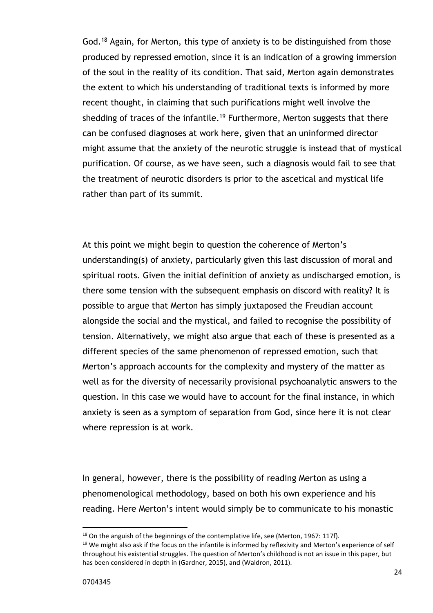God.<sup>18</sup> Again, for Merton, this type of anxiety is to be distinguished from those produced by repressed emotion, since it is an indication of a growing immersion of the soul in the reality of its condition. That said, Merton again demonstrates the extent to which his understanding of traditional texts is informed by more recent thought, in claiming that such purifications might well involve the shedding of traces of the infantile.<sup>19</sup> Furthermore, Merton suggests that there can be confused diagnoses at work here, given that an uninformed director might assume that the anxiety of the neurotic struggle is instead that of mystical purification. Of course, as we have seen, such a diagnosis would fail to see that the treatment of neurotic disorders is prior to the ascetical and mystical life rather than part of its summit.

At this point we might begin to question the coherence of Merton's understanding(s) of anxiety, particularly given this last discussion of moral and spiritual roots. Given the initial definition of anxiety as undischarged emotion, is there some tension with the subsequent emphasis on discord with reality? It is possible to argue that Merton has simply juxtaposed the Freudian account alongside the social and the mystical, and failed to recognise the possibility of tension. Alternatively, we might also argue that each of these is presented as a different species of the same phenomenon of repressed emotion, such that Merton's approach accounts for the complexity and mystery of the matter as well as for the diversity of necessarily provisional psychoanalytic answers to the question. In this case we would have to account for the final instance, in which anxiety is seen as a symptom of separation from God, since here it is not clear where repression is at work.

In general, however, there is the possibility of reading Merton as using a phenomenological methodology, based on both his own experience and his reading. Here Merton's intent would simply be to communicate to his monastic

 $\overline{a}$ 

<sup>&</sup>lt;sup>18</sup> On the anguish of the beginnings of the contemplative life, see (Merton, 1967: 117f).

<sup>&</sup>lt;sup>19</sup> We might also ask if the focus on the infantile is informed by reflexivity and Merton's experience of self throughout his existential struggles. The question of Merton's childhood is not an issue in this paper, but has been considered in depth in (Gardner, 2015), and (Waldron, 2011).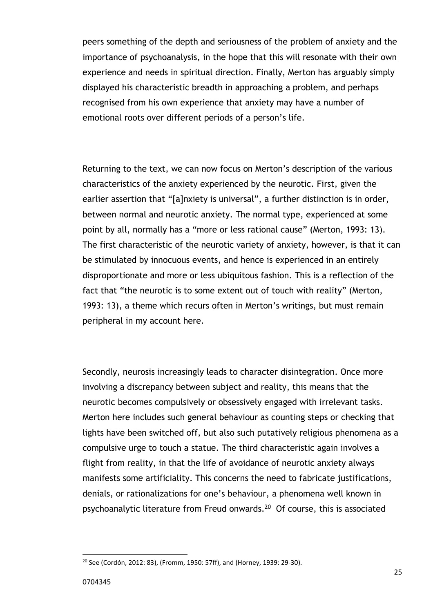peers something of the depth and seriousness of the problem of anxiety and the importance of psychoanalysis, in the hope that this will resonate with their own experience and needs in spiritual direction. Finally, Merton has arguably simply displayed his characteristic breadth in approaching a problem, and perhaps recognised from his own experience that anxiety may have a number of emotional roots over different periods of a person's life.

Returning to the text, we can now focus on Merton's description of the various characteristics of the anxiety experienced by the neurotic. First, given the earlier assertion that "[a]nxiety is universal", a further distinction is in order, between normal and neurotic anxiety. The normal type, experienced at some point by all, normally has a "more or less rational cause" (Merton, 1993: 13). The first characteristic of the neurotic variety of anxiety, however, is that it can be stimulated by innocuous events, and hence is experienced in an entirely disproportionate and more or less ubiquitous fashion. This is a reflection of the fact that "the neurotic is to some extent out of touch with reality" (Merton, 1993: 13), a theme which recurs often in Merton's writings, but must remain peripheral in my account here.

Secondly, neurosis increasingly leads to character disintegration. Once more involving a discrepancy between subject and reality, this means that the neurotic becomes compulsively or obsessively engaged with irrelevant tasks. Merton here includes such general behaviour as counting steps or checking that lights have been switched off, but also such putatively religious phenomena as a compulsive urge to touch a statue. The third characteristic again involves a flight from reality, in that the life of avoidance of neurotic anxiety always manifests some artificiality. This concerns the need to fabricate justifications, denials, or rationalizations for one's behaviour, a phenomena well known in psychoanalytic literature from Freud onwards.<sup>20</sup> Of course, this is associated

<sup>20</sup> See (Cordón, 2012: 83), (Fromm, 1950: 57ff), and (Horney, 1939: 29-30).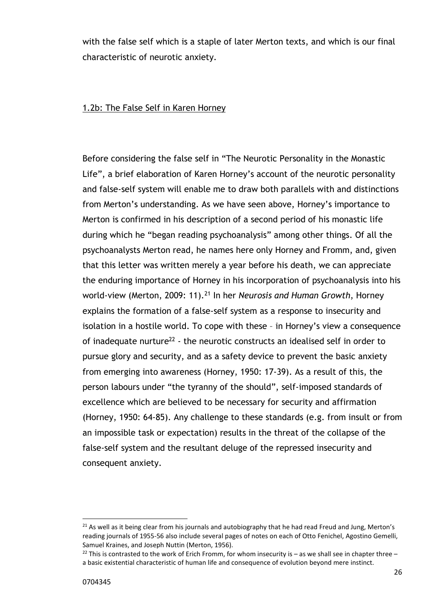with the false self which is a staple of later Merton texts, and which is our final characteristic of neurotic anxiety.

#### 1.2b: The False Self in Karen Horney

Before considering the false self in "The Neurotic Personality in the Monastic Life", a brief elaboration of Karen Horney's account of the neurotic personality and false-self system will enable me to draw both parallels with and distinctions from Merton's understanding. As we have seen above, Horney's importance to Merton is confirmed in his description of a second period of his monastic life during which he "began reading psychoanalysis" among other things. Of all the psychoanalysts Merton read, he names here only Horney and Fromm, and, given that this letter was written merely a year before his death, we can appreciate the enduring importance of Horney in his incorporation of psychoanalysis into his world-view (Merton, 2009: 11).<sup>21</sup> In her *Neurosis and Human Growth*, Horney explains the formation of a false-self system as a response to insecurity and isolation in a hostile world. To cope with these – in Horney's view a consequence of inadequate nurture<sup>22</sup> - the neurotic constructs an idealised self in order to pursue glory and security, and as a safety device to prevent the basic anxiety from emerging into awareness (Horney, 1950: 17-39). As a result of this, the person labours under "the tyranny of the should", self-imposed standards of excellence which are believed to be necessary for security and affirmation (Horney, 1950: 64-85). Any challenge to these standards (e.g. from insult or from an impossible task or expectation) results in the threat of the collapse of the false-self system and the resultant deluge of the repressed insecurity and consequent anxiety.

 $21$  As well as it being clear from his journals and autobiography that he had read Freud and Jung, Merton's reading journals of 1955-56 also include several pages of notes on each of Otto Fenichel, Agostino Gemelli, Samuel Kraines, and Joseph Nuttin (Merton, 1956).

<sup>&</sup>lt;sup>22</sup> This is contrasted to the work of Erich Fromm, for whom insecurity is – as we shall see in chapter three – a basic existential characteristic of human life and consequence of evolution beyond mere instinct.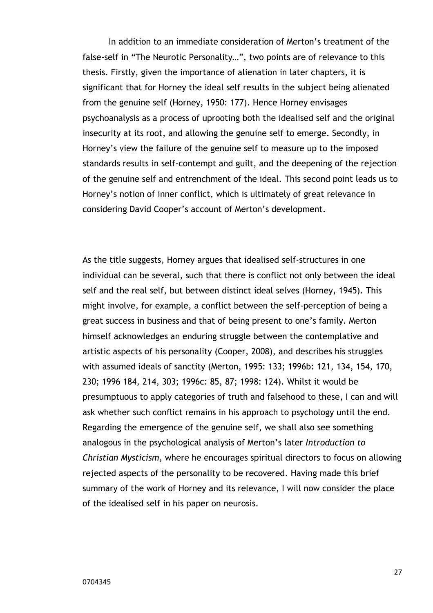In addition to an immediate consideration of Merton's treatment of the false-self in "The Neurotic Personality…", two points are of relevance to this thesis. Firstly, given the importance of alienation in later chapters, it is significant that for Horney the ideal self results in the subject being alienated from the genuine self (Horney, 1950: 177). Hence Horney envisages psychoanalysis as a process of uprooting both the idealised self and the original insecurity at its root, and allowing the genuine self to emerge. Secondly, in Horney's view the failure of the genuine self to measure up to the imposed standards results in self-contempt and guilt, and the deepening of the rejection of the genuine self and entrenchment of the ideal. This second point leads us to Horney's notion of inner conflict, which is ultimately of great relevance in considering David Cooper's account of Merton's development.

As the title suggests, Horney argues that idealised self-structures in one individual can be several, such that there is conflict not only between the ideal self and the real self, but between distinct ideal selves (Horney, 1945). This might involve, for example, a conflict between the self-perception of being a great success in business and that of being present to one's family. Merton himself acknowledges an enduring struggle between the contemplative and artistic aspects of his personality (Cooper, 2008), and describes his struggles with assumed ideals of sanctity (Merton, 1995: 133; 1996b: 121, 134, 154, 170, 230; 1996 184, 214, 303; 1996c: 85, 87; 1998: 124). Whilst it would be presumptuous to apply categories of truth and falsehood to these, I can and will ask whether such conflict remains in his approach to psychology until the end. Regarding the emergence of the genuine self, we shall also see something analogous in the psychological analysis of Merton's later *Introduction to Christian Mysticism*, where he encourages spiritual directors to focus on allowing rejected aspects of the personality to be recovered. Having made this brief summary of the work of Horney and its relevance, I will now consider the place of the idealised self in his paper on neurosis.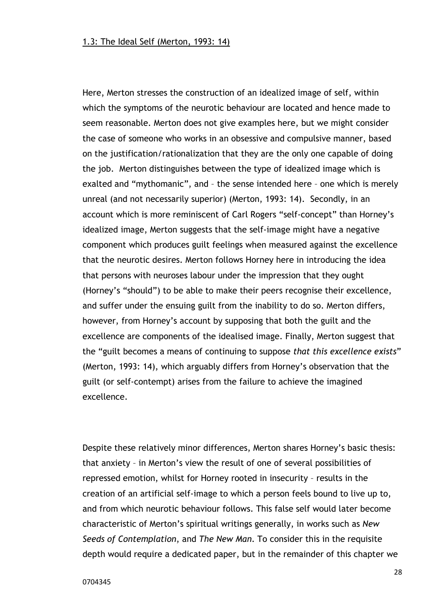Here, Merton stresses the construction of an idealized image of self, within which the symptoms of the neurotic behaviour are located and hence made to seem reasonable. Merton does not give examples here, but we might consider the case of someone who works in an obsessive and compulsive manner, based on the justification/rationalization that they are the only one capable of doing the job. Merton distinguishes between the type of idealized image which is exalted and "mythomanic", and – the sense intended here – one which is merely unreal (and not necessarily superior) (Merton, 1993: 14). Secondly, in an account which is more reminiscent of Carl Rogers "self-concept" than Horney's idealized image, Merton suggests that the self-image might have a negative component which produces guilt feelings when measured against the excellence that the neurotic desires. Merton follows Horney here in introducing the idea that persons with neuroses labour under the impression that they ought (Horney's "should") to be able to make their peers recognise their excellence, and suffer under the ensuing guilt from the inability to do so. Merton differs, however, from Horney's account by supposing that both the guilt and the excellence are components of the idealised image. Finally, Merton suggest that the "guilt becomes a means of continuing to suppose *that this excellence exists*" (Merton, 1993: 14), which arguably differs from Horney's observation that the guilt (or self-contempt) arises from the failure to achieve the imagined excellence.

Despite these relatively minor differences, Merton shares Horney's basic thesis: that anxiety – in Merton's view the result of one of several possibilities of repressed emotion, whilst for Horney rooted in insecurity – results in the creation of an artificial self-image to which a person feels bound to live up to, and from which neurotic behaviour follows. This false self would later become characteristic of Merton's spiritual writings generally, in works such as *New Seeds of Contemplation*, and *The New Man*. To consider this in the requisite depth would require a dedicated paper, but in the remainder of this chapter we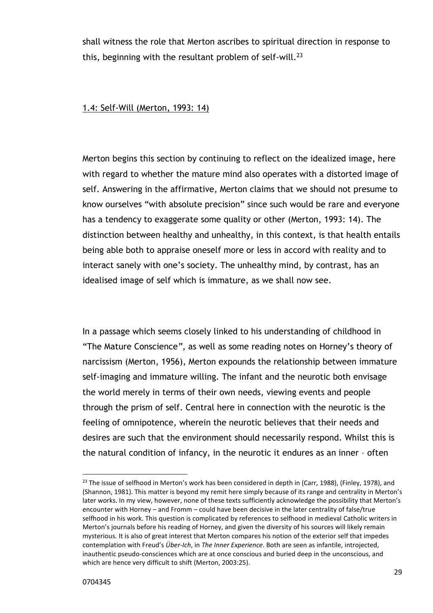shall witness the role that Merton ascribes to spiritual direction in response to this, beginning with the resultant problem of self-will.<sup>23</sup>

#### 1.4: Self-Will (Merton, 1993: 14)

Merton begins this section by continuing to reflect on the idealized image, here with regard to whether the mature mind also operates with a distorted image of self. Answering in the affirmative, Merton claims that we should not presume to know ourselves "with absolute precision" since such would be rare and everyone has a tendency to exaggerate some quality or other (Merton, 1993: 14). The distinction between healthy and unhealthy, in this context, is that health entails being able both to appraise oneself more or less in accord with reality and to interact sanely with one's society. The unhealthy mind, by contrast, has an idealised image of self which is immature, as we shall now see.

In a passage which seems closely linked to his understanding of childhood in "The Mature Conscience*"*, as well as some reading notes on Horney's theory of narcissism (Merton, 1956), Merton expounds the relationship between immature self-imaging and immature willing. The infant and the neurotic both envisage the world merely in terms of their own needs, viewing events and people through the prism of self. Central here in connection with the neurotic is the feeling of omnipotence, wherein the neurotic believes that their needs and desires are such that the environment should necessarily respond. Whilst this is the natural condition of infancy, in the neurotic it endures as an inner – often

 $\overline{a}$ 

<sup>&</sup>lt;sup>23</sup> The issue of selfhood in Merton's work has been considered in depth in (Carr, 1988), (Finley, 1978), and (Shannon, 1981). This matter is beyond my remit here simply because of its range and centrality in Merton's later works. In my view, however, none of these texts sufficiently acknowledge the possibility that Merton's encounter with Horney – and Fromm – could have been decisive in the later centrality of false/true selfhood in his work. This question is complicated by references to selfhood in medieval Catholic writers in Merton's journals before his reading of Horney, and given the diversity of his sources will likely remain mysterious. It is also of great interest that Merton compares his notion of the exterior self that impedes contemplation with Freud's *Über-Ich*, in *The Inner Experience*. Both are seen as infantile, introjected, inauthentic pseudo-consciences which are at once conscious and buried deep in the unconscious, and which are hence very difficult to shift (Merton, 2003:25).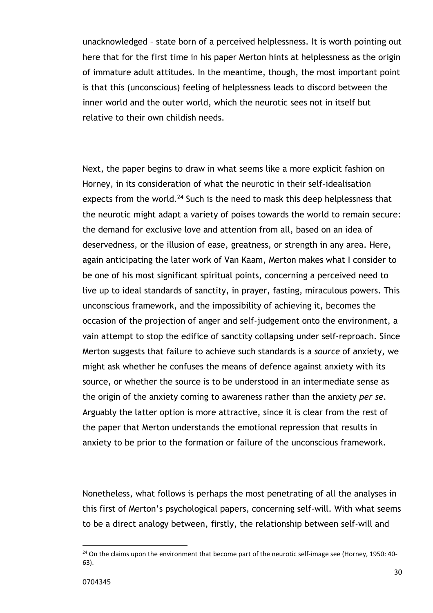unacknowledged – state born of a perceived helplessness. It is worth pointing out here that for the first time in his paper Merton hints at helplessness as the origin of immature adult attitudes. In the meantime, though, the most important point is that this (unconscious) feeling of helplessness leads to discord between the inner world and the outer world, which the neurotic sees not in itself but relative to their own childish needs.

Next, the paper begins to draw in what seems like a more explicit fashion on Horney, in its consideration of what the neurotic in their self-idealisation expects from the world.<sup>24</sup> Such is the need to mask this deep helplessness that the neurotic might adapt a variety of poises towards the world to remain secure: the demand for exclusive love and attention from all, based on an idea of deservedness, or the illusion of ease, greatness, or strength in any area. Here, again anticipating the later work of Van Kaam, Merton makes what I consider to be one of his most significant spiritual points, concerning a perceived need to live up to ideal standards of sanctity, in prayer, fasting, miraculous powers. This unconscious framework, and the impossibility of achieving it, becomes the occasion of the projection of anger and self-judgement onto the environment, a vain attempt to stop the edifice of sanctity collapsing under self-reproach. Since Merton suggests that failure to achieve such standards is a *source* of anxiety, we might ask whether he confuses the means of defence against anxiety with its source, or whether the source is to be understood in an intermediate sense as the origin of the anxiety coming to awareness rather than the anxiety *per se*. Arguably the latter option is more attractive, since it is clear from the rest of the paper that Merton understands the emotional repression that results in anxiety to be prior to the formation or failure of the unconscious framework.

Nonetheless, what follows is perhaps the most penetrating of all the analyses in this first of Merton's psychological papers, concerning self-will. With what seems to be a direct analogy between, firstly, the relationship between self-will and

 $24$  On the claims upon the environment that become part of the neurotic self-image see (Horney, 1950: 40-63).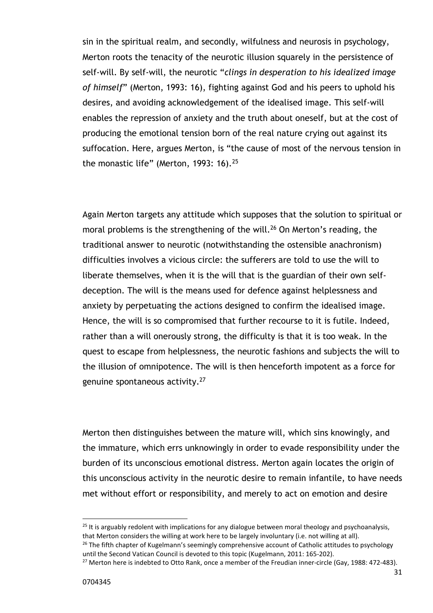sin in the spiritual realm, and secondly, wilfulness and neurosis in psychology, Merton roots the tenacity of the neurotic illusion squarely in the persistence of self-will. By self-will, the neurotic "*clings in desperation to his idealized image of himself*" (Merton, 1993: 16), fighting against God and his peers to uphold his desires, and avoiding acknowledgement of the idealised image. This self-will enables the repression of anxiety and the truth about oneself, but at the cost of producing the emotional tension born of the real nature crying out against its suffocation. Here, argues Merton, is "the cause of most of the nervous tension in the monastic life" (Merton, 1993: 16).<sup>25</sup>

Again Merton targets any attitude which supposes that the solution to spiritual or moral problems is the strengthening of the will.<sup>26</sup> On Merton's reading, the traditional answer to neurotic (notwithstanding the ostensible anachronism) difficulties involves a vicious circle: the sufferers are told to use the will to liberate themselves, when it is the will that is the guardian of their own selfdeception. The will is the means used for defence against helplessness and anxiety by perpetuating the actions designed to confirm the idealised image. Hence, the will is so compromised that further recourse to it is futile. Indeed, rather than a will onerously strong, the difficulty is that it is too weak. In the quest to escape from helplessness, the neurotic fashions and subjects the will to the illusion of omnipotence. The will is then henceforth impotent as a force for genuine spontaneous activity.<sup>27</sup>

Merton then distinguishes between the mature will, which sins knowingly, and the immature, which errs unknowingly in order to evade responsibility under the burden of its unconscious emotional distress. Merton again locates the origin of this unconscious activity in the neurotic desire to remain infantile, to have needs met without effort or responsibility, and merely to act on emotion and desire

 $25$  It is arguably redolent with implications for any dialogue between moral theology and psychoanalysis, that Merton considers the willing at work here to be largely involuntary (i.e. not willing at all).

<sup>&</sup>lt;sup>26</sup> The fifth chapter of Kugelmann's seemingly comprehensive account of Catholic attitudes to psychology until the Second Vatican Council is devoted to this topic (Kugelmann, 2011: 165-202).

<sup>&</sup>lt;sup>27</sup> Merton here is indebted to Otto Rank, once a member of the Freudian inner-circle (Gay, 1988: 472-483).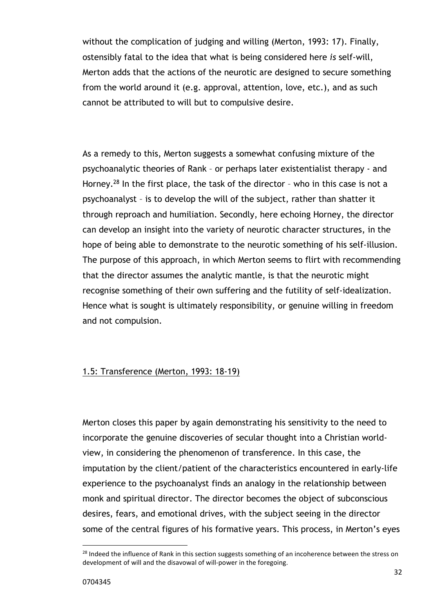without the complication of judging and willing (Merton, 1993: 17). Finally, ostensibly fatal to the idea that what is being considered here *is* self-will, Merton adds that the actions of the neurotic are designed to secure something from the world around it (e.g. approval, attention, love, etc.), and as such cannot be attributed to will but to compulsive desire.

As a remedy to this, Merton suggests a somewhat confusing mixture of the psychoanalytic theories of Rank – or perhaps later existentialist therapy - and Horney.<sup>28</sup> In the first place, the task of the director - who in this case is not a psychoanalyst – is to develop the will of the subject, rather than shatter it through reproach and humiliation. Secondly, here echoing Horney, the director can develop an insight into the variety of neurotic character structures, in the hope of being able to demonstrate to the neurotic something of his self-illusion. The purpose of this approach, in which Merton seems to flirt with recommending that the director assumes the analytic mantle, is that the neurotic might recognise something of their own suffering and the futility of self-idealization. Hence what is sought is ultimately responsibility, or genuine willing in freedom and not compulsion.

### 1.5: Transference (Merton, 1993: 18-19)

Merton closes this paper by again demonstrating his sensitivity to the need to incorporate the genuine discoveries of secular thought into a Christian worldview, in considering the phenomenon of transference. In this case, the imputation by the client/patient of the characteristics encountered in early-life experience to the psychoanalyst finds an analogy in the relationship between monk and spiritual director. The director becomes the object of subconscious desires, fears, and emotional drives, with the subject seeing in the director some of the central figures of his formative years. This process, in Merton's eyes

<sup>&</sup>lt;sup>28</sup> Indeed the influence of Rank in this section suggests something of an incoherence between the stress on development of will and the disavowal of will-power in the foregoing.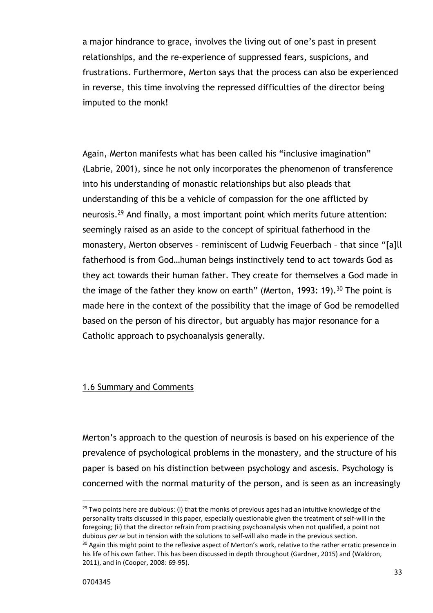a major hindrance to grace, involves the living out of one's past in present relationships, and the re-experience of suppressed fears, suspicions, and frustrations. Furthermore, Merton says that the process can also be experienced in reverse, this time involving the repressed difficulties of the director being imputed to the monk!

Again, Merton manifests what has been called his "inclusive imagination" (Labrie, 2001), since he not only incorporates the phenomenon of transference into his understanding of monastic relationships but also pleads that understanding of this be a vehicle of compassion for the one afflicted by neurosis.<sup>29</sup> And finally, a most important point which merits future attention: seemingly raised as an aside to the concept of spiritual fatherhood in the monastery, Merton observes – reminiscent of Ludwig Feuerbach – that since "[a]ll fatherhood is from God…human beings instinctively tend to act towards God as they act towards their human father. They create for themselves a God made in the image of the father they know on earth" (Merton, 1993: 19).<sup>30</sup> The point is made here in the context of the possibility that the image of God be remodelled based on the person of his director, but arguably has major resonance for a Catholic approach to psychoanalysis generally.

#### 1.6 Summary and Comments

Merton's approach to the question of neurosis is based on his experience of the prevalence of psychological problems in the monastery, and the structure of his paper is based on his distinction between psychology and ascesis. Psychology is concerned with the normal maturity of the person, and is seen as an increasingly

<sup>29</sup> Two points here are dubious: (i) that the monks of previous ages had an intuitive knowledge of the personality traits discussed in this paper, especially questionable given the treatment of self-will in the foregoing; (ii) that the director refrain from practising psychoanalysis when not qualified, a point not dubious *per se* but in tension with the solutions to self-will also made in the previous section.

<sup>&</sup>lt;sup>30</sup> Again this might point to the reflexive aspect of Merton's work, relative to the rather erratic presence in his life of his own father. This has been discussed in depth throughout (Gardner, 2015) and (Waldron, 2011), and in (Cooper, 2008: 69-95).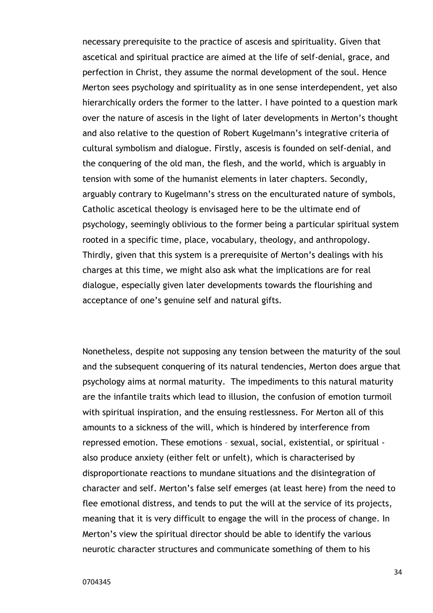necessary prerequisite to the practice of ascesis and spirituality. Given that ascetical and spiritual practice are aimed at the life of self-denial, grace, and perfection in Christ, they assume the normal development of the soul. Hence Merton sees psychology and spirituality as in one sense interdependent, yet also hierarchically orders the former to the latter. I have pointed to a question mark over the nature of ascesis in the light of later developments in Merton's thought and also relative to the question of Robert Kugelmann's integrative criteria of cultural symbolism and dialogue. Firstly, ascesis is founded on self-denial, and the conquering of the old man, the flesh, and the world, which is arguably in tension with some of the humanist elements in later chapters. Secondly, arguably contrary to Kugelmann's stress on the enculturated nature of symbols, Catholic ascetical theology is envisaged here to be the ultimate end of psychology, seemingly oblivious to the former being a particular spiritual system rooted in a specific time, place, vocabulary, theology, and anthropology. Thirdly, given that this system is a prerequisite of Merton's dealings with his charges at this time, we might also ask what the implications are for real dialogue, especially given later developments towards the flourishing and acceptance of one's genuine self and natural gifts.

Nonetheless, despite not supposing any tension between the maturity of the soul and the subsequent conquering of its natural tendencies, Merton does argue that psychology aims at normal maturity. The impediments to this natural maturity are the infantile traits which lead to illusion, the confusion of emotion turmoil with spiritual inspiration, and the ensuing restlessness. For Merton all of this amounts to a sickness of the will, which is hindered by interference from repressed emotion. These emotions – sexual, social, existential, or spiritual also produce anxiety (either felt or unfelt), which is characterised by disproportionate reactions to mundane situations and the disintegration of character and self. Merton's false self emerges (at least here) from the need to flee emotional distress, and tends to put the will at the service of its projects, meaning that it is very difficult to engage the will in the process of change. In Merton's view the spiritual director should be able to identify the various neurotic character structures and communicate something of them to his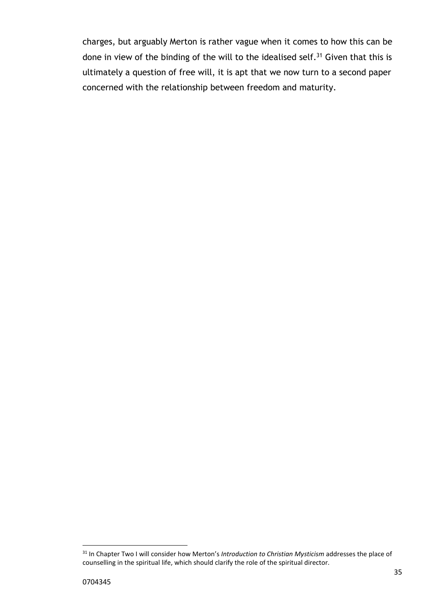charges, but arguably Merton is rather vague when it comes to how this can be done in view of the binding of the will to the idealised self.<sup>31</sup> Given that this is ultimately a question of free will, it is apt that we now turn to a second paper concerned with the relationship between freedom and maturity.

<sup>31</sup> In Chapter Two I will consider how Merton's *Introduction to Christian Mysticism* addresses the place of counselling in the spiritual life, which should clarify the role of the spiritual director.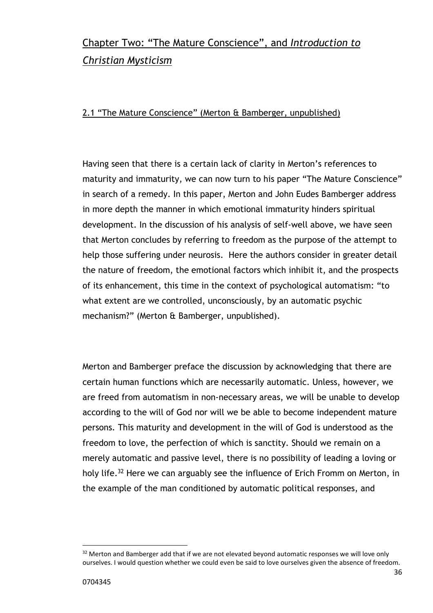# Chapter Two: "The Mature Conscience", and *Introduction to Christian Mysticism*

# 2.1 "The Mature Conscience" (Merton & Bamberger, unpublished)

Having seen that there is a certain lack of clarity in Merton's references to maturity and immaturity, we can now turn to his paper "The Mature Conscience" in search of a remedy. In this paper, Merton and John Eudes Bamberger address in more depth the manner in which emotional immaturity hinders spiritual development. In the discussion of his analysis of self-well above, we have seen that Merton concludes by referring to freedom as the purpose of the attempt to help those suffering under neurosis. Here the authors consider in greater detail the nature of freedom, the emotional factors which inhibit it, and the prospects of its enhancement, this time in the context of psychological automatism: "to what extent are we controlled, unconsciously, by an automatic psychic mechanism?" (Merton & Bamberger, unpublished).

Merton and Bamberger preface the discussion by acknowledging that there are certain human functions which are necessarily automatic. Unless, however, we are freed from automatism in non-necessary areas, we will be unable to develop according to the will of God nor will we be able to become independent mature persons. This maturity and development in the will of God is understood as the freedom to love, the perfection of which is sanctity. Should we remain on a merely automatic and passive level, there is no possibility of leading a loving or holy life.<sup>32</sup> Here we can arguably see the influence of Erich Fromm on Merton, in the example of the man conditioned by automatic political responses, and

l

 $32$  Merton and Bamberger add that if we are not elevated beyond automatic responses we will love only ourselves. I would question whether we could even be said to love ourselves given the absence of freedom.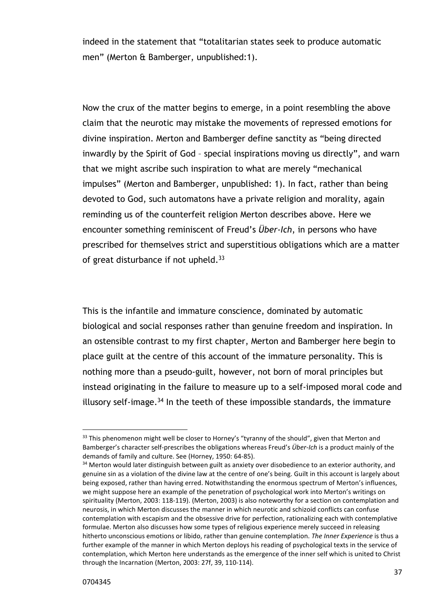indeed in the statement that "totalitarian states seek to produce automatic men" (Merton & Bamberger, unpublished:1).

Now the crux of the matter begins to emerge, in a point resembling the above claim that the neurotic may mistake the movements of repressed emotions for divine inspiration. Merton and Bamberger define sanctity as "being directed inwardly by the Spirit of God – special inspirations moving us directly", and warn that we might ascribe such inspiration to what are merely "mechanical impulses" (Merton and Bamberger, unpublished: 1). In fact, rather than being devoted to God, such automatons have a private religion and morality, again reminding us of the counterfeit religion Merton describes above. Here we encounter something reminiscent of Freud's *Über-Ich*, in persons who have prescribed for themselves strict and superstitious obligations which are a matter of great disturbance if not upheld. $33$ 

This is the infantile and immature conscience, dominated by automatic biological and social responses rather than genuine freedom and inspiration. In an ostensible contrast to my first chapter, Merton and Bamberger here begin to place guilt at the centre of this account of the immature personality. This is nothing more than a pseudo-guilt, however, not born of moral principles but instead originating in the failure to measure up to a self-imposed moral code and illusory self-image.<sup>34</sup> In the teeth of these impossible standards, the immature

<sup>&</sup>lt;sup>33</sup> This phenomenon might well be closer to Horney's "tyranny of the should", given that Merton and Bamberger's character self-prescribes the obligations whereas Freud's *Über-Ich* is a product mainly of the demands of family and culture. See (Horney, 1950: 64-85).

<sup>&</sup>lt;sup>34</sup> Merton would later distinguish between guilt as anxiety over disobedience to an exterior authority, and genuine sin as a violation of the divine law at the centre of one's being. Guilt in this account is largely about being exposed, rather than having erred. Notwithstanding the enormous spectrum of Merton's influences, we might suppose here an example of the penetration of psychological work into Merton's writings on spirituality (Merton, 2003: 118-119). (Merton, 2003) is also noteworthy for a section on contemplation and neurosis, in which Merton discusses the manner in which neurotic and schizoid conflicts can confuse contemplation with escapism and the obsessive drive for perfection, rationalizing each with contemplative formulae. Merton also discusses how some types of religious experience merely succeed in releasing hitherto unconscious emotions or libido, rather than genuine contemplation. *The Inner Experience* is thus a further example of the manner in which Merton deploys his reading of psychological texts in the service of contemplation, which Merton here understands as the emergence of the inner self which is united to Christ through the Incarnation (Merton, 2003: 27f, 39, 110-114).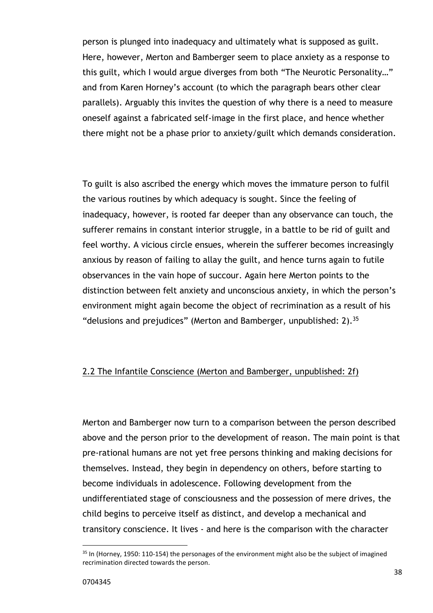person is plunged into inadequacy and ultimately what is supposed as guilt. Here, however, Merton and Bamberger seem to place anxiety as a response to this guilt, which I would argue diverges from both "The Neurotic Personality…" and from Karen Horney's account (to which the paragraph bears other clear parallels). Arguably this invites the question of why there is a need to measure oneself against a fabricated self-image in the first place, and hence whether there might not be a phase prior to anxiety/guilt which demands consideration.

To guilt is also ascribed the energy which moves the immature person to fulfil the various routines by which adequacy is sought. Since the feeling of inadequacy, however, is rooted far deeper than any observance can touch, the sufferer remains in constant interior struggle, in a battle to be rid of guilt and feel worthy. A vicious circle ensues, wherein the sufferer becomes increasingly anxious by reason of failing to allay the guilt, and hence turns again to futile observances in the vain hope of succour. Again here Merton points to the distinction between felt anxiety and unconscious anxiety, in which the person's environment might again become the object of recrimination as a result of his "delusions and prejudices" (Merton and Bamberger, unpublished:  $2$ ).<sup>35</sup>

# 2.2 The Infantile Conscience (Merton and Bamberger, unpublished: 2f)

Merton and Bamberger now turn to a comparison between the person described above and the person prior to the development of reason. The main point is that pre-rational humans are not yet free persons thinking and making decisions for themselves. Instead, they begin in dependency on others, before starting to become individuals in adolescence. Following development from the undifferentiated stage of consciousness and the possession of mere drives, the child begins to perceive itself as distinct, and develop a mechanical and transitory conscience. It lives - and here is the comparison with the character

l

 $35$  In (Horney, 1950: 110-154) the personages of the environment might also be the subject of imagined recrimination directed towards the person.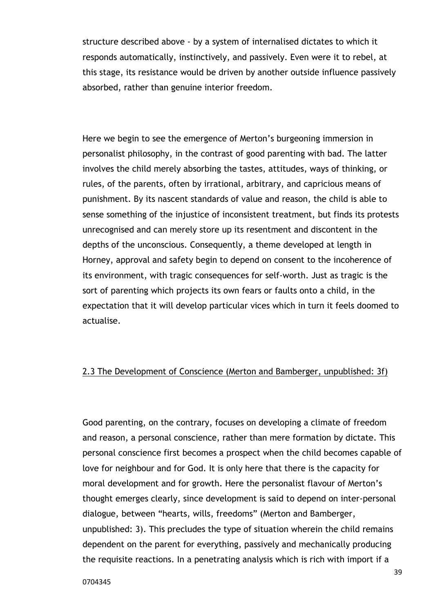structure described above - by a system of internalised dictates to which it responds automatically, instinctively, and passively. Even were it to rebel, at this stage, its resistance would be driven by another outside influence passively absorbed, rather than genuine interior freedom.

Here we begin to see the emergence of Merton's burgeoning immersion in personalist philosophy, in the contrast of good parenting with bad. The latter involves the child merely absorbing the tastes, attitudes, ways of thinking, or rules, of the parents, often by irrational, arbitrary, and capricious means of punishment. By its nascent standards of value and reason, the child is able to sense something of the injustice of inconsistent treatment, but finds its protests unrecognised and can merely store up its resentment and discontent in the depths of the unconscious. Consequently, a theme developed at length in Horney, approval and safety begin to depend on consent to the incoherence of its environment, with tragic consequences for self-worth. Just as tragic is the sort of parenting which projects its own fears or faults onto a child, in the expectation that it will develop particular vices which in turn it feels doomed to actualise.

## 2.3 The Development of Conscience (Merton and Bamberger, unpublished: 3f)

Good parenting, on the contrary, focuses on developing a climate of freedom and reason, a personal conscience, rather than mere formation by dictate. This personal conscience first becomes a prospect when the child becomes capable of love for neighbour and for God. It is only here that there is the capacity for moral development and for growth. Here the personalist flavour of Merton's thought emerges clearly, since development is said to depend on inter-personal dialogue, between "hearts, wills, freedoms" (Merton and Bamberger, unpublished: 3). This precludes the type of situation wherein the child remains dependent on the parent for everything, passively and mechanically producing the requisite reactions. In a penetrating analysis which is rich with import if a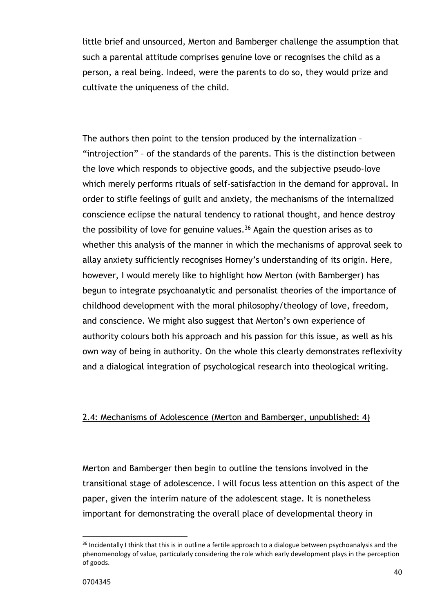little brief and unsourced, Merton and Bamberger challenge the assumption that such a parental attitude comprises genuine love or recognises the child as a person, a real being. Indeed, were the parents to do so, they would prize and cultivate the uniqueness of the child.

The authors then point to the tension produced by the internalization – "introjection" – of the standards of the parents. This is the distinction between the love which responds to objective goods, and the subjective pseudo-love which merely performs rituals of self-satisfaction in the demand for approval. In order to stifle feelings of guilt and anxiety, the mechanisms of the internalized conscience eclipse the natural tendency to rational thought, and hence destroy the possibility of love for genuine values.<sup>36</sup> Again the question arises as to whether this analysis of the manner in which the mechanisms of approval seek to allay anxiety sufficiently recognises Horney's understanding of its origin. Here, however, I would merely like to highlight how Merton (with Bamberger) has begun to integrate psychoanalytic and personalist theories of the importance of childhood development with the moral philosophy/theology of love, freedom, and conscience. We might also suggest that Merton's own experience of authority colours both his approach and his passion for this issue, as well as his own way of being in authority. On the whole this clearly demonstrates reflexivity and a dialogical integration of psychological research into theological writing.

#### 2.4: Mechanisms of Adolescence (Merton and Bamberger, unpublished: 4)

Merton and Bamberger then begin to outline the tensions involved in the transitional stage of adolescence. I will focus less attention on this aspect of the paper, given the interim nature of the adolescent stage. It is nonetheless important for demonstrating the overall place of developmental theory in

<sup>&</sup>lt;sup>36</sup> Incidentally I think that this is in outline a fertile approach to a dialogue between psychoanalysis and the phenomenology of value, particularly considering the role which early development plays in the perception of goods.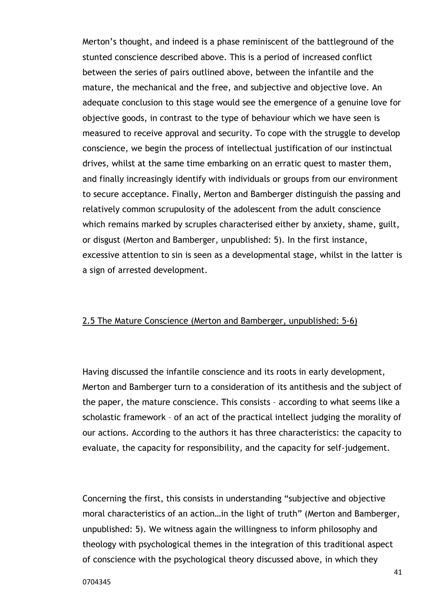Merton's thought, and indeed is a phase reminiscent of the battleground of the stunted conscience described above. This is a period of increased conflict between the series of pairs outlined above, between the infantile and the mature, the mechanical and the free, and subjective and objective love. An adequate conclusion to this stage would see the emergence of a genuine love for objective goods, in contrast to the type of behaviour which we have seen is measured to receive approval and security. To cope with the struggle to develop conscience, we begin the process of intellectual justification of our instinctual drives, whilst at the same time embarking on an erratic quest to master them, and finally increasingly identify with individuals or groups from our environment to secure acceptance. Finally, Merton and Bamberger distinguish the passing and relatively common scrupulosity of the adolescent from the adult conscience which remains marked by scruples characterised either by anxiety, shame, guilt, or disgust (Merton and Bamberger, unpublished: 5). In the first instance, excessive attention to sin is seen as a developmental stage, whilst in the latter is a sign of arrested development.

#### 2.5 The Mature Conscience (Merton and Bamberger, unpublished: 5-6)

Having discussed the infantile conscience and its roots in early development, Merton and Bamberger turn to a consideration of its antithesis and the subject of the paper, the mature conscience. This consists – according to what seems like a scholastic framework – of an act of the practical intellect judging the morality of our actions. According to the authors it has three characteristics: the capacity to evaluate, the capacity for responsibility, and the capacity for self-judgement.

Concerning the first, this consists in understanding "subjective and objective moral characteristics of an action…in the light of truth" (Merton and Bamberger, unpublished: 5). We witness again the willingness to inform philosophy and theology with psychological themes in the integration of this traditional aspect of conscience with the psychological theory discussed above, in which they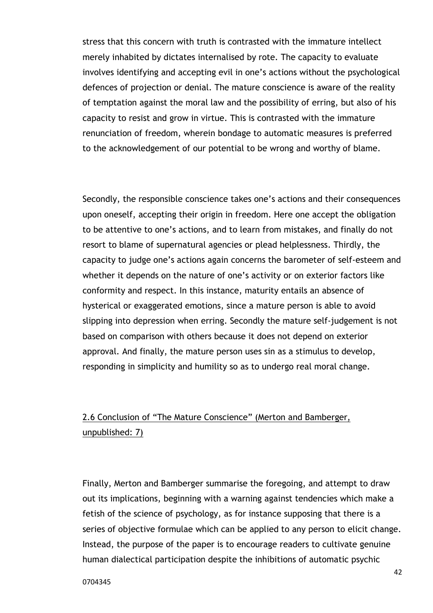stress that this concern with truth is contrasted with the immature intellect merely inhabited by dictates internalised by rote. The capacity to evaluate involves identifying and accepting evil in one's actions without the psychological defences of projection or denial. The mature conscience is aware of the reality of temptation against the moral law and the possibility of erring, but also of his capacity to resist and grow in virtue. This is contrasted with the immature renunciation of freedom, wherein bondage to automatic measures is preferred to the acknowledgement of our potential to be wrong and worthy of blame.

Secondly, the responsible conscience takes one's actions and their consequences upon oneself, accepting their origin in freedom. Here one accept the obligation to be attentive to one's actions, and to learn from mistakes, and finally do not resort to blame of supernatural agencies or plead helplessness. Thirdly, the capacity to judge one's actions again concerns the barometer of self-esteem and whether it depends on the nature of one's activity or on exterior factors like conformity and respect. In this instance, maturity entails an absence of hysterical or exaggerated emotions, since a mature person is able to avoid slipping into depression when erring. Secondly the mature self-judgement is not based on comparison with others because it does not depend on exterior approval. And finally, the mature person uses sin as a stimulus to develop, responding in simplicity and humility so as to undergo real moral change.

# 2.6 Conclusion of "The Mature Conscience" (Merton and Bamberger, unpublished: 7)

Finally, Merton and Bamberger summarise the foregoing, and attempt to draw out its implications, beginning with a warning against tendencies which make a fetish of the science of psychology, as for instance supposing that there is a series of objective formulae which can be applied to any person to elicit change. Instead, the purpose of the paper is to encourage readers to cultivate genuine human dialectical participation despite the inhibitions of automatic psychic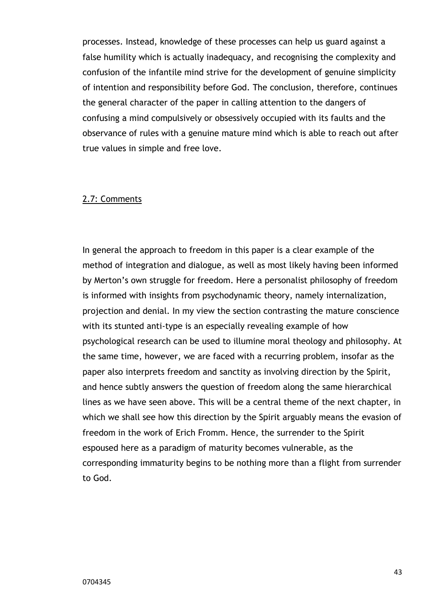processes. Instead, knowledge of these processes can help us guard against a false humility which is actually inadequacy, and recognising the complexity and confusion of the infantile mind strive for the development of genuine simplicity of intention and responsibility before God. The conclusion, therefore, continues the general character of the paper in calling attention to the dangers of confusing a mind compulsively or obsessively occupied with its faults and the observance of rules with a genuine mature mind which is able to reach out after true values in simple and free love.

## 2.7: Comments

In general the approach to freedom in this paper is a clear example of the method of integration and dialogue, as well as most likely having been informed by Merton's own struggle for freedom. Here a personalist philosophy of freedom is informed with insights from psychodynamic theory, namely internalization, projection and denial. In my view the section contrasting the mature conscience with its stunted anti-type is an especially revealing example of how psychological research can be used to illumine moral theology and philosophy. At the same time, however, we are faced with a recurring problem, insofar as the paper also interprets freedom and sanctity as involving direction by the Spirit, and hence subtly answers the question of freedom along the same hierarchical lines as we have seen above. This will be a central theme of the next chapter, in which we shall see how this direction by the Spirit arguably means the evasion of freedom in the work of Erich Fromm. Hence, the surrender to the Spirit espoused here as a paradigm of maturity becomes vulnerable, as the corresponding immaturity begins to be nothing more than a flight from surrender to God.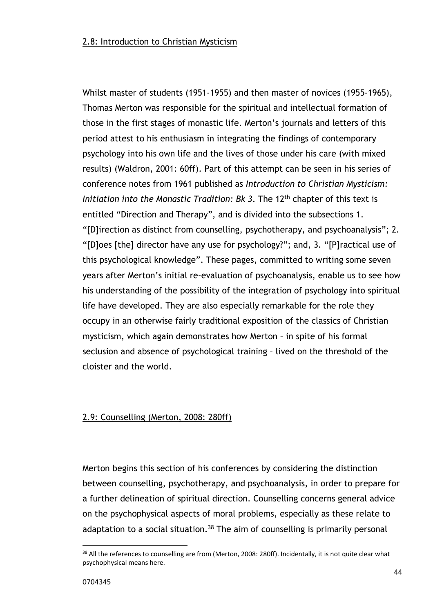Whilst master of students (1951-1955) and then master of novices (1955-1965), Thomas Merton was responsible for the spiritual and intellectual formation of those in the first stages of monastic life. Merton's journals and letters of this period attest to his enthusiasm in integrating the findings of contemporary psychology into his own life and the lives of those under his care (with mixed results) (Waldron, 2001: 60ff). Part of this attempt can be seen in his series of conference notes from 1961 published as *Introduction to Christian Mysticism: Initiation into the Monastic Tradition: Bk 3. The 12<sup>th</sup> chapter of this text is* entitled "Direction and Therapy", and is divided into the subsections 1. "[D]irection as distinct from counselling, psychotherapy, and psychoanalysis"; 2. "[D]oes [the] director have any use for psychology?"; and, 3. "[P]ractical use of this psychological knowledge". These pages, committed to writing some seven years after Merton's initial re-evaluation of psychoanalysis, enable us to see how his understanding of the possibility of the integration of psychology into spiritual life have developed. They are also especially remarkable for the role they occupy in an otherwise fairly traditional exposition of the classics of Christian mysticism, which again demonstrates how Merton – in spite of his formal seclusion and absence of psychological training – lived on the threshold of the cloister and the world.

#### 2.9: Counselling (Merton, 2008: 280ff)

Merton begins this section of his conferences by considering the distinction between counselling, psychotherapy, and psychoanalysis, in order to prepare for a further delineation of spiritual direction. Counselling concerns general advice on the psychophysical aspects of moral problems, especially as these relate to adaptation to a social situation.<sup>38</sup> The aim of counselling is primarily personal

l

<sup>&</sup>lt;sup>38</sup> All the references to counselling are from (Merton, 2008: 280ff). Incidentally, it is not quite clear what psychophysical means here.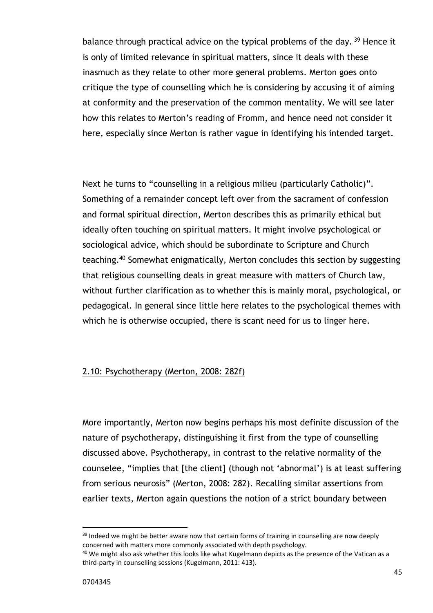balance through practical advice on the typical problems of the day.<sup>39</sup> Hence it is only of limited relevance in spiritual matters, since it deals with these inasmuch as they relate to other more general problems. Merton goes onto critique the type of counselling which he is considering by accusing it of aiming at conformity and the preservation of the common mentality. We will see later how this relates to Merton's reading of Fromm, and hence need not consider it here, especially since Merton is rather vague in identifying his intended target.

Next he turns to "counselling in a religious milieu (particularly Catholic)". Something of a remainder concept left over from the sacrament of confession and formal spiritual direction, Merton describes this as primarily ethical but ideally often touching on spiritual matters. It might involve psychological or sociological advice, which should be subordinate to Scripture and Church teaching.<sup>40</sup> Somewhat enigmatically, Merton concludes this section by suggesting that religious counselling deals in great measure with matters of Church law, without further clarification as to whether this is mainly moral, psychological, or pedagogical. In general since little here relates to the psychological themes with which he is otherwise occupied, there is scant need for us to linger here.

#### 2.10: Psychotherapy (Merton, 2008: 282f)

More importantly, Merton now begins perhaps his most definite discussion of the nature of psychotherapy, distinguishing it first from the type of counselling discussed above. Psychotherapy, in contrast to the relative normality of the counselee, "implies that [the client] (though not 'abnormal') is at least suffering from serious neurosis" (Merton, 2008: 282). Recalling similar assertions from earlier texts, Merton again questions the notion of a strict boundary between

 $39$  Indeed we might be better aware now that certain forms of training in counselling are now deeply concerned with matters more commonly associated with depth psychology.

 $40$  We might also ask whether this looks like what Kugelmann depicts as the presence of the Vatican as a third-party in counselling sessions (Kugelmann, 2011: 413).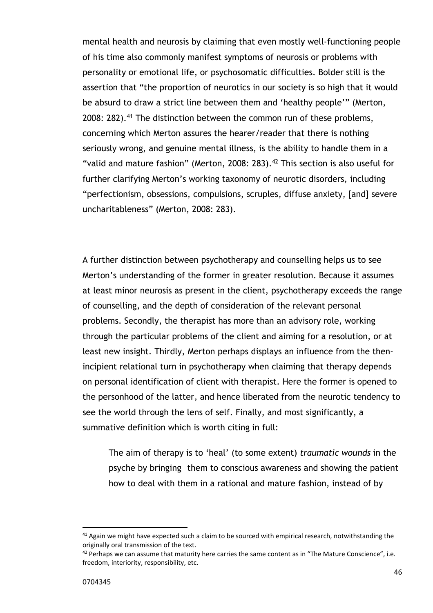mental health and neurosis by claiming that even mostly well-functioning people of his time also commonly manifest symptoms of neurosis or problems with personality or emotional life, or psychosomatic difficulties. Bolder still is the assertion that "the proportion of neurotics in our society is so high that it would be absurd to draw a strict line between them and 'healthy people'" (Merton, 2008: 282).<sup>41</sup> The distinction between the common run of these problems, concerning which Merton assures the hearer/reader that there is nothing seriously wrong, and genuine mental illness, is the ability to handle them in a "valid and mature fashion" (Merton, 2008: 283). $42$  This section is also useful for further clarifying Merton's working taxonomy of neurotic disorders, including "perfectionism, obsessions, compulsions, scruples, diffuse anxiety, [and] severe uncharitableness" (Merton, 2008: 283).

A further distinction between psychotherapy and counselling helps us to see Merton's understanding of the former in greater resolution. Because it assumes at least minor neurosis as present in the client, psychotherapy exceeds the range of counselling, and the depth of consideration of the relevant personal problems. Secondly, the therapist has more than an advisory role, working through the particular problems of the client and aiming for a resolution, or at least new insight. Thirdly, Merton perhaps displays an influence from the thenincipient relational turn in psychotherapy when claiming that therapy depends on personal identification of client with therapist. Here the former is opened to the personhood of the latter, and hence liberated from the neurotic tendency to see the world through the lens of self. Finally, and most significantly, a summative definition which is worth citing in full:

The aim of therapy is to 'heal' (to some extent) *traumatic wounds* in the psyche by bringing them to conscious awareness and showing the patient how to deal with them in a rational and mature fashion, instead of by

 $41$  Again we might have expected such a claim to be sourced with empirical research, notwithstanding the originally oral transmission of the text.

 $42$  Perhaps we can assume that maturity here carries the same content as in "The Mature Conscience", i.e. freedom, interiority, responsibility, etc.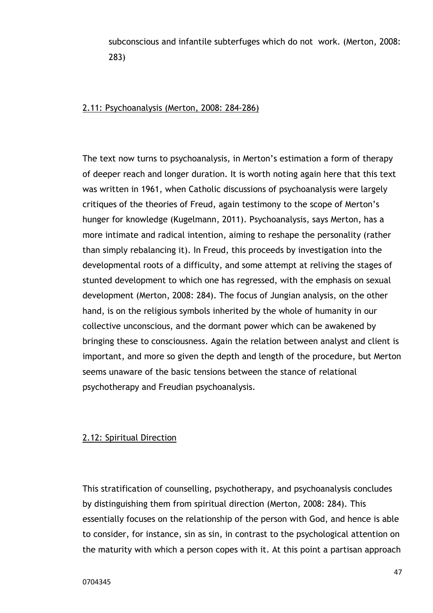subconscious and infantile subterfuges which do not work. (Merton, 2008: 283)

#### 2.11: Psychoanalysis (Merton, 2008: 284-286)

The text now turns to psychoanalysis, in Merton's estimation a form of therapy of deeper reach and longer duration. It is worth noting again here that this text was written in 1961, when Catholic discussions of psychoanalysis were largely critiques of the theories of Freud, again testimony to the scope of Merton's hunger for knowledge (Kugelmann, 2011). Psychoanalysis, says Merton, has a more intimate and radical intention, aiming to reshape the personality (rather than simply rebalancing it). In Freud, this proceeds by investigation into the developmental roots of a difficulty, and some attempt at reliving the stages of stunted development to which one has regressed, with the emphasis on sexual development (Merton, 2008: 284). The focus of Jungian analysis, on the other hand, is on the religious symbols inherited by the whole of humanity in our collective unconscious, and the dormant power which can be awakened by bringing these to consciousness. Again the relation between analyst and client is important, and more so given the depth and length of the procedure, but Merton seems unaware of the basic tensions between the stance of relational psychotherapy and Freudian psychoanalysis.

#### 2.12: Spiritual Direction

This stratification of counselling, psychotherapy, and psychoanalysis concludes by distinguishing them from spiritual direction (Merton, 2008: 284). This essentially focuses on the relationship of the person with God, and hence is able to consider, for instance, sin as sin, in contrast to the psychological attention on the maturity with which a person copes with it. At this point a partisan approach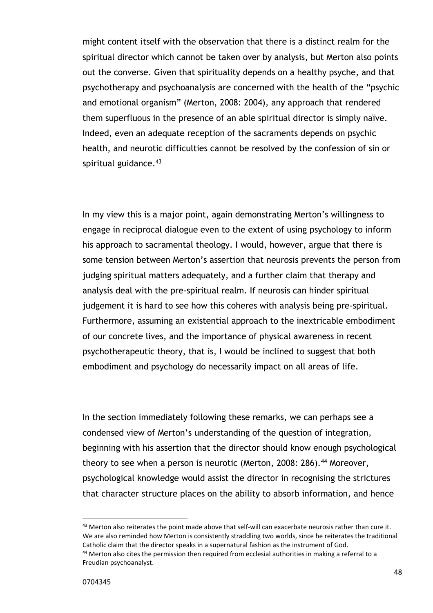might content itself with the observation that there is a distinct realm for the spiritual director which cannot be taken over by analysis, but Merton also points out the converse. Given that spirituality depends on a healthy psyche, and that psychotherapy and psychoanalysis are concerned with the health of the "psychic and emotional organism" (Merton, 2008: 2004), any approach that rendered them superfluous in the presence of an able spiritual director is simply naïve. Indeed, even an adequate reception of the sacraments depends on psychic health, and neurotic difficulties cannot be resolved by the confession of sin or spiritual guidance.<sup>43</sup>

In my view this is a major point, again demonstrating Merton's willingness to engage in reciprocal dialogue even to the extent of using psychology to inform his approach to sacramental theology. I would, however, argue that there is some tension between Merton's assertion that neurosis prevents the person from judging spiritual matters adequately, and a further claim that therapy and analysis deal with the pre-spiritual realm. If neurosis can hinder spiritual judgement it is hard to see how this coheres with analysis being pre-spiritual. Furthermore, assuming an existential approach to the inextricable embodiment of our concrete lives, and the importance of physical awareness in recent psychotherapeutic theory, that is, I would be inclined to suggest that both embodiment and psychology do necessarily impact on all areas of life.

In the section immediately following these remarks, we can perhaps see a condensed view of Merton's understanding of the question of integration, beginning with his assertion that the director should know enough psychological theory to see when a person is neurotic (Merton, 2008: 286).<sup>44</sup> Moreover, psychological knowledge would assist the director in recognising the strictures that character structure places on the ability to absorb information, and hence

 $43$  Merton also reiterates the point made above that self-will can exacerbate neurosis rather than cure it. We are also reminded how Merton is consistently straddling two worlds, since he reiterates the traditional Catholic claim that the director speaks in a supernatural fashion as the instrument of God.

<sup>&</sup>lt;sup>44</sup> Merton also cites the permission then required from ecclesial authorities in making a referral to a Freudian psychoanalyst.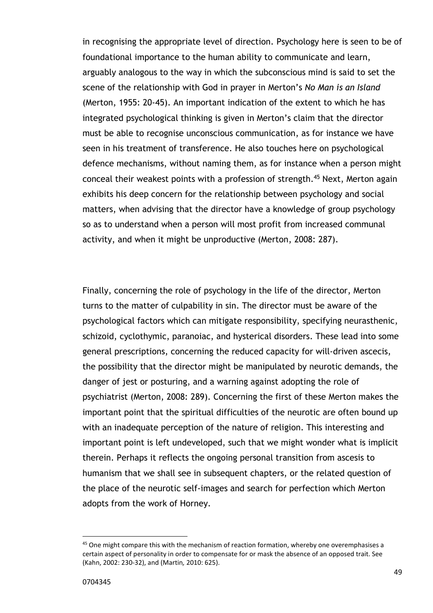in recognising the appropriate level of direction. Psychology here is seen to be of foundational importance to the human ability to communicate and learn, arguably analogous to the way in which the subconscious mind is said to set the scene of the relationship with God in prayer in Merton's *No Man is an Island*  (Merton, 1955: 20-45). An important indication of the extent to which he has integrated psychological thinking is given in Merton's claim that the director must be able to recognise unconscious communication, as for instance we have seen in his treatment of transference. He also touches here on psychological defence mechanisms, without naming them, as for instance when a person might conceal their weakest points with a profession of strength.<sup>45</sup> Next, Merton again exhibits his deep concern for the relationship between psychology and social matters, when advising that the director have a knowledge of group psychology so as to understand when a person will most profit from increased communal activity, and when it might be unproductive (Merton, 2008: 287).

Finally, concerning the role of psychology in the life of the director, Merton turns to the matter of culpability in sin. The director must be aware of the psychological factors which can mitigate responsibility, specifying neurasthenic, schizoid, cyclothymic, paranoiac, and hysterical disorders. These lead into some general prescriptions, concerning the reduced capacity for will-driven ascecis, the possibility that the director might be manipulated by neurotic demands, the danger of jest or posturing, and a warning against adopting the role of psychiatrist (Merton, 2008: 289). Concerning the first of these Merton makes the important point that the spiritual difficulties of the neurotic are often bound up with an inadequate perception of the nature of religion. This interesting and important point is left undeveloped, such that we might wonder what is implicit therein. Perhaps it reflects the ongoing personal transition from ascesis to humanism that we shall see in subsequent chapters, or the related question of the place of the neurotic self-images and search for perfection which Merton adopts from the work of Horney.

 $45$  One might compare this with the mechanism of reaction formation, whereby one overemphasises a certain aspect of personality in order to compensate for or mask the absence of an opposed trait. See (Kahn, 2002: 230-32), and (Martin*,* 2010: 625).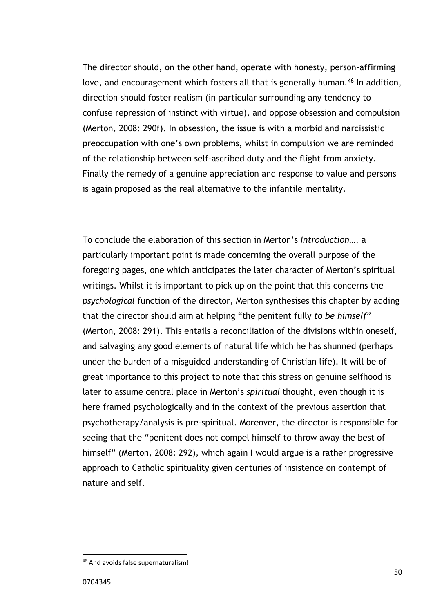The director should, on the other hand, operate with honesty, person-affirming love, and encouragement which fosters all that is generally human.<sup>46</sup> In addition, direction should foster realism (in particular surrounding any tendency to confuse repression of instinct with virtue), and oppose obsession and compulsion (Merton, 2008: 290f). In obsession, the issue is with a morbid and narcissistic preoccupation with one's own problems, whilst in compulsion we are reminded of the relationship between self-ascribed duty and the flight from anxiety. Finally the remedy of a genuine appreciation and response to value and persons is again proposed as the real alternative to the infantile mentality.

To conclude the elaboration of this section in Merton's *Introduction…*, a particularly important point is made concerning the overall purpose of the foregoing pages, one which anticipates the later character of Merton's spiritual writings. Whilst it is important to pick up on the point that this concerns the *psychological* function of the director, Merton synthesises this chapter by adding that the director should aim at helping "the penitent fully *to be himself*" (Merton, 2008: 291). This entails a reconciliation of the divisions within oneself, and salvaging any good elements of natural life which he has shunned (perhaps under the burden of a misguided understanding of Christian life). It will be of great importance to this project to note that this stress on genuine selfhood is later to assume central place in Merton's *spiritual* thought, even though it is here framed psychologically and in the context of the previous assertion that psychotherapy/analysis is pre-spiritual. Moreover, the director is responsible for seeing that the "penitent does not compel himself to throw away the best of himself" (Merton, 2008: 292), which again I would argue is a rather progressive approach to Catholic spirituality given centuries of insistence on contempt of nature and self.

<sup>46</sup> And avoids false supernaturalism!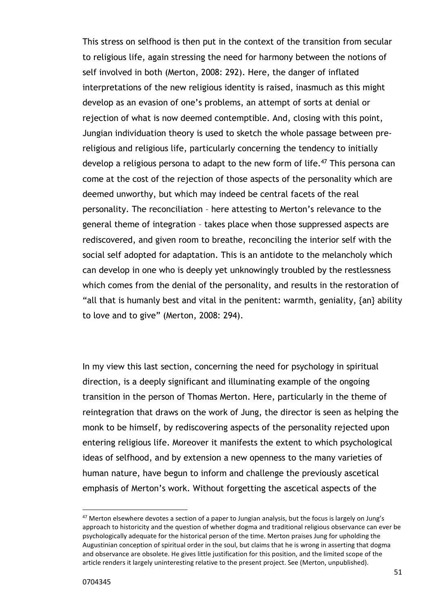This stress on selfhood is then put in the context of the transition from secular to religious life, again stressing the need for harmony between the notions of self involved in both (Merton, 2008: 292). Here, the danger of inflated interpretations of the new religious identity is raised, inasmuch as this might develop as an evasion of one's problems, an attempt of sorts at denial or rejection of what is now deemed contemptible. And, closing with this point, Jungian individuation theory is used to sketch the whole passage between prereligious and religious life, particularly concerning the tendency to initially develop a religious persona to adapt to the new form of life.<sup>47</sup> This persona can come at the cost of the rejection of those aspects of the personality which are deemed unworthy, but which may indeed be central facets of the real personality. The reconciliation – here attesting to Merton's relevance to the general theme of integration – takes place when those suppressed aspects are rediscovered, and given room to breathe, reconciling the interior self with the social self adopted for adaptation. This is an antidote to the melancholy which can develop in one who is deeply yet unknowingly troubled by the restlessness which comes from the denial of the personality, and results in the restoration of "all that is humanly best and vital in the penitent: warmth, geniality,  $\{\text{an}\}\$  ability to love and to give" (Merton, 2008: 294).

In my view this last section, concerning the need for psychology in spiritual direction, is a deeply significant and illuminating example of the ongoing transition in the person of Thomas Merton. Here, particularly in the theme of reintegration that draws on the work of Jung, the director is seen as helping the monk to be himself, by rediscovering aspects of the personality rejected upon entering religious life. Moreover it manifests the extent to which psychological ideas of selfhood, and by extension a new openness to the many varieties of human nature, have begun to inform and challenge the previously ascetical emphasis of Merton's work. Without forgetting the ascetical aspects of the

<sup>&</sup>lt;sup>47</sup> Merton elsewhere devotes a section of a paper to Jungian analysis, but the focus is largely on Jung's approach to historicity and the question of whether dogma and traditional religious observance can ever be psychologically adequate for the historical person of the time. Merton praises Jung for upholding the Augustinian conception of spiritual order in the soul, but claims that he is wrong in asserting that dogma and observance are obsolete. He gives little justification for this position, and the limited scope of the article renders it largely uninteresting relative to the present project. See (Merton, unpublished).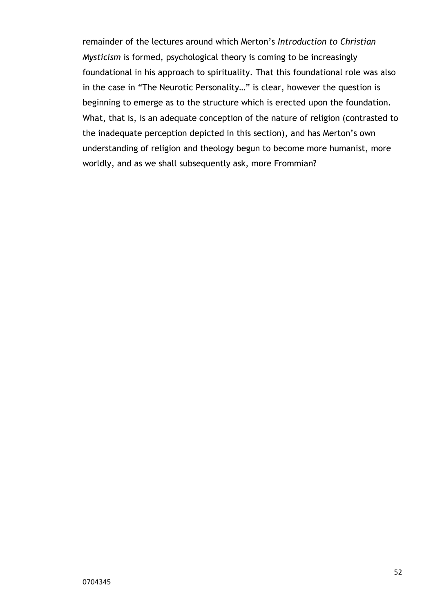remainder of the lectures around which Merton's *Introduction to Christian Mysticism* is formed, psychological theory is coming to be increasingly foundational in his approach to spirituality. That this foundational role was also in the case in "The Neurotic Personality…" is clear, however the question is beginning to emerge as to the structure which is erected upon the foundation. What, that is, is an adequate conception of the nature of religion (contrasted to the inadequate perception depicted in this section), and has Merton's own understanding of religion and theology begun to become more humanist, more worldly, and as we shall subsequently ask, more Frommian?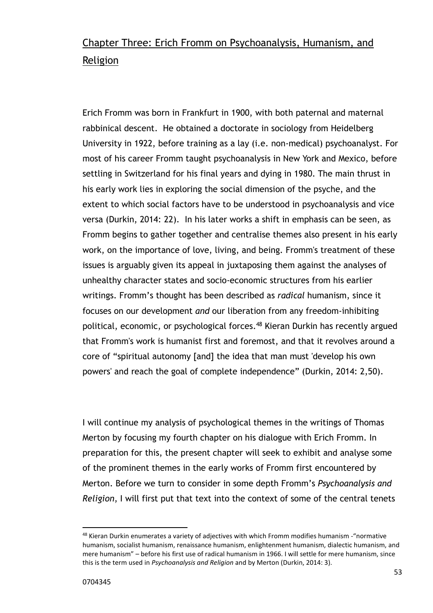# Chapter Three: Erich Fromm on Psychoanalysis, Humanism, and Religion

Erich Fromm was born in Frankfurt in 1900, with both paternal and maternal rabbinical descent. He obtained a doctorate in sociology from Heidelberg University in 1922, before training as a lay (i.e. non-medical) psychoanalyst. For most of his career Fromm taught psychoanalysis in New York and Mexico, before settling in Switzerland for his final years and dying in 1980. The main thrust in his early work lies in exploring the social dimension of the psyche, and the extent to which social factors have to be understood in psychoanalysis and vice versa (Durkin, 2014: 22). In his later works a shift in emphasis can be seen, as Fromm begins to gather together and centralise themes also present in his early work, on the importance of love, living, and being. Fromm's treatment of these issues is arguably given its appeal in juxtaposing them against the analyses of unhealthy character states and socio-economic structures from his earlier writings. Fromm's thought has been described as *radical* humanism, since it focuses on our development *and* our liberation from any freedom-inhibiting political, economic, or psychological forces.<sup>48</sup> Kieran Durkin has recently argued that Fromm's work is humanist first and foremost, and that it revolves around a core of "spiritual autonomy [and] the idea that man must 'develop his own powers' and reach the goal of complete independence" (Durkin, 2014: 2,50).

I will continue my analysis of psychological themes in the writings of Thomas Merton by focusing my fourth chapter on his dialogue with Erich Fromm. In preparation for this, the present chapter will seek to exhibit and analyse some of the prominent themes in the early works of Fromm first encountered by Merton. Before we turn to consider in some depth Fromm's *Psychoanalysis and Religion*, I will first put that text into the context of some of the central tenets

<sup>48</sup> Kieran Durkin enumerates a variety of adjectives with which Fromm modifies humanism - "normative humanism, socialist humanism, renaissance humanism, enlightenment humanism, dialectic humanism, and mere humanism" – before his first use of radical humanism in 1966. I will settle for mere humanism, since this is the term used in *Psychoanalysis and Religion* and by Merton (Durkin, 2014: 3).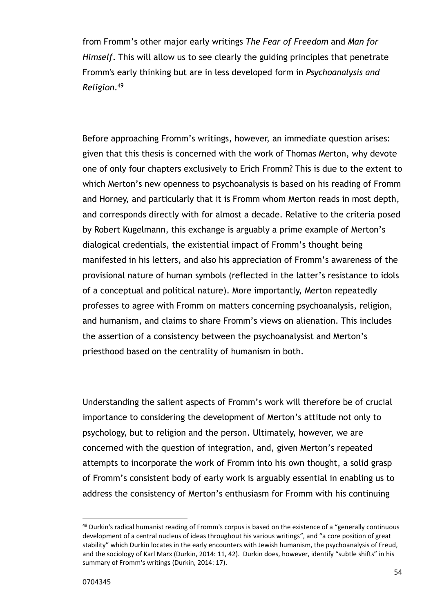from Fromm's other major early writings *The Fear of Freedom* and *Man for Himself*. This will allow us to see clearly the guiding principles that penetrate Fromm's early thinking but are in less developed form in *Psychoanalysis and Religion*. 49

Before approaching Fromm's writings, however, an immediate question arises: given that this thesis is concerned with the work of Thomas Merton, why devote one of only four chapters exclusively to Erich Fromm? This is due to the extent to which Merton's new openness to psychoanalysis is based on his reading of Fromm and Horney, and particularly that it is Fromm whom Merton reads in most depth, and corresponds directly with for almost a decade. Relative to the criteria posed by Robert Kugelmann, this exchange is arguably a prime example of Merton's dialogical credentials, the existential impact of Fromm's thought being manifested in his letters, and also his appreciation of Fromm's awareness of the provisional nature of human symbols (reflected in the latter's resistance to idols of a conceptual and political nature). More importantly, Merton repeatedly professes to agree with Fromm on matters concerning psychoanalysis, religion, and humanism, and claims to share Fromm's views on alienation. This includes the assertion of a consistency between the psychoanalysist and Merton's priesthood based on the centrality of humanism in both.

Understanding the salient aspects of Fromm's work will therefore be of crucial importance to considering the development of Merton's attitude not only to psychology, but to religion and the person. Ultimately, however, we are concerned with the question of integration, and, given Merton's repeated attempts to incorporate the work of Fromm into his own thought, a solid grasp of Fromm's consistent body of early work is arguably essential in enabling us to address the consistency of Merton's enthusiasm for Fromm with his continuing

<sup>&</sup>lt;sup>49</sup> Durkin's radical humanist reading of Fromm's corpus is based on the existence of a "generally continuous" development of a central nucleus of ideas throughout his various writings", and "a core position of great stability" which Durkin locates in the early encounters with Jewish humanism, the psychoanalysis of Freud, and the sociology of Karl Marx (Durkin, 2014: 11, 42). Durkin does, however, identify "subtle shifts" in his summary of Fromm's writings (Durkin, 2014: 17).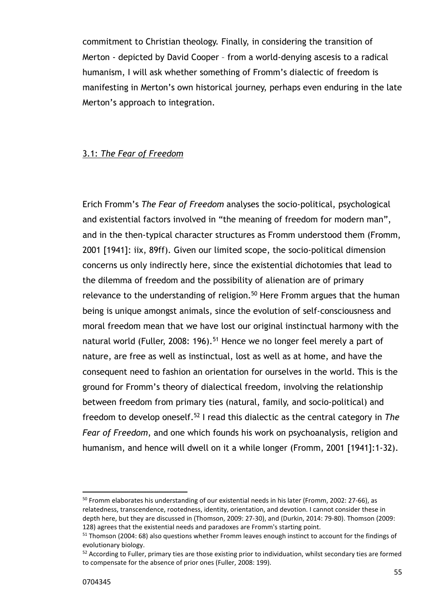commitment to Christian theology. Finally, in considering the transition of Merton - depicted by David Cooper – from a world-denying ascesis to a radical humanism, I will ask whether something of Fromm's dialectic of freedom is manifesting in Merton's own historical journey, perhaps even enduring in the late Merton's approach to integration.

#### 3.1: *The Fear of Freedom*

Erich Fromm's *The Fear of Freedom* analyses the socio-political, psychological and existential factors involved in "the meaning of freedom for modern man", and in the then-typical character structures as Fromm understood them (Fromm, 2001 [1941]: iix, 89ff). Given our limited scope, the socio-political dimension concerns us only indirectly here, since the existential dichotomies that lead to the dilemma of freedom and the possibility of alienation are of primary relevance to the understanding of religion.<sup>50</sup> Here Fromm argues that the human being is unique amongst animals, since the evolution of self-consciousness and moral freedom mean that we have lost our original instinctual harmony with the natural world (Fuller, 2008: 196).<sup>51</sup> Hence we no longer feel merely a part of nature, are free as well as instinctual, lost as well as at home, and have the consequent need to fashion an orientation for ourselves in the world. This is the ground for Fromm's theory of dialectical freedom, involving the relationship between freedom from primary ties (natural, family, and socio-political) and freedom to develop oneself.<sup>52</sup> I read this dialectic as the central category in *The Fear of Freedom*, and one which founds his work on psychoanalysis, religion and humanism, and hence will dwell on it a while longer (Fromm, 2001 [1941]:1-32).

<sup>&</sup>lt;sup>50</sup> Fromm elaborates his understanding of our existential needs in his later (Fromm, 2002: 27-66), as relatedness, transcendence, rootedness, identity, orientation, and devotion. I cannot consider these in depth here, but they are discussed in (Thomson, 2009: 27-30), and (Durkin, 2014: 79-80). Thomson (2009: 128) agrees that the existential needs and paradoxes are Fromm's starting point.

<sup>51</sup> Thomson (2004: 68) also questions whether Fromm leaves enough instinct to account for the findings of evolutionary biology.

<sup>&</sup>lt;sup>52</sup> According to Fuller, primary ties are those existing prior to individuation, whilst secondary ties are formed to compensate for the absence of prior ones (Fuller, 2008: 199).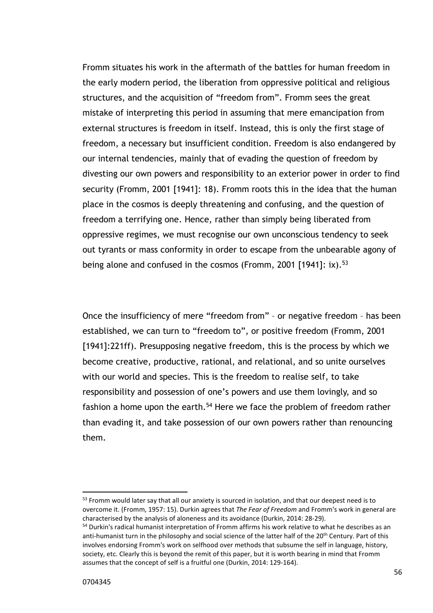Fromm situates his work in the aftermath of the battles for human freedom in the early modern period, the liberation from oppressive political and religious structures, and the acquisition of "freedom from". Fromm sees the great mistake of interpreting this period in assuming that mere emancipation from external structures is freedom in itself. Instead, this is only the first stage of freedom, a necessary but insufficient condition. Freedom is also endangered by our internal tendencies, mainly that of evading the question of freedom by divesting our own powers and responsibility to an exterior power in order to find security (Fromm, 2001 [1941]: 18). Fromm roots this in the idea that the human place in the cosmos is deeply threatening and confusing, and the question of freedom a terrifying one. Hence, rather than simply being liberated from oppressive regimes, we must recognise our own unconscious tendency to seek out tyrants or mass conformity in order to escape from the unbearable agony of being alone and confused in the cosmos (Fromm, 2001 [1941]: ix).<sup>53</sup>

Once the insufficiency of mere "freedom from" – or negative freedom – has been established, we can turn to "freedom to", or positive freedom (Fromm, 2001 [1941]:221ff). Presupposing negative freedom, this is the process by which we become creative, productive, rational, and relational, and so unite ourselves with our world and species. This is the freedom to realise self, to take responsibility and possession of one's powers and use them lovingly, and so fashion a home upon the earth.<sup>54</sup> Here we face the problem of freedom rather than evading it, and take possession of our own powers rather than renouncing them.

<sup>&</sup>lt;sup>53</sup> Fromm would later say that all our anxiety is sourced in isolation, and that our deepest need is to overcome it. (Fromm, 1957: 15). Durkin agrees that *The Fear of Freedom* and Fromm's work in general are characterised by the analysis of aloneness and its avoidance (Durkin, 2014: 28-29).

<sup>&</sup>lt;sup>54</sup> Durkin's radical humanist interpretation of Fromm affirms his work relative to what he describes as an anti-humanist turn in the philosophy and social science of the latter half of the 20<sup>th</sup> Century. Part of this involves endorsing Fromm's work on selfhood over methods that subsume the self in language, history, society, etc. Clearly this is beyond the remit of this paper, but it is worth bearing in mind that Fromm assumes that the concept of self is a fruitful one (Durkin, 2014: 129-164).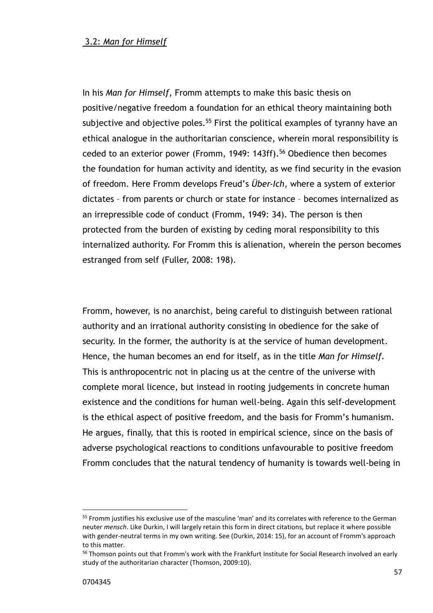#### 3.2: *Man for Himself*

In his *Man for Himself*, Fromm attempts to make this basic thesis on positive/negative freedom a foundation for an ethical theory maintaining both subjective and objective poles.<sup>55</sup> First the political examples of tyranny have an ethical analogue in the authoritarian conscience, wherein moral responsibility is ceded to an exterior power (Fromm, 1949: 143ff).<sup>56</sup> Obedience then becomes the foundation for human activity and identity, as we find security in the evasion of freedom. Here Fromm develops Freud's *Über-Ich*, where a system of exterior dictates – from parents or church or state for instance – becomes internalized as an irrepressible code of conduct (Fromm, 1949: 34). The person is then protected from the burden of existing by ceding moral responsibility to this internalized authority. For Fromm this is alienation, wherein the person becomes estranged from self (Fuller, 2008: 198).

Fromm, however, is no anarchist, being careful to distinguish between rational authority and an irrational authority consisting in obedience for the sake of security. In the former, the authority is at the service of human development. Hence, the human becomes an end for itself, as in the title *Man for Himself.*  This is anthropocentric not in placing us at the centre of the universe with complete moral licence, but instead in rooting judgements in concrete human existence and the conditions for human well-being. Again this self-development is the ethical aspect of positive freedom, and the basis for Fromm's humanism. He argues, finally, that this is rooted in empirical science, since on the basis of adverse psychological reactions to conditions unfavourable to positive freedom Fromm concludes that the natural tendency of humanity is towards well-being in

<sup>55</sup> Fromm justifies his exclusive use of the masculine 'man' and its correlates with reference to the German neuter *mensch*. Like Durkin, I will largely retain this form in direct citations, but replace it where possible with gender-neutral terms in my own writing. See (Durkin, 2014: 15), for an account of Fromm's approach to this matter.

<sup>&</sup>lt;sup>56</sup> Thomson points out that Fromm's work with the Frankfurt Institute for Social Research involved an early study of the authoritarian character (Thomson, 2009:10).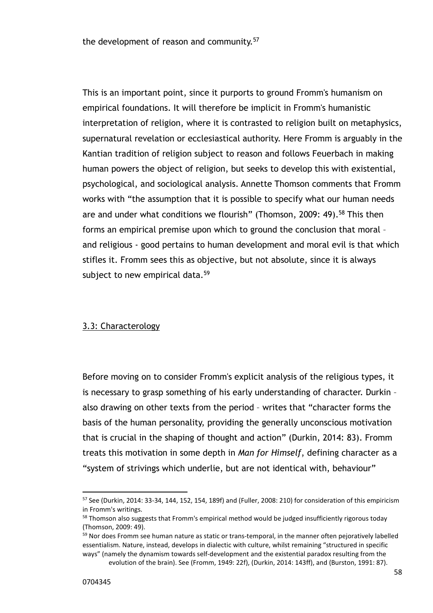the development of reason and community.<sup>57</sup>

This is an important point, since it purports to ground Fromm's humanism on empirical foundations. It will therefore be implicit in Fromm's humanistic interpretation of religion, where it is contrasted to religion built on metaphysics, supernatural revelation or ecclesiastical authority. Here Fromm is arguably in the Kantian tradition of religion subject to reason and follows Feuerbach in making human powers the object of religion, but seeks to develop this with existential, psychological, and sociological analysis. Annette Thomson comments that Fromm works with "the assumption that it is possible to specify what our human needs are and under what conditions we flourish" (Thomson, 2009: 49).<sup>58</sup> This then forms an empirical premise upon which to ground the conclusion that moral – and religious - good pertains to human development and moral evil is that which stifles it. Fromm sees this as objective, but not absolute, since it is always subject to new empirical data.<sup>59</sup>

#### 3.3: Characterology

Before moving on to consider Fromm's explicit analysis of the religious types, it is necessary to grasp something of his early understanding of character. Durkin – also drawing on other texts from the period – writes that "character forms the basis of the human personality, providing the generally unconscious motivation that is crucial in the shaping of thought and action" (Durkin, 2014: 83). Fromm treats this motivation in some depth in *Man for Himself*, defining character as a "system of strivings which underlie, but are not identical with, behaviour"

<sup>57</sup> See (Durkin, 2014: 33-34, 144, 152, 154, 189f) and (Fuller, 2008: 210) for consideration of this empiricism in Fromm's writings.

<sup>&</sup>lt;sup>58</sup> Thomson also suggests that Fromm's empirical method would be judged insufficiently rigorous today (Thomson, 2009: 49).

<sup>&</sup>lt;sup>59</sup> Nor does Fromm see human nature as static or trans-temporal, in the manner often pejoratively labelled essentialism. Nature, instead, develops in dialectic with culture, whilst remaining "structured in specific ways" (namely the dynamism towards self-development and the existential paradox resulting from the evolution of the brain). See (Fromm, 1949: 22f), (Durkin, 2014: 143ff), and (Burston, 1991: 87).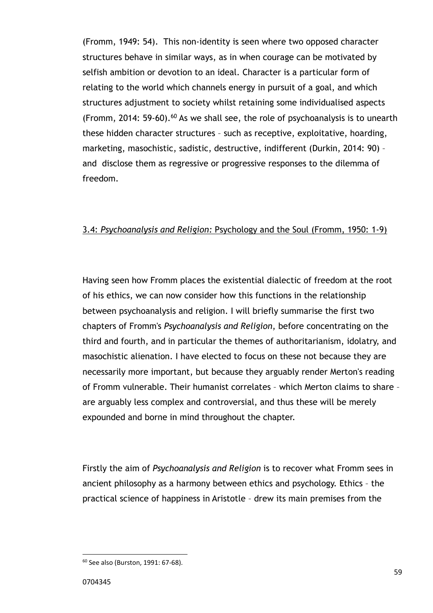(Fromm, 1949: 54). This non-identity is seen where two opposed character structures behave in similar ways, as in when courage can be motivated by selfish ambition or devotion to an ideal. Character is a particular form of relating to the world which channels energy in pursuit of a goal, and which structures adjustment to society whilst retaining some individualised aspects (Fromm, 2014:  $59-60$ ).<sup>60</sup> As we shall see, the role of psychoanalysis is to unearth these hidden character structures – such as receptive, exploitative, hoarding, marketing, masochistic, sadistic, destructive, indifferent (Durkin, 2014: 90) – and disclose them as regressive or progressive responses to the dilemma of freedom.

# 3.4: *Psychoanalysis and Religion:* Psychology and the Soul (Fromm, 1950: 1-9)

Having seen how Fromm places the existential dialectic of freedom at the root of his ethics, we can now consider how this functions in the relationship between psychoanalysis and religion. I will briefly summarise the first two chapters of Fromm's *Psychoanalysis and Religion*, before concentrating on the third and fourth, and in particular the themes of authoritarianism, idolatry, and masochistic alienation. I have elected to focus on these not because they are necessarily more important, but because they arguably render Merton's reading of Fromm vulnerable. Their humanist correlates – which Merton claims to share – are arguably less complex and controversial, and thus these will be merely expounded and borne in mind throughout the chapter.

Firstly the aim of *Psychoanalysis and Religion* is to recover what Fromm sees in ancient philosophy as a harmony between ethics and psychology. Ethics – the practical science of happiness in Aristotle – drew its main premises from the

<sup>60</sup> See also (Burston, 1991: 67-68).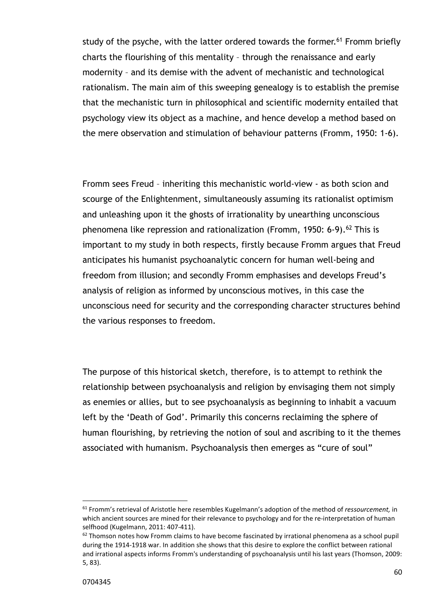study of the psyche, with the latter ordered towards the former.<sup>61</sup> Fromm briefly charts the flourishing of this mentality – through the renaissance and early modernity – and its demise with the advent of mechanistic and technological rationalism. The main aim of this sweeping genealogy is to establish the premise that the mechanistic turn in philosophical and scientific modernity entailed that psychology view its object as a machine, and hence develop a method based on the mere observation and stimulation of behaviour patterns (Fromm, 1950: 1-6).

Fromm sees Freud – inheriting this mechanistic world-view - as both scion and scourge of the Enlightenment, simultaneously assuming its rationalist optimism and unleashing upon it the ghosts of irrationality by unearthing unconscious phenomena like repression and rationalization (Fromm, 1950: 6-9). $62$  This is important to my study in both respects, firstly because Fromm argues that Freud anticipates his humanist psychoanalytic concern for human well-being and freedom from illusion; and secondly Fromm emphasises and develops Freud's analysis of religion as informed by unconscious motives, in this case the unconscious need for security and the corresponding character structures behind the various responses to freedom.

The purpose of this historical sketch, therefore, is to attempt to rethink the relationship between psychoanalysis and religion by envisaging them not simply as enemies or allies, but to see psychoanalysis as beginning to inhabit a vacuum left by the 'Death of God'. Primarily this concerns reclaiming the sphere of human flourishing, by retrieving the notion of soul and ascribing to it the themes associated with humanism. Psychoanalysis then emerges as "cure of soul"

l

<sup>61</sup> Fromm's retrieval of Aristotle here resembles Kugelmann's adoption of the method of *ressourcement,* in which ancient sources are mined for their relevance to psychology and for the re-interpretation of human selfhood (Kugelmann, 2011: 407-411).

 $62$  Thomson notes how Fromm claims to have become fascinated by irrational phenomena as a school pupil during the 1914-1918 war. In addition she shows that this desire to explore the conflict between rational and irrational aspects informs Fromm's understanding of psychoanalysis until his last years (Thomson, 2009: 5, 83).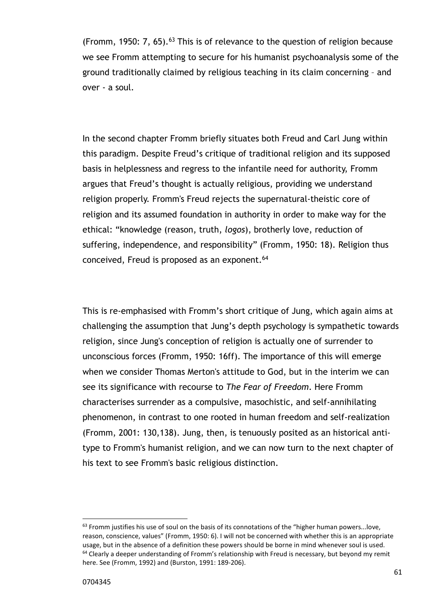(Fromm, 1950: 7, 65). $63$  This is of relevance to the question of religion because we see Fromm attempting to secure for his humanist psychoanalysis some of the ground traditionally claimed by religious teaching in its claim concerning – and over - a soul.

In the second chapter Fromm briefly situates both Freud and Carl Jung within this paradigm. Despite Freud's critique of traditional religion and its supposed basis in helplessness and regress to the infantile need for authority, Fromm argues that Freud's thought is actually religious, providing we understand religion properly. Fromm's Freud rejects the supernatural-theistic core of religion and its assumed foundation in authority in order to make way for the ethical: "knowledge (reason, truth, *logos*), brotherly love, reduction of suffering, independence, and responsibility" (Fromm, 1950: 18). Religion thus conceived, Freud is proposed as an exponent.<sup>64</sup>

This is re-emphasised with Fromm's short critique of Jung, which again aims at challenging the assumption that Jung's depth psychology is sympathetic towards religion, since Jung's conception of religion is actually one of surrender to unconscious forces (Fromm, 1950: 16ff). The importance of this will emerge when we consider Thomas Merton's attitude to God, but in the interim we can see its significance with recourse to *The Fear of Freedom*. Here Fromm characterises surrender as a compulsive, masochistic, and self-annihilating phenomenon, in contrast to one rooted in human freedom and self-realization (Fromm, 2001: 130,138). Jung, then, is tenuously posited as an historical antitype to Fromm's humanist religion, and we can now turn to the next chapter of his text to see Fromm's basic religious distinction.

 $63$  Fromm justifies his use of soul on the basis of its connotations of the "higher human powers... love, reason, conscience, values" (Fromm, 1950: 6). I will not be concerned with whether this is an appropriate usage, but in the absence of a definition these powers should be borne in mind whenever soul is used.  $64$  Clearly a deeper understanding of Fromm's relationship with Freud is necessary, but beyond my remit here. See (Fromm, 1992) and (Burston, 1991: 189-206).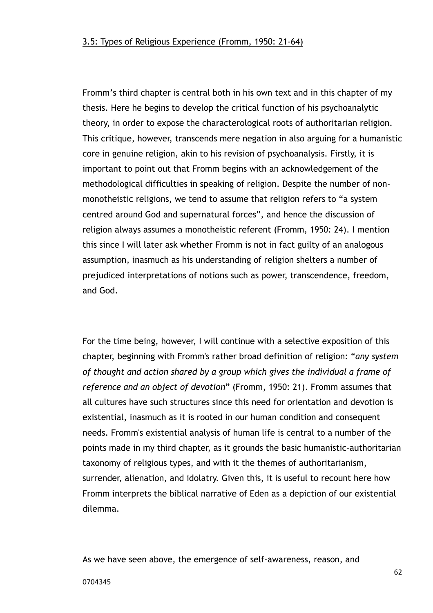Fromm's third chapter is central both in his own text and in this chapter of my thesis. Here he begins to develop the critical function of his psychoanalytic theory, in order to expose the characterological roots of authoritarian religion. This critique, however, transcends mere negation in also arguing for a humanistic core in genuine religion, akin to his revision of psychoanalysis. Firstly, it is important to point out that Fromm begins with an acknowledgement of the methodological difficulties in speaking of religion. Despite the number of nonmonotheistic religions, we tend to assume that religion refers to "a system centred around God and supernatural forces", and hence the discussion of religion always assumes a monotheistic referent (Fromm, 1950: 24). I mention this since I will later ask whether Fromm is not in fact guilty of an analogous assumption, inasmuch as his understanding of religion shelters a number of prejudiced interpretations of notions such as power, transcendence, freedom, and God.

For the time being, however, I will continue with a selective exposition of this chapter, beginning with Fromm's rather broad definition of religion: "*any system of thought and action shared by a group which gives the individual a frame of reference and an object of devotion*" (Fromm, 1950: 21). Fromm assumes that all cultures have such structures since this need for orientation and devotion is existential, inasmuch as it is rooted in our human condition and consequent needs. Fromm's existential analysis of human life is central to a number of the points made in my third chapter, as it grounds the basic humanistic-authoritarian taxonomy of religious types, and with it the themes of authoritarianism, surrender, alienation, and idolatry. Given this, it is useful to recount here how Fromm interprets the biblical narrative of Eden as a depiction of our existential dilemma.

As we have seen above, the emergence of self-awareness, reason, and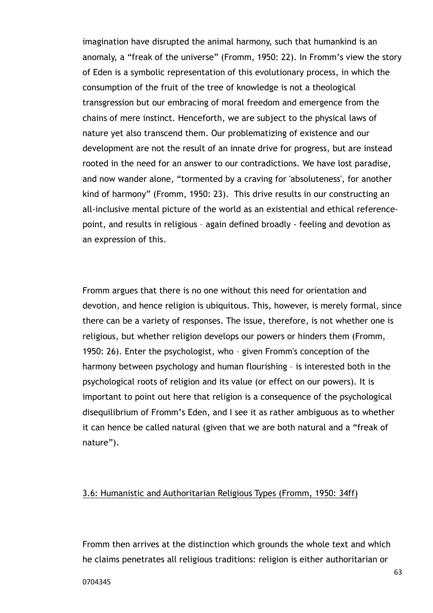imagination have disrupted the animal harmony, such that humankind is an anomaly, a "freak of the universe" (Fromm, 1950: 22). In Fromm's view the story of Eden is a symbolic representation of this evolutionary process, in which the consumption of the fruit of the tree of knowledge is not a theological transgression but our embracing of moral freedom and emergence from the chains of mere instinct. Henceforth, we are subject to the physical laws of nature yet also transcend them. Our problematizing of existence and our development are not the result of an innate drive for progress, but are instead rooted in the need for an answer to our contradictions. We have lost paradise, and now wander alone, "tormented by a craving for 'absoluteness', for another kind of harmony" (Fromm, 1950: 23). This drive results in our constructing an all-inclusive mental picture of the world as an existential and ethical referencepoint, and results in religious – again defined broadly - feeling and devotion as an expression of this.

Fromm argues that there is no one without this need for orientation and devotion, and hence religion is ubiquitous. This, however, is merely formal, since there can be a variety of responses. The issue, therefore, is not whether one is religious, but whether religion develops our powers or hinders them (Fromm, 1950: 26). Enter the psychologist, who – given Fromm's conception of the harmony between psychology and human flourishing – is interested both in the psychological roots of religion and its value (or effect on our powers). It is important to point out here that religion is a consequence of the psychological disequilibrium of Fromm's Eden, and I see it as rather ambiguous as to whether it can hence be called natural (given that we are both natural and a "freak of nature").

#### 3.6: Humanistic and Authoritarian Religious Types (Fromm, 1950: 34ff)

Fromm then arrives at the distinction which grounds the whole text and which he claims penetrates all religious traditions: religion is either authoritarian or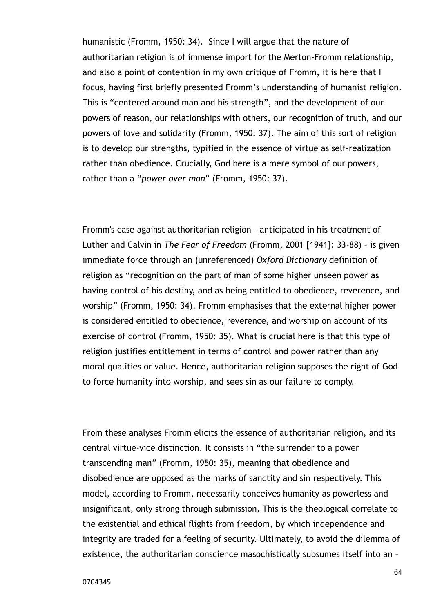humanistic (Fromm, 1950: 34). Since I will argue that the nature of authoritarian religion is of immense import for the Merton-Fromm relationship, and also a point of contention in my own critique of Fromm, it is here that I focus, having first briefly presented Fromm's understanding of humanist religion. This is "centered around man and his strength", and the development of our powers of reason, our relationships with others, our recognition of truth, and our powers of love and solidarity (Fromm, 1950: 37). The aim of this sort of religion is to develop our strengths, typified in the essence of virtue as self-realization rather than obedience. Crucially, God here is a mere symbol of our powers, rather than a "*power over man*" (Fromm, 1950: 37).

Fromm's case against authoritarian religion – anticipated in his treatment of Luther and Calvin in *The Fear of Freedom* (Fromm, 2001 [1941]: 33-88) – is given immediate force through an (unreferenced) *Oxford Dictionary* definition of religion as "recognition on the part of man of some higher unseen power as having control of his destiny, and as being entitled to obedience, reverence, and worship" (Fromm, 1950: 34). Fromm emphasises that the external higher power is considered entitled to obedience, reverence, and worship on account of its exercise of control (Fromm, 1950: 35). What is crucial here is that this type of religion justifies entitlement in terms of control and power rather than any moral qualities or value. Hence, authoritarian religion supposes the right of God to force humanity into worship, and sees sin as our failure to comply.

From these analyses Fromm elicits the essence of authoritarian religion, and its central virtue-vice distinction. It consists in "the surrender to a power transcending man" (Fromm, 1950: 35), meaning that obedience and disobedience are opposed as the marks of sanctity and sin respectively. This model, according to Fromm, necessarily conceives humanity as powerless and insignificant, only strong through submission. This is the theological correlate to the existential and ethical flights from freedom, by which independence and integrity are traded for a feeling of security. Ultimately, to avoid the dilemma of existence, the authoritarian conscience masochistically subsumes itself into an –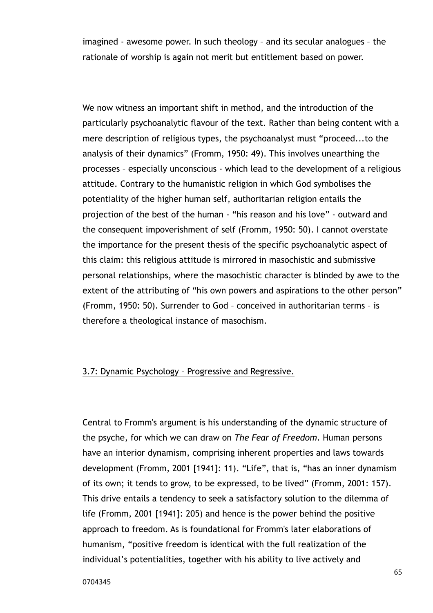imagined - awesome power. In such theology – and its secular analogues – the rationale of worship is again not merit but entitlement based on power.

We now witness an important shift in method, and the introduction of the particularly psychoanalytic flavour of the text. Rather than being content with a mere description of religious types, the psychoanalyst must "proceed...to the analysis of their dynamics" (Fromm, 1950: 49). This involves unearthing the processes – especially unconscious - which lead to the development of a religious attitude. Contrary to the humanistic religion in which God symbolises the potentiality of the higher human self, authoritarian religion entails the projection of the best of the human - "his reason and his love" - outward and the consequent impoverishment of self (Fromm, 1950: 50). I cannot overstate the importance for the present thesis of the specific psychoanalytic aspect of this claim: this religious attitude is mirrored in masochistic and submissive personal relationships, where the masochistic character is blinded by awe to the extent of the attributing of "his own powers and aspirations to the other person" (Fromm, 1950: 50). Surrender to God – conceived in authoritarian terms – is therefore a theological instance of masochism.

#### 3.7: Dynamic Psychology – Progressive and Regressive.

Central to Fromm's argument is his understanding of the dynamic structure of the psyche, for which we can draw on *The Fear of Freedom*. Human persons have an interior dynamism, comprising inherent properties and laws towards development (Fromm, 2001 [1941]: 11). "Life", that is, "has an inner dynamism of its own; it tends to grow, to be expressed, to be lived" (Fromm, 2001: 157). This drive entails a tendency to seek a satisfactory solution to the dilemma of life (Fromm, 2001 [1941]: 205) and hence is the power behind the positive approach to freedom. As is foundational for Fromm's later elaborations of humanism, "positive freedom is identical with the full realization of the individual's potentialities, together with his ability to live actively and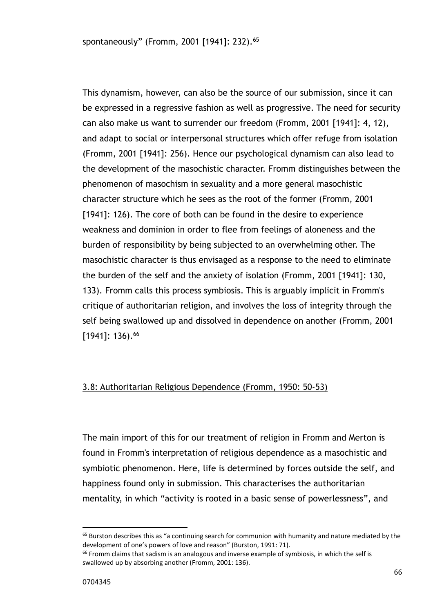This dynamism, however, can also be the source of our submission, since it can be expressed in a regressive fashion as well as progressive. The need for security can also make us want to surrender our freedom (Fromm, 2001 [1941]: 4, 12), and adapt to social or interpersonal structures which offer refuge from isolation (Fromm, 2001 [1941]: 256). Hence our psychological dynamism can also lead to the development of the masochistic character. Fromm distinguishes between the phenomenon of masochism in sexuality and a more general masochistic character structure which he sees as the root of the former (Fromm, 2001 [1941]: 126). The core of both can be found in the desire to experience weakness and dominion in order to flee from feelings of aloneness and the burden of responsibility by being subjected to an overwhelming other. The masochistic character is thus envisaged as a response to the need to eliminate the burden of the self and the anxiety of isolation (Fromm, 2001 [1941]: 130, 133). Fromm calls this process symbiosis. This is arguably implicit in Fromm's critique of authoritarian religion, and involves the loss of integrity through the self being swallowed up and dissolved in dependence on another (Fromm, 2001 [1941]: 136).<sup>66</sup>

#### 3.8: Authoritarian Religious Dependence (Fromm, 1950: 50-53)

The main import of this for our treatment of religion in Fromm and Merton is found in Fromm's interpretation of religious dependence as a masochistic and symbiotic phenomenon. Here, life is determined by forces outside the self, and happiness found only in submission. This characterises the authoritarian mentality, in which "activity is rooted in a basic sense of powerlessness", and

 $65$  Burston describes this as "a continuing search for communion with humanity and nature mediated by the development of one's powers of love and reason" (Burston, 1991: 71).

 $66$  Fromm claims that sadism is an analogous and inverse example of symbiosis, in which the self is swallowed up by absorbing another (Fromm, 2001: 136).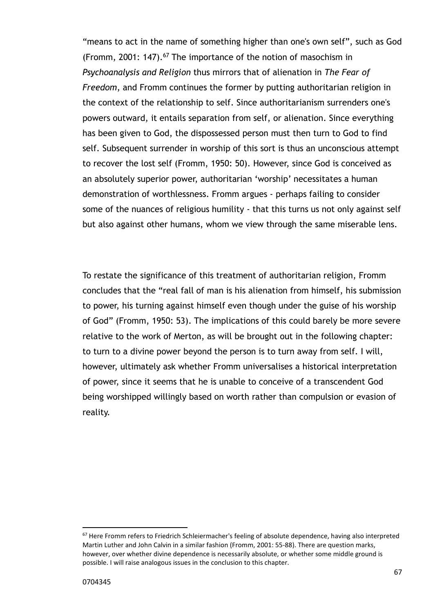"means to act in the name of something higher than one's own self", such as God (Fromm, 2001:  $147$ ).<sup>67</sup> The importance of the notion of masochism in *Psychoanalysis and Religion* thus mirrors that of alienation in *The Fear of Freedom*, and Fromm continues the former by putting authoritarian religion in the context of the relationship to self. Since authoritarianism surrenders one's powers outward, it entails separation from self, or alienation. Since everything has been given to God, the dispossessed person must then turn to God to find self. Subsequent surrender in worship of this sort is thus an unconscious attempt to recover the lost self (Fromm, 1950: 50). However, since God is conceived as an absolutely superior power, authoritarian 'worship' necessitates a human demonstration of worthlessness. Fromm argues - perhaps failing to consider some of the nuances of religious humility - that this turns us not only against self but also against other humans, whom we view through the same miserable lens.

To restate the significance of this treatment of authoritarian religion, Fromm concludes that the "real fall of man is his alienation from himself, his submission to power, his turning against himself even though under the guise of his worship of God" (Fromm, 1950: 53). The implications of this could barely be more severe relative to the work of Merton, as will be brought out in the following chapter: to turn to a divine power beyond the person is to turn away from self. I will, however, ultimately ask whether Fromm universalises a historical interpretation of power, since it seems that he is unable to conceive of a transcendent God being worshipped willingly based on worth rather than compulsion or evasion of reality.

<sup>&</sup>lt;sup>67</sup> Here Fromm refers to Friedrich Schleiermacher's feeling of absolute dependence, having also interpreted Martin Luther and John Calvin in a similar fashion (Fromm, 2001: 55-88). There are question marks, however, over whether divine dependence is necessarily absolute, or whether some middle ground is possible. I will raise analogous issues in the conclusion to this chapter.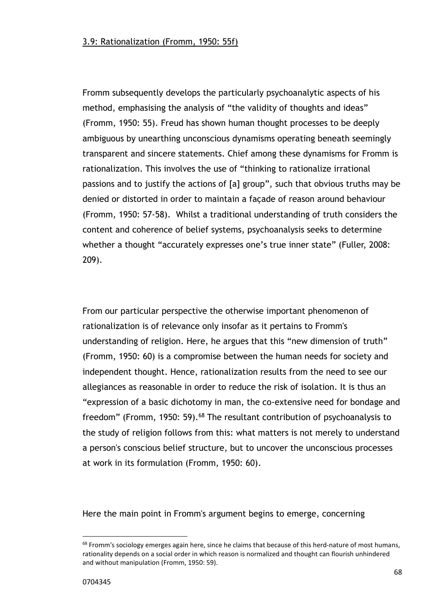Fromm subsequently develops the particularly psychoanalytic aspects of his method, emphasising the analysis of "the validity of thoughts and ideas" (Fromm, 1950: 55). Freud has shown human thought processes to be deeply ambiguous by unearthing unconscious dynamisms operating beneath seemingly transparent and sincere statements. Chief among these dynamisms for Fromm is rationalization. This involves the use of "thinking to rationalize irrational passions and to justify the actions of [a] group", such that obvious truths may be denied or distorted in order to maintain a façade of reason around behaviour (Fromm, 1950: 57-58). Whilst a traditional understanding of truth considers the content and coherence of belief systems, psychoanalysis seeks to determine whether a thought "accurately expresses one's true inner state" (Fuller, 2008: 209).

From our particular perspective the otherwise important phenomenon of rationalization is of relevance only insofar as it pertains to Fromm's understanding of religion. Here, he argues that this "new dimension of truth" (Fromm, 1950: 60) is a compromise between the human needs for society and independent thought. Hence, rationalization results from the need to see our allegiances as reasonable in order to reduce the risk of isolation. It is thus an "expression of a basic dichotomy in man, the co-extensive need for bondage and freedom" (Fromm, 1950: 59).<sup>68</sup> The resultant contribution of psychoanalysis to the study of religion follows from this: what matters is not merely to understand a person's conscious belief structure, but to uncover the unconscious processes at work in its formulation (Fromm, 1950: 60).

Here the main point in Fromm's argument begins to emerge, concerning

 $68$  Fromm's sociology emerges again here, since he claims that because of this herd-nature of most humans, rationality depends on a social order in which reason is normalized and thought can flourish unhindered and without manipulation (Fromm, 1950: 59).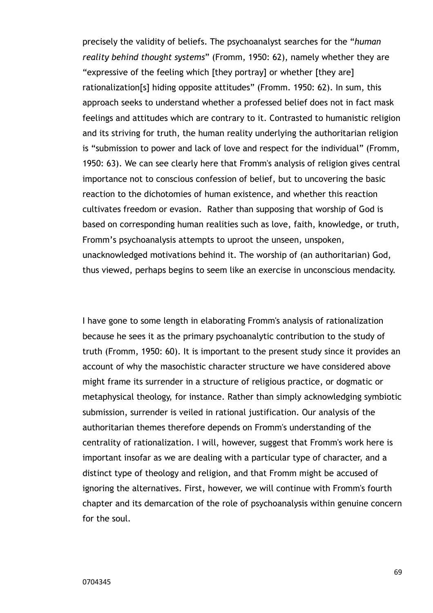precisely the validity of beliefs. The psychoanalyst searches for the "*human reality behind thought systems*" (Fromm, 1950: 62), namely whether they are "expressive of the feeling which [they portray] or whether [they are] rationalization[s] hiding opposite attitudes" (Fromm. 1950: 62). In sum, this approach seeks to understand whether a professed belief does not in fact mask feelings and attitudes which are contrary to it. Contrasted to humanistic religion and its striving for truth, the human reality underlying the authoritarian religion is "submission to power and lack of love and respect for the individual" (Fromm, 1950: 63). We can see clearly here that Fromm's analysis of religion gives central importance not to conscious confession of belief, but to uncovering the basic reaction to the dichotomies of human existence, and whether this reaction cultivates freedom or evasion. Rather than supposing that worship of God is based on corresponding human realities such as love, faith, knowledge, or truth, Fromm's psychoanalysis attempts to uproot the unseen, unspoken, unacknowledged motivations behind it. The worship of (an authoritarian) God, thus viewed, perhaps begins to seem like an exercise in unconscious mendacity.

I have gone to some length in elaborating Fromm's analysis of rationalization because he sees it as the primary psychoanalytic contribution to the study of truth (Fromm, 1950: 60). It is important to the present study since it provides an account of why the masochistic character structure we have considered above might frame its surrender in a structure of religious practice, or dogmatic or metaphysical theology, for instance. Rather than simply acknowledging symbiotic submission, surrender is veiled in rational justification. Our analysis of the authoritarian themes therefore depends on Fromm's understanding of the centrality of rationalization. I will, however, suggest that Fromm's work here is important insofar as we are dealing with a particular type of character, and a distinct type of theology and religion, and that Fromm might be accused of ignoring the alternatives. First, however, we will continue with Fromm's fourth chapter and its demarcation of the role of psychoanalysis within genuine concern for the soul.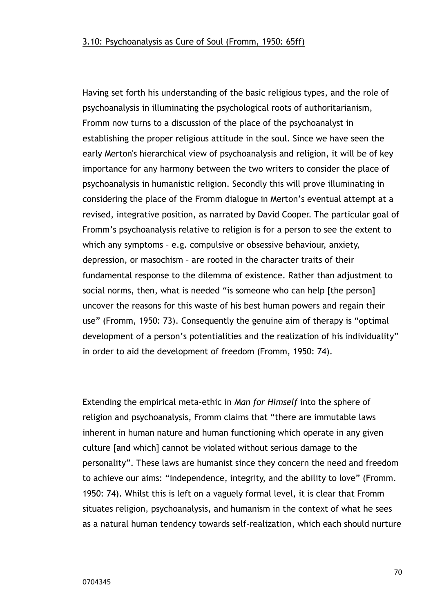Having set forth his understanding of the basic religious types, and the role of psychoanalysis in illuminating the psychological roots of authoritarianism, Fromm now turns to a discussion of the place of the psychoanalyst in establishing the proper religious attitude in the soul. Since we have seen the early Merton's hierarchical view of psychoanalysis and religion, it will be of key importance for any harmony between the two writers to consider the place of psychoanalysis in humanistic religion. Secondly this will prove illuminating in considering the place of the Fromm dialogue in Merton's eventual attempt at a revised, integrative position, as narrated by David Cooper. The particular goal of Fromm's psychoanalysis relative to religion is for a person to see the extent to which any symptoms – e.g. compulsive or obsessive behaviour, anxiety, depression, or masochism – are rooted in the character traits of their fundamental response to the dilemma of existence. Rather than adjustment to social norms, then, what is needed "is someone who can help [the person] uncover the reasons for this waste of his best human powers and regain their use" (Fromm, 1950: 73). Consequently the genuine aim of therapy is "optimal development of a person's potentialities and the realization of his individuality" in order to aid the development of freedom (Fromm, 1950: 74).

Extending the empirical meta-ethic in *Man for Himself* into the sphere of religion and psychoanalysis, Fromm claims that "there are immutable laws inherent in human nature and human functioning which operate in any given culture [and which] cannot be violated without serious damage to the personality". These laws are humanist since they concern the need and freedom to achieve our aims: "independence, integrity, and the ability to love" (Fromm. 1950: 74). Whilst this is left on a vaguely formal level, it is clear that Fromm situates religion, psychoanalysis, and humanism in the context of what he sees as a natural human tendency towards self-realization, which each should nurture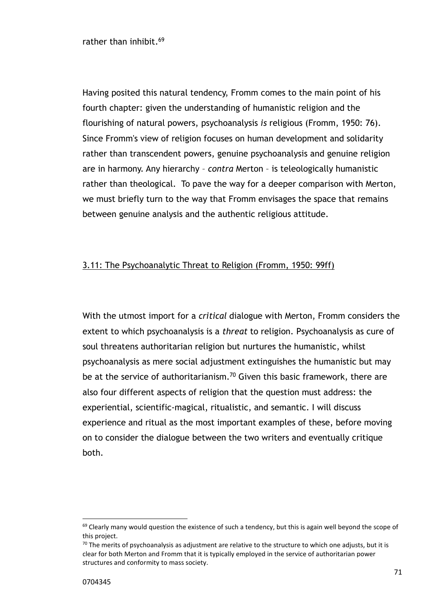rather than inhibit.<sup>69</sup>

Having posited this natural tendency, Fromm comes to the main point of his fourth chapter: given the understanding of humanistic religion and the flourishing of natural powers, psychoanalysis *is* religious (Fromm, 1950: 76). Since Fromm's view of religion focuses on human development and solidarity rather than transcendent powers, genuine psychoanalysis and genuine religion are in harmony. Any hierarchy – *contra* Merton – is teleologically humanistic rather than theological. To pave the way for a deeper comparison with Merton, we must briefly turn to the way that Fromm envisages the space that remains between genuine analysis and the authentic religious attitude.

## 3.11: The Psychoanalytic Threat to Religion (Fromm, 1950: 99ff)

With the utmost import for a *critical* dialogue with Merton, Fromm considers the extent to which psychoanalysis is a *threat* to religion. Psychoanalysis as cure of soul threatens authoritarian religion but nurtures the humanistic, whilst psychoanalysis as mere social adjustment extinguishes the humanistic but may be at the service of authoritarianism.<sup>70</sup> Given this basic framework, there are also four different aspects of religion that the question must address: the experiential, scientific-magical, ritualistic, and semantic. I will discuss experience and ritual as the most important examples of these, before moving on to consider the dialogue between the two writers and eventually critique both.

<sup>&</sup>lt;sup>69</sup> Clearly many would question the existence of such a tendency, but this is again well beyond the scope of this project.

 $70$  The merits of psychoanalysis as adjustment are relative to the structure to which one adjusts, but it is clear for both Merton and Fromm that it is typically employed in the service of authoritarian power structures and conformity to mass society.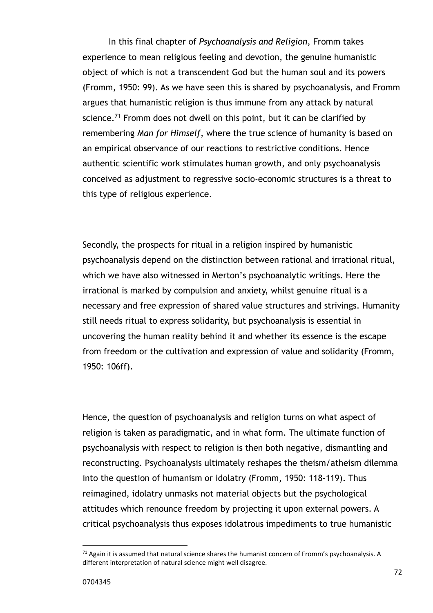In this final chapter of *Psychoanalysis and Religion*, Fromm takes experience to mean religious feeling and devotion, the genuine humanistic object of which is not a transcendent God but the human soul and its powers (Fromm, 1950: 99). As we have seen this is shared by psychoanalysis, and Fromm argues that humanistic religion is thus immune from any attack by natural science.<sup>71</sup> Fromm does not dwell on this point, but it can be clarified by remembering *Man for Himself*, where the true science of humanity is based on an empirical observance of our reactions to restrictive conditions. Hence authentic scientific work stimulates human growth, and only psychoanalysis conceived as adjustment to regressive socio-economic structures is a threat to this type of religious experience.

Secondly, the prospects for ritual in a religion inspired by humanistic psychoanalysis depend on the distinction between rational and irrational ritual, which we have also witnessed in Merton's psychoanalytic writings. Here the irrational is marked by compulsion and anxiety, whilst genuine ritual is a necessary and free expression of shared value structures and strivings. Humanity still needs ritual to express solidarity, but psychoanalysis is essential in uncovering the human reality behind it and whether its essence is the escape from freedom or the cultivation and expression of value and solidarity (Fromm, 1950: 106ff).

Hence, the question of psychoanalysis and religion turns on what aspect of religion is taken as paradigmatic, and in what form. The ultimate function of psychoanalysis with respect to religion is then both negative, dismantling and reconstructing. Psychoanalysis ultimately reshapes the theism/atheism dilemma into the question of humanism or idolatry (Fromm, 1950: 118-119). Thus reimagined, idolatry unmasks not material objects but the psychological attitudes which renounce freedom by projecting it upon external powers. A critical psychoanalysis thus exposes idolatrous impediments to true humanistic

 $71$  Again it is assumed that natural science shares the humanist concern of Fromm's psychoanalysis. A different interpretation of natural science might well disagree.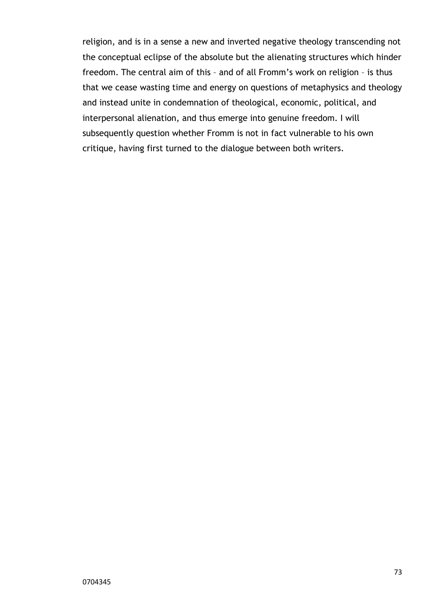religion, and is in a sense a new and inverted negative theology transcending not the conceptual eclipse of the absolute but the alienating structures which hinder freedom. The central aim of this – and of all Fromm's work on religion – is thus that we cease wasting time and energy on questions of metaphysics and theology and instead unite in condemnation of theological, economic, political, and interpersonal alienation, and thus emerge into genuine freedom. I will subsequently question whether Fromm is not in fact vulnerable to his own critique, having first turned to the dialogue between both writers.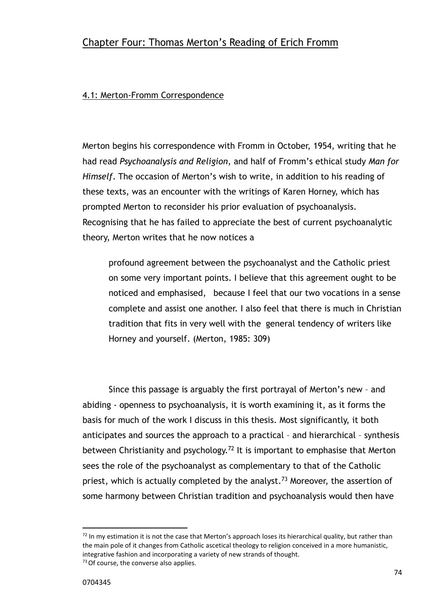# Chapter Four: Thomas Merton's Reading of Erich Fromm

### 4.1: Merton-Fromm Correspondence

Merton begins his correspondence with Fromm in October, 1954, writing that he had read *Psychoanalysis and Religion*, and half of Fromm's ethical study *Man for Himself*. The occasion of Merton's wish to write, in addition to his reading of these texts, was an encounter with the writings of Karen Horney, which has prompted Merton to reconsider his prior evaluation of psychoanalysis. Recognising that he has failed to appreciate the best of current psychoanalytic theory, Merton writes that he now notices a

profound agreement between the psychoanalyst and the Catholic priest on some very important points. I believe that this agreement ought to be noticed and emphasised, because I feel that our two vocations in a sense complete and assist one another. I also feel that there is much in Christian tradition that fits in very well with the general tendency of writers like Horney and yourself. (Merton, 1985: 309)

Since this passage is arguably the first portrayal of Merton's new – and abiding - openness to psychoanalysis, it is worth examining it, as it forms the basis for much of the work I discuss in this thesis. Most significantly, it both anticipates and sources the approach to a practical – and hierarchical – synthesis between Christianity and psychology.<sup>72</sup> It is important to emphasise that Merton sees the role of the psychoanalyst as complementary to that of the Catholic priest, which is actually completed by the analyst.<sup>73</sup> Moreover, the assertion of some harmony between Christian tradition and psychoanalysis would then have

 $<sup>72</sup>$  In my estimation it is not the case that Merton's approach loses its hierarchical quality, but rather than</sup> the main pole of it changes from Catholic ascetical theology to religion conceived in a more humanistic, integrative fashion and incorporating a variety of new strands of thought.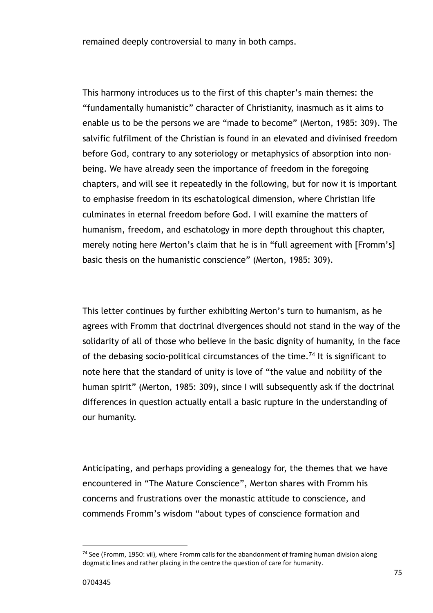remained deeply controversial to many in both camps.

This harmony introduces us to the first of this chapter's main themes: the "fundamentally humanistic" character of Christianity, inasmuch as it aims to enable us to be the persons we are "made to become" (Merton, 1985: 309). The salvific fulfilment of the Christian is found in an elevated and divinised freedom before God, contrary to any soteriology or metaphysics of absorption into nonbeing. We have already seen the importance of freedom in the foregoing chapters, and will see it repeatedly in the following, but for now it is important to emphasise freedom in its eschatological dimension, where Christian life culminates in eternal freedom before God. I will examine the matters of humanism, freedom, and eschatology in more depth throughout this chapter, merely noting here Merton's claim that he is in "full agreement with [Fromm's] basic thesis on the humanistic conscience" (Merton, 1985: 309).

This letter continues by further exhibiting Merton's turn to humanism, as he agrees with Fromm that doctrinal divergences should not stand in the way of the solidarity of all of those who believe in the basic dignity of humanity, in the face of the debasing socio-political circumstances of the time.<sup>74</sup> It is significant to note here that the standard of unity is love of "the value and nobility of the human spirit" (Merton, 1985: 309), since I will subsequently ask if the doctrinal differences in question actually entail a basic rupture in the understanding of our humanity.

Anticipating, and perhaps providing a genealogy for, the themes that we have encountered in "The Mature Conscience", Merton shares with Fromm his concerns and frustrations over the monastic attitude to conscience, and commends Fromm's wisdom "about types of conscience formation and

 $\overline{a}$ 

 $74$  See (Fromm, 1950: vii), where Fromm calls for the abandonment of framing human division along dogmatic lines and rather placing in the centre the question of care for humanity.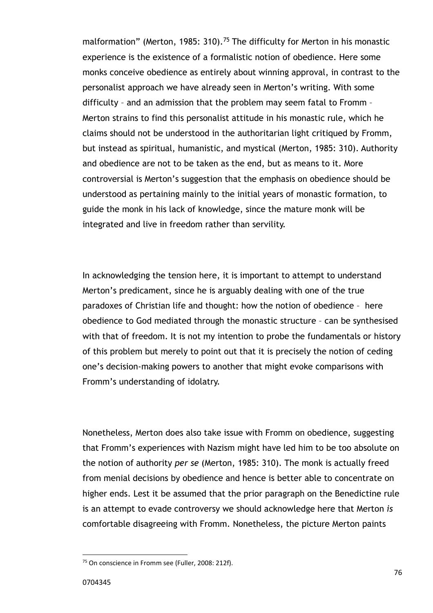malformation" (Merton, 1985: 310).<sup>75</sup> The difficulty for Merton in his monastic experience is the existence of a formalistic notion of obedience. Here some monks conceive obedience as entirely about winning approval, in contrast to the personalist approach we have already seen in Merton's writing. With some difficulty – and an admission that the problem may seem fatal to Fromm – Merton strains to find this personalist attitude in his monastic rule, which he claims should not be understood in the authoritarian light critiqued by Fromm, but instead as spiritual, humanistic, and mystical (Merton, 1985: 310). Authority and obedience are not to be taken as the end, but as means to it. More controversial is Merton's suggestion that the emphasis on obedience should be understood as pertaining mainly to the initial years of monastic formation, to guide the monk in his lack of knowledge, since the mature monk will be integrated and live in freedom rather than servility.

In acknowledging the tension here, it is important to attempt to understand Merton's predicament, since he is arguably dealing with one of the true paradoxes of Christian life and thought: how the notion of obedience – here obedience to God mediated through the monastic structure – can be synthesised with that of freedom. It is not my intention to probe the fundamentals or history of this problem but merely to point out that it is precisely the notion of ceding one's decision-making powers to another that might evoke comparisons with Fromm's understanding of idolatry.

Nonetheless, Merton does also take issue with Fromm on obedience, suggesting that Fromm's experiences with Nazism might have led him to be too absolute on the notion of authority *per se* (Merton, 1985: 310). The monk is actually freed from menial decisions by obedience and hence is better able to concentrate on higher ends. Lest it be assumed that the prior paragraph on the Benedictine rule is an attempt to evade controversy we should acknowledge here that Merton *is*  comfortable disagreeing with Fromm. Nonetheless, the picture Merton paints

<sup>&</sup>lt;sup>75</sup> On conscience in Fromm see (Fuller, 2008: 212f).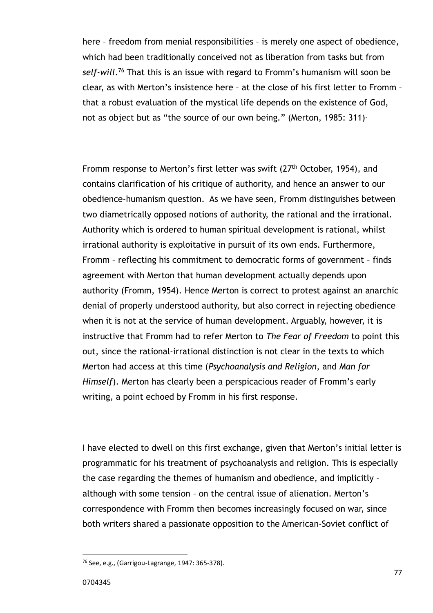here - freedom from menial responsibilities - is merely one aspect of obedience, which had been traditionally conceived not as liberation from tasks but from *self-will*. <sup>76</sup> That this is an issue with regard to Fromm's humanism will soon be clear, as with Merton's insistence here – at the close of his first letter to Fromm – that a robust evaluation of the mystical life depends on the existence of God, not as object but as "the source of our own being." (Merton, 1985: 311).

Fromm response to Merton's first letter was swift (27<sup>th</sup> October, 1954), and contains clarification of his critique of authority, and hence an answer to our obedience-humanism question. As we have seen, Fromm distinguishes between two diametrically opposed notions of authority, the rational and the irrational. Authority which is ordered to human spiritual development is rational, whilst irrational authority is exploitative in pursuit of its own ends. Furthermore, Fromm – reflecting his commitment to democratic forms of government – finds agreement with Merton that human development actually depends upon authority (Fromm, 1954). Hence Merton is correct to protest against an anarchic denial of properly understood authority, but also correct in rejecting obedience when it is not at the service of human development. Arguably, however, it is instructive that Fromm had to refer Merton to *The Fear of Freedom* to point this out, since the rational-irrational distinction is not clear in the texts to which Merton had access at this time (*Psychoanalysis and Religion*, and *Man for Himself*). Merton has clearly been a perspicacious reader of Fromm's early writing, a point echoed by Fromm in his first response.

I have elected to dwell on this first exchange, given that Merton's initial letter is programmatic for his treatment of psychoanalysis and religion. This is especially the case regarding the themes of humanism and obedience, and implicitly – although with some tension – on the central issue of alienation. Merton's correspondence with Fromm then becomes increasingly focused on war, since both writers shared a passionate opposition to the American-Soviet conflict of

<sup>76</sup> See, e.g., (Garrigou-Lagrange, 1947: 365-378).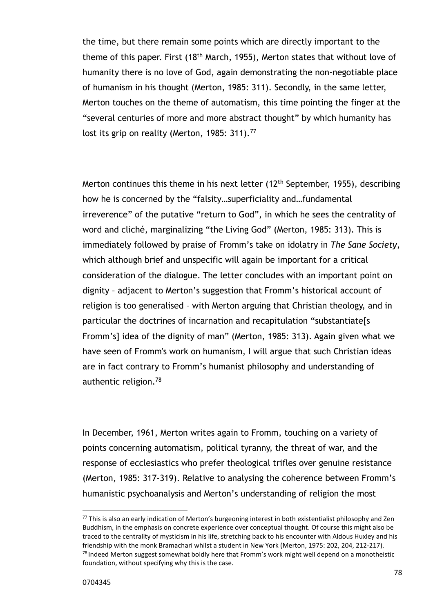the time, but there remain some points which are directly important to the theme of this paper. First (18<sup>th</sup> March, 1955), Merton states that without love of humanity there is no love of God, again demonstrating the non-negotiable place of humanism in his thought (Merton, 1985: 311). Secondly, in the same letter, Merton touches on the theme of automatism, this time pointing the finger at the "several centuries of more and more abstract thought" by which humanity has lost its grip on reality (Merton, 1985: 311).<sup>77</sup>

Merton continues this theme in his next letter  $(12<sup>th</sup>$  September, 1955), describing how he is concerned by the "falsity…superficiality and…fundamental irreverence" of the putative "return to God", in which he sees the centrality of word and cliché, marginalizing "the Living God" (Merton, 1985: 313). This is immediately followed by praise of Fromm's take on idolatry in *The Sane Society*, which although brief and unspecific will again be important for a critical consideration of the dialogue. The letter concludes with an important point on dignity – adjacent to Merton's suggestion that Fromm's historical account of religion is too generalised – with Merton arguing that Christian theology, and in particular the doctrines of incarnation and recapitulation "substantiate[s Fromm's] idea of the dignity of man" (Merton, 1985: 313). Again given what we have seen of Fromm's work on humanism, I will argue that such Christian ideas are in fact contrary to Fromm's humanist philosophy and understanding of authentic religion.<sup>78</sup>

In December, 1961, Merton writes again to Fromm, touching on a variety of points concerning automatism, political tyranny, the threat of war, and the response of ecclesiastics who prefer theological trifles over genuine resistance (Merton, 1985: 317-319). Relative to analysing the coherence between Fromm's humanistic psychoanalysis and Merton's understanding of religion the most

<sup>&</sup>lt;sup>77</sup> This is also an early indication of Merton's burgeoning interest in both existentialist philosophy and Zen Buddhism, in the emphasis on concrete experience over conceptual thought. Of course this might also be traced to the centrality of mysticism in his life, stretching back to his encounter with Aldous Huxley and his friendship with the monk Bramachari whilst a student in New York (Merton, 1975: 202, 204, 212-217).  $78$ Indeed Merton suggest somewhat boldly here that Fromm's work might well depend on a monotheistic foundation, without specifying why this is the case.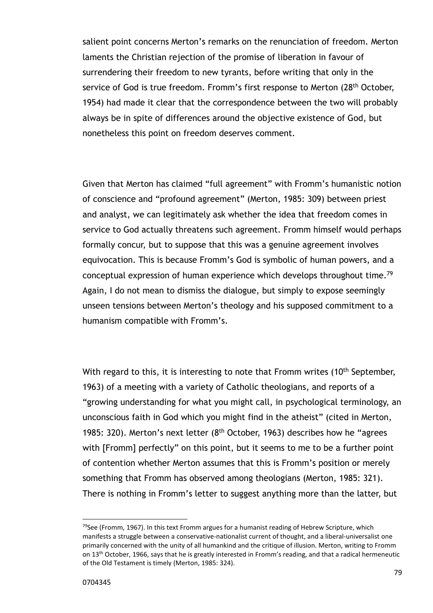salient point concerns Merton's remarks on the renunciation of freedom. Merton laments the Christian rejection of the promise of liberation in favour of surrendering their freedom to new tyrants, before writing that only in the service of God is true freedom. Fromm's first response to Merton (28<sup>th</sup> October, 1954) had made it clear that the correspondence between the two will probably always be in spite of differences around the objective existence of God, but nonetheless this point on freedom deserves comment.

Given that Merton has claimed "full agreement" with Fromm's humanistic notion of conscience and "profound agreement" (Merton, 1985: 309) between priest and analyst, we can legitimately ask whether the idea that freedom comes in service to God actually threatens such agreement. Fromm himself would perhaps formally concur, but to suppose that this was a genuine agreement involves equivocation. This is because Fromm's God is symbolic of human powers, and a conceptual expression of human experience which develops throughout time.<sup>79</sup> Again, I do not mean to dismiss the dialogue, but simply to expose seemingly unseen tensions between Merton's theology and his supposed commitment to a humanism compatible with Fromm's.

With regard to this, it is interesting to note that Fromm writes (10<sup>th</sup> September, 1963) of a meeting with a variety of Catholic theologians, and reports of a "growing understanding for what you might call, in psychological terminology, an unconscious faith in God which you might find in the atheist" (cited in Merton, 1985: 320). Merton's next letter  $(8<sup>th</sup> October, 1963)$  describes how he "agrees with [Fromm] perfectly" on this point, but it seems to me to be a further point of contention whether Merton assumes that this is Fromm's position or merely something that Fromm has observed among theologians (Merton, 1985: 321). There is nothing in Fromm's letter to suggest anything more than the latter, but

 $79$ See (Fromm, 1967). In this text Fromm argues for a humanist reading of Hebrew Scripture, which manifests a struggle between a conservative-nationalist current of thought, and a liberal-universalist one primarily concerned with the unity of all humankind and the critique of illusion. Merton, writing to Fromm on 13<sup>th</sup> October, 1966, says that he is greatly interested in Fromm's reading, and that a radical hermeneutic of the Old Testament is timely (Merton, 1985: 324).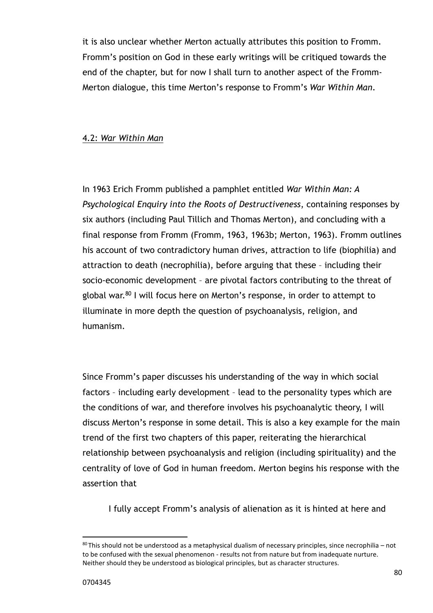it is also unclear whether Merton actually attributes this position to Fromm. Fromm's position on God in these early writings will be critiqued towards the end of the chapter, but for now I shall turn to another aspect of the Fromm-Merton dialogue, this time Merton's response to Fromm's *War Within Man*.

#### 4.2: *War Within Man*

In 1963 Erich Fromm published a pamphlet entitled *War Within Man: A Psychological Enquiry into the Roots of Destructiveness*, containing responses by six authors (including Paul Tillich and Thomas Merton), and concluding with a final response from Fromm (Fromm, 1963, 1963b; Merton, 1963). Fromm outlines his account of two contradictory human drives, attraction to life (biophilia) and attraction to death (necrophilia), before arguing that these – including their socio-economic development – are pivotal factors contributing to the threat of global war.<sup>80</sup> I will focus here on Merton's response, in order to attempt to illuminate in more depth the question of psychoanalysis, religion, and humanism.

Since Fromm's paper discusses his understanding of the way in which social factors – including early development – lead to the personality types which are the conditions of war, and therefore involves his psychoanalytic theory, I will discuss Merton's response in some detail. This is also a key example for the main trend of the first two chapters of this paper, reiterating the hierarchical relationship between psychoanalysis and religion (including spirituality) and the centrality of love of God in human freedom. Merton begins his response with the assertion that

I fully accept Fromm's analysis of alienation as it is hinted at here and

<sup>80</sup> This should not be understood as a metaphysical dualism of necessary principles, since necrophilia – not to be confused with the sexual phenomenon - results not from nature but from inadequate nurture. Neither should they be understood as biological principles, but as character structures.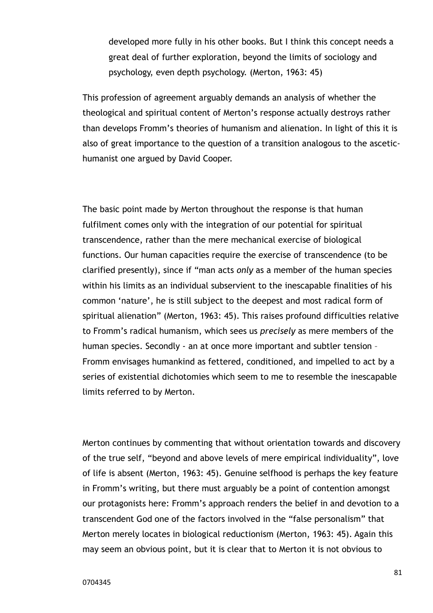developed more fully in his other books. But I think this concept needs a great deal of further exploration, beyond the limits of sociology and psychology, even depth psychology. (Merton, 1963: 45)

This profession of agreement arguably demands an analysis of whether the theological and spiritual content of Merton's response actually destroys rather than develops Fromm's theories of humanism and alienation. In light of this it is also of great importance to the question of a transition analogous to the ascetichumanist one argued by David Cooper.

The basic point made by Merton throughout the response is that human fulfilment comes only with the integration of our potential for spiritual transcendence, rather than the mere mechanical exercise of biological functions. Our human capacities require the exercise of transcendence (to be clarified presently), since if "man acts *only* as a member of the human species within his limits as an individual subservient to the inescapable finalities of his common 'nature', he is still subject to the deepest and most radical form of spiritual alienation" (Merton, 1963: 45). This raises profound difficulties relative to Fromm's radical humanism, which sees us *precisely* as mere members of the human species. Secondly - an at once more important and subtler tension – Fromm envisages humankind as fettered, conditioned, and impelled to act by a series of existential dichotomies which seem to me to resemble the inescapable limits referred to by Merton.

Merton continues by commenting that without orientation towards and discovery of the true self, "beyond and above levels of mere empirical individuality", love of life is absent (Merton, 1963: 45). Genuine selfhood is perhaps the key feature in Fromm's writing, but there must arguably be a point of contention amongst our protagonists here: Fromm's approach renders the belief in and devotion to a transcendent God one of the factors involved in the "false personalism" that Merton merely locates in biological reductionism (Merton, 1963: 45). Again this may seem an obvious point, but it is clear that to Merton it is not obvious to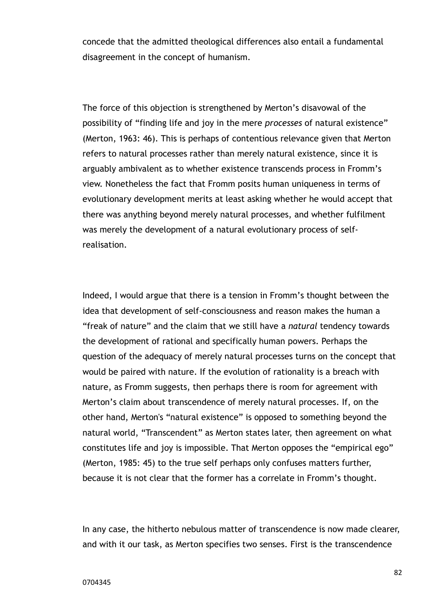concede that the admitted theological differences also entail a fundamental disagreement in the concept of humanism.

The force of this objection is strengthened by Merton's disavowal of the possibility of "finding life and joy in the mere *processes* of natural existence" (Merton, 1963: 46). This is perhaps of contentious relevance given that Merton refers to natural processes rather than merely natural existence, since it is arguably ambivalent as to whether existence transcends process in Fromm's view. Nonetheless the fact that Fromm posits human uniqueness in terms of evolutionary development merits at least asking whether he would accept that there was anything beyond merely natural processes, and whether fulfilment was merely the development of a natural evolutionary process of selfrealisation.

Indeed, I would argue that there is a tension in Fromm's thought between the idea that development of self-consciousness and reason makes the human a "freak of nature" and the claim that we still have a *natural* tendency towards the development of rational and specifically human powers. Perhaps the question of the adequacy of merely natural processes turns on the concept that would be paired with nature. If the evolution of rationality is a breach with nature, as Fromm suggests, then perhaps there is room for agreement with Merton's claim about transcendence of merely natural processes. If, on the other hand, Merton's "natural existence" is opposed to something beyond the natural world, "Transcendent" as Merton states later, then agreement on what constitutes life and joy is impossible. That Merton opposes the "empirical ego" (Merton, 1985: 45) to the true self perhaps only confuses matters further, because it is not clear that the former has a correlate in Fromm's thought.

In any case, the hitherto nebulous matter of transcendence is now made clearer, and with it our task, as Merton specifies two senses. First is the transcendence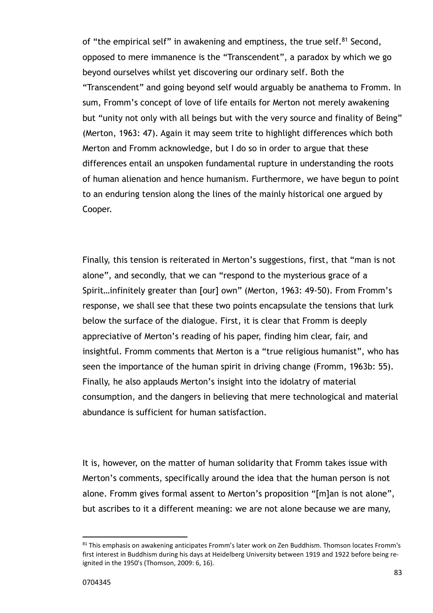of "the empirical self" in awakening and emptiness, the true self. $81$  Second, opposed to mere immanence is the "Transcendent", a paradox by which we go beyond ourselves whilst yet discovering our ordinary self. Both the "Transcendent" and going beyond self would arguably be anathema to Fromm. In sum, Fromm's concept of love of life entails for Merton not merely awakening but "unity not only with all beings but with the very source and finality of Being" (Merton, 1963: 47). Again it may seem trite to highlight differences which both Merton and Fromm acknowledge, but I do so in order to argue that these differences entail an unspoken fundamental rupture in understanding the roots of human alienation and hence humanism. Furthermore, we have begun to point to an enduring tension along the lines of the mainly historical one argued by Cooper.

Finally, this tension is reiterated in Merton's suggestions, first, that "man is not alone", and secondly, that we can "respond to the mysterious grace of a Spirit…infinitely greater than [our] own" (Merton, 1963: 49-50). From Fromm's response, we shall see that these two points encapsulate the tensions that lurk below the surface of the dialogue. First, it is clear that Fromm is deeply appreciative of Merton's reading of his paper, finding him clear, fair, and insightful. Fromm comments that Merton is a "true religious humanist", who has seen the importance of the human spirit in driving change (Fromm, 1963b: 55). Finally, he also applauds Merton's insight into the idolatry of material consumption, and the dangers in believing that mere technological and material abundance is sufficient for human satisfaction.

It is, however, on the matter of human solidarity that Fromm takes issue with Merton's comments, specifically around the idea that the human person is not alone. Fromm gives formal assent to Merton's proposition "[m]an is not alone", but ascribes to it a different meaning: we are not alone because we are many,

<sup>81</sup> This emphasis on awakening anticipates Fromm's later work on Zen Buddhism. Thomson locates Fromm's first interest in Buddhism during his days at Heidelberg University between 1919 and 1922 before being reignited in the 1950's (Thomson, 2009: 6, 16).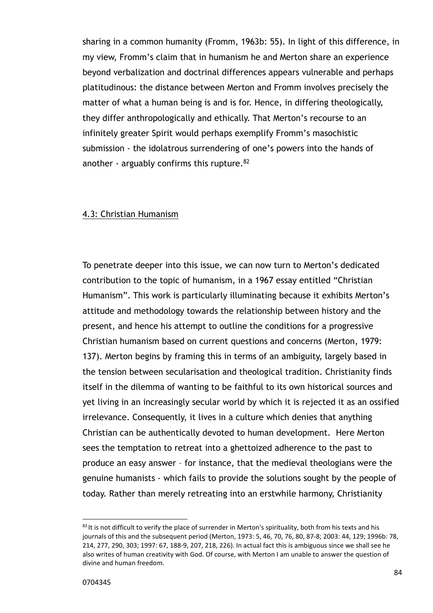sharing in a common humanity (Fromm, 1963b: 55). In light of this difference, in my view, Fromm's claim that in humanism he and Merton share an experience beyond verbalization and doctrinal differences appears vulnerable and perhaps platitudinous: the distance between Merton and Fromm involves precisely the matter of what a human being is and is for. Hence, in differing theologically, they differ anthropologically and ethically. That Merton's recourse to an infinitely greater Spirit would perhaps exemplify Fromm's masochistic submission - the idolatrous surrendering of one's powers into the hands of another - arguably confirms this rupture. $82$ 

#### 4.3: Christian Humanism

To penetrate deeper into this issue, we can now turn to Merton's dedicated contribution to the topic of humanism, in a 1967 essay entitled "Christian Humanism". This work is particularly illuminating because it exhibits Merton's attitude and methodology towards the relationship between history and the present, and hence his attempt to outline the conditions for a progressive Christian humanism based on current questions and concerns (Merton, 1979: 137). Merton begins by framing this in terms of an ambiguity, largely based in the tension between secularisation and theological tradition. Christianity finds itself in the dilemma of wanting to be faithful to its own historical sources and yet living in an increasingly secular world by which it is rejected it as an ossified irrelevance. Consequently, it lives in a culture which denies that anything Christian can be authentically devoted to human development. Here Merton sees the temptation to retreat into a ghettoized adherence to the past to produce an easy answer – for instance, that the medieval theologians were the genuine humanists - which fails to provide the solutions sought by the people of today. Rather than merely retreating into an erstwhile harmony, Christianity

 $82$  It is not difficult to verify the place of surrender in Merton's spirituality, both from his texts and his journals of this and the subsequent period (Merton, 1973: 5, 46, 70, 76, 80, 87-8; 2003: 44, 129; 1996b*:* 78, 214, 277, 290, 303; 1997: 67, 188-9, 207, 218, 226). In actual fact this is ambiguous since we shall see he also writes of human creativity with God. Of course, with Merton I am unable to answer the question of divine and human freedom.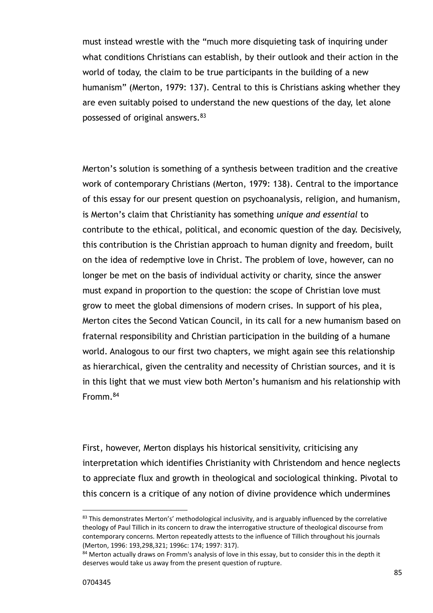must instead wrestle with the "much more disquieting task of inquiring under what conditions Christians can establish, by their outlook and their action in the world of today, the claim to be true participants in the building of a new humanism" (Merton, 1979: 137). Central to this is Christians asking whether they are even suitably poised to understand the new questions of the day, let alone possessed of original answers.<sup>83</sup>

Merton's solution is something of a synthesis between tradition and the creative work of contemporary Christians (Merton, 1979: 138). Central to the importance of this essay for our present question on psychoanalysis, religion, and humanism, is Merton's claim that Christianity has something *unique and essential* to contribute to the ethical, political, and economic question of the day. Decisively, this contribution is the Christian approach to human dignity and freedom, built on the idea of redemptive love in Christ. The problem of love, however, can no longer be met on the basis of individual activity or charity, since the answer must expand in proportion to the question: the scope of Christian love must grow to meet the global dimensions of modern crises. In support of his plea, Merton cites the Second Vatican Council, in its call for a new humanism based on fraternal responsibility and Christian participation in the building of a humane world. Analogous to our first two chapters, we might again see this relationship as hierarchical, given the centrality and necessity of Christian sources, and it is in this light that we must view both Merton's humanism and his relationship with Fromm.<sup>84</sup>

First, however, Merton displays his historical sensitivity, criticising any interpretation which identifies Christianity with Christendom and hence neglects to appreciate flux and growth in theological and sociological thinking. Pivotal to this concern is a critique of any notion of divine providence which undermines

 $83$  This demonstrates Merton's' methodological inclusivity, and is arguably influenced by the correlative theology of Paul Tillich in its concern to draw the interrogative structure of theological discourse from contemporary concerns. Merton repeatedly attests to the influence of Tillich throughout his journals (Merton, 1996: 193,298,321; 1996c: 174; 1997: 317).

<sup>84</sup> Merton actually draws on Fromm's analysis of love in this essay, but to consider this in the depth it deserves would take us away from the present question of rupture.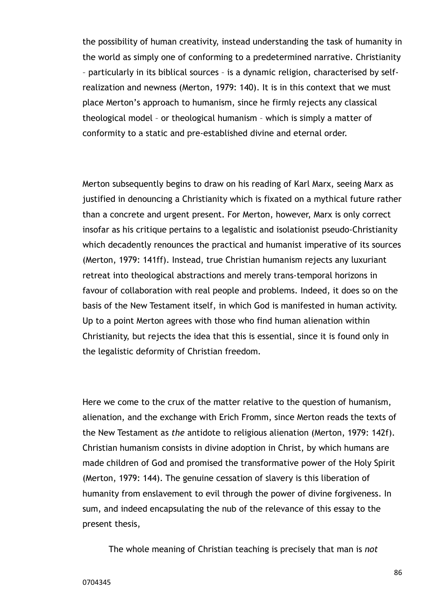the possibility of human creativity, instead understanding the task of humanity in the world as simply one of conforming to a predetermined narrative. Christianity – particularly in its biblical sources – is a dynamic religion, characterised by selfrealization and newness (Merton, 1979: 140). It is in this context that we must place Merton's approach to humanism, since he firmly rejects any classical theological model – or theological humanism – which is simply a matter of conformity to a static and pre-established divine and eternal order.

Merton subsequently begins to draw on his reading of Karl Marx, seeing Marx as justified in denouncing a Christianity which is fixated on a mythical future rather than a concrete and urgent present. For Merton, however, Marx is only correct insofar as his critique pertains to a legalistic and isolationist pseudo-Christianity which decadently renounces the practical and humanist imperative of its sources (Merton, 1979: 141ff). Instead, true Christian humanism rejects any luxuriant retreat into theological abstractions and merely trans-temporal horizons in favour of collaboration with real people and problems. Indeed, it does so on the basis of the New Testament itself, in which God is manifested in human activity. Up to a point Merton agrees with those who find human alienation within Christianity, but rejects the idea that this is essential, since it is found only in the legalistic deformity of Christian freedom.

Here we come to the crux of the matter relative to the question of humanism, alienation, and the exchange with Erich Fromm, since Merton reads the texts of the New Testament as *the* antidote to religious alienation (Merton, 1979: 142f). Christian humanism consists in divine adoption in Christ, by which humans are made children of God and promised the transformative power of the Holy Spirit (Merton, 1979: 144). The genuine cessation of slavery is this liberation of humanity from enslavement to evil through the power of divine forgiveness. In sum, and indeed encapsulating the nub of the relevance of this essay to the present thesis,

The whole meaning of Christian teaching is precisely that man is *not*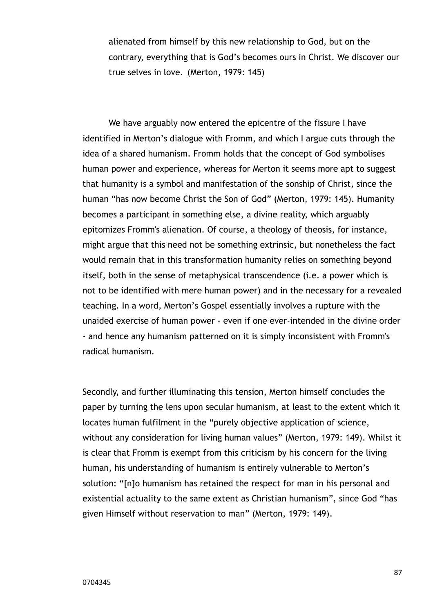alienated from himself by this new relationship to God, but on the contrary, everything that is God's becomes ours in Christ. We discover our true selves in love. (Merton, 1979: 145)

 We have arguably now entered the epicentre of the fissure I have identified in Merton's dialogue with Fromm, and which I argue cuts through the idea of a shared humanism. Fromm holds that the concept of God symbolises human power and experience, whereas for Merton it seems more apt to suggest that humanity is a symbol and manifestation of the sonship of Christ, since the human "has now become Christ the Son of God" (Merton, 1979: 145). Humanity becomes a participant in something else, a divine reality, which arguably epitomizes Fromm's alienation. Of course, a theology of theosis, for instance, might argue that this need not be something extrinsic, but nonetheless the fact would remain that in this transformation humanity relies on something beyond itself, both in the sense of metaphysical transcendence (i.e. a power which is not to be identified with mere human power) and in the necessary for a revealed teaching. In a word, Merton's Gospel essentially involves a rupture with the unaided exercise of human power - even if one ever-intended in the divine order - and hence any humanism patterned on it is simply inconsistent with Fromm's radical humanism.

Secondly, and further illuminating this tension, Merton himself concludes the paper by turning the lens upon secular humanism, at least to the extent which it locates human fulfilment in the "purely objective application of science, without any consideration for living human values" (Merton, 1979: 149). Whilst it is clear that Fromm is exempt from this criticism by his concern for the living human, his understanding of humanism is entirely vulnerable to Merton's solution: "[n]o humanism has retained the respect for man in his personal and existential actuality to the same extent as Christian humanism", since God "has given Himself without reservation to man" (Merton, 1979: 149).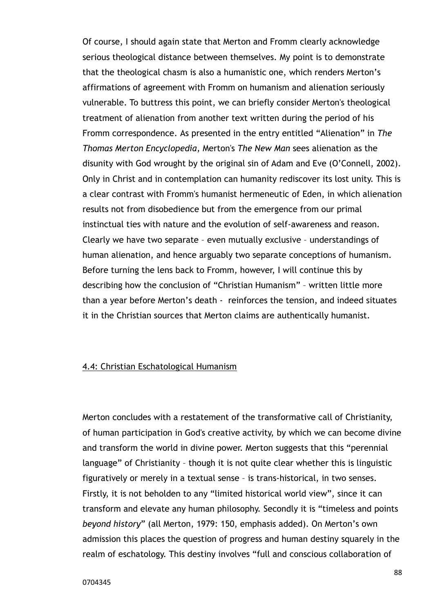Of course, I should again state that Merton and Fromm clearly acknowledge serious theological distance between themselves. My point is to demonstrate that the theological chasm is also a humanistic one, which renders Merton's affirmations of agreement with Fromm on humanism and alienation seriously vulnerable. To buttress this point, we can briefly consider Merton's theological treatment of alienation from another text written during the period of his Fromm correspondence. As presented in the entry entitled "Alienation" in *The Thomas Merton Encyclopedia,* Merton's *The New Man* sees alienation as the disunity with God wrought by the original sin of Adam and Eve (O'Connell, 2002). Only in Christ and in contemplation can humanity rediscover its lost unity. This is a clear contrast with Fromm's humanist hermeneutic of Eden, in which alienation results not from disobedience but from the emergence from our primal instinctual ties with nature and the evolution of self-awareness and reason. Clearly we have two separate – even mutually exclusive – understandings of human alienation, and hence arguably two separate conceptions of humanism. Before turning the lens back to Fromm, however, I will continue this by describing how the conclusion of "Christian Humanism" – written little more than a year before Merton's death - reinforces the tension, and indeed situates it in the Christian sources that Merton claims are authentically humanist.

#### 4.4: Christian Eschatological Humanism

Merton concludes with a restatement of the transformative call of Christianity, of human participation in God's creative activity, by which we can become divine and transform the world in divine power. Merton suggests that this "perennial language" of Christianity – though it is not quite clear whether this is linguistic figuratively or merely in a textual sense – is trans-historical, in two senses. Firstly, it is not beholden to any "limited historical world view", since it can transform and elevate any human philosophy. Secondly it is "timeless and points *beyond history*" (all Merton, 1979: 150, emphasis added). On Merton's own admission this places the question of progress and human destiny squarely in the realm of eschatology. This destiny involves "full and conscious collaboration of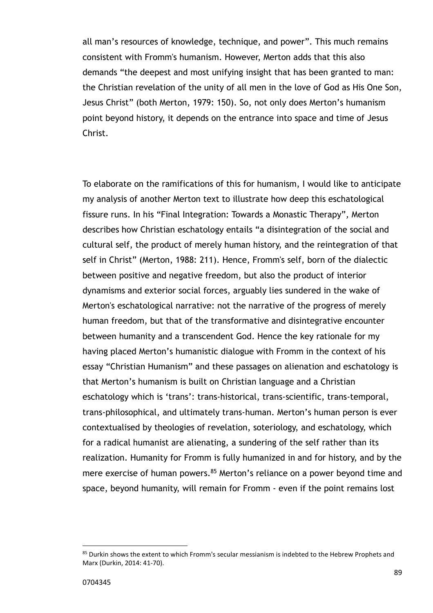all man's resources of knowledge, technique, and power". This much remains consistent with Fromm's humanism. However, Merton adds that this also demands "the deepest and most unifying insight that has been granted to man: the Christian revelation of the unity of all men in the love of God as His One Son, Jesus Christ" (both Merton, 1979: 150). So, not only does Merton's humanism point beyond history, it depends on the entrance into space and time of Jesus Christ.

To elaborate on the ramifications of this for humanism, I would like to anticipate my analysis of another Merton text to illustrate how deep this eschatological fissure runs. In his "Final Integration: Towards a Monastic Therapy"*,* Merton describes how Christian eschatology entails "a disintegration of the social and cultural self, the product of merely human history, and the reintegration of that self in Christ" (Merton, 1988: 211). Hence, Fromm's self, born of the dialectic between positive and negative freedom, but also the product of interior dynamisms and exterior social forces, arguably lies sundered in the wake of Merton's eschatological narrative: not the narrative of the progress of merely human freedom, but that of the transformative and disintegrative encounter between humanity and a transcendent God. Hence the key rationale for my having placed Merton's humanistic dialogue with Fromm in the context of his essay "Christian Humanism" and these passages on alienation and eschatology is that Merton's humanism is built on Christian language and a Christian eschatology which is 'trans': trans-historical, trans-scientific, trans-temporal, trans-philosophical, and ultimately trans-human. Merton's human person is ever contextualised by theologies of revelation, soteriology, and eschatology, which for a radical humanist are alienating, a sundering of the self rather than its realization. Humanity for Fromm is fully humanized in and for history, and by the mere exercise of human powers.<sup>85</sup> Merton's reliance on a power beyond time and space, beyond humanity, will remain for Fromm - even if the point remains lost

 $\overline{a}$ 

<sup>&</sup>lt;sup>85</sup> Durkin shows the extent to which Fromm's secular messianism is indebted to the Hebrew Prophets and Marx (Durkin, 2014: 41-70).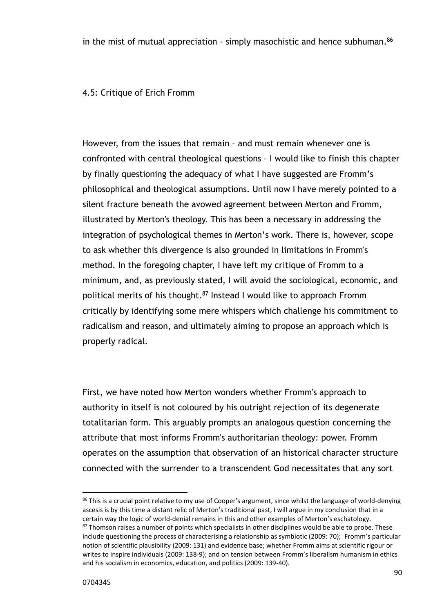## 4.5: Critique of Erich Fromm

However, from the issues that remain – and must remain whenever one is confronted with central theological questions – I would like to finish this chapter by finally questioning the adequacy of what I have suggested are Fromm's philosophical and theological assumptions. Until now I have merely pointed to a silent fracture beneath the avowed agreement between Merton and Fromm, illustrated by Merton's theology. This has been a necessary in addressing the integration of psychological themes in Merton's work. There is, however, scope to ask whether this divergence is also grounded in limitations in Fromm's method. In the foregoing chapter, I have left my critique of Fromm to a minimum, and, as previously stated, I will avoid the sociological, economic, and political merits of his thought.<sup>87</sup> Instead I would like to approach Fromm critically by identifying some mere whispers which challenge his commitment to radicalism and reason, and ultimately aiming to propose an approach which is properly radical.

First, we have noted how Merton wonders whether Fromm's approach to authority in itself is not coloured by his outright rejection of its degenerate totalitarian form. This arguably prompts an analogous question concerning the attribute that most informs Fromm's authoritarian theology: power. Fromm operates on the assumption that observation of an historical character structure connected with the surrender to a transcendent God necessitates that any sort

<sup>&</sup>lt;sup>86</sup> This is a crucial point relative to my use of Cooper's argument, since whilst the language of world-denying ascesis is by this time a distant relic of Merton's traditional past, I will argue in my conclusion that in a certain way the logic of world-denial remains in this and other examples of Merton's eschatology. 87 Thomson raises a number of points which specialists in other disciplines would be able to probe. These include questioning the process of characterising a relationship as symbiotic (2009: 70); Fromm's particular notion of scientific plausibility (2009: 131) and evidence base; whether Fromm aims at scientific rigour or writes to inspire individuals (2009: 138-9); and on tension between Fromm's liberalism humanism in ethics and his socialism in economics, education, and politics (2009: 139-40).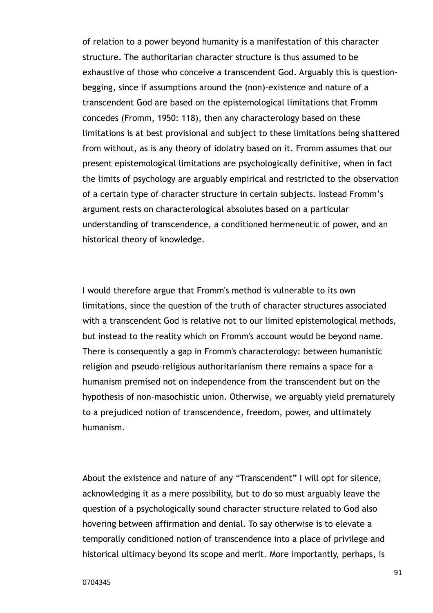of relation to a power beyond humanity is a manifestation of this character structure. The authoritarian character structure is thus assumed to be exhaustive of those who conceive a transcendent God. Arguably this is questionbegging, since if assumptions around the (non)-existence and nature of a transcendent God are based on the epistemological limitations that Fromm concedes (Fromm, 1950: 118), then any characterology based on these limitations is at best provisional and subject to these limitations being shattered from without, as is any theory of idolatry based on it. Fromm assumes that our present epistemological limitations are psychologically definitive, when in fact the limits of psychology are arguably empirical and restricted to the observation of a certain type of character structure in certain subjects. Instead Fromm's argument rests on characterological absolutes based on a particular understanding of transcendence, a conditioned hermeneutic of power, and an historical theory of knowledge.

I would therefore argue that Fromm's method is vulnerable to its own limitations, since the question of the truth of character structures associated with a transcendent God is relative not to our limited epistemological methods, but instead to the reality which on Fromm's account would be beyond name. There is consequently a gap in Fromm's characterology: between humanistic religion and pseudo-religious authoritarianism there remains a space for a humanism premised not on independence from the transcendent but on the hypothesis of non-masochistic union. Otherwise, we arguably yield prematurely to a prejudiced notion of transcendence, freedom, power, and ultimately humanism.

About the existence and nature of any "Transcendent" I will opt for silence, acknowledging it as a mere possibility, but to do so must arguably leave the question of a psychologically sound character structure related to God also hovering between affirmation and denial. To say otherwise is to elevate a temporally conditioned notion of transcendence into a place of privilege and historical ultimacy beyond its scope and merit. More importantly, perhaps, is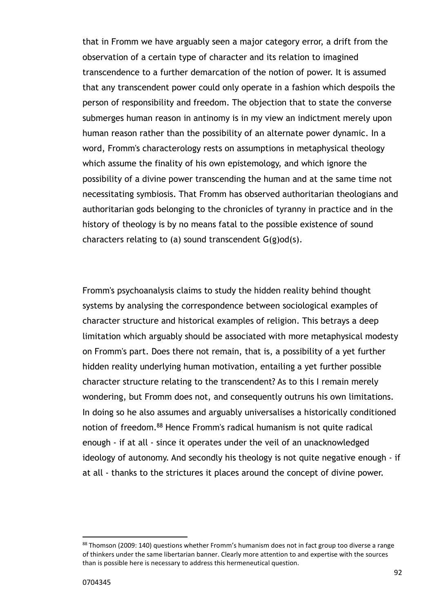that in Fromm we have arguably seen a major category error, a drift from the observation of a certain type of character and its relation to imagined transcendence to a further demarcation of the notion of power. It is assumed that any transcendent power could only operate in a fashion which despoils the person of responsibility and freedom. The objection that to state the converse submerges human reason in antinomy is in my view an indictment merely upon human reason rather than the possibility of an alternate power dynamic. In a word, Fromm's characterology rests on assumptions in metaphysical theology which assume the finality of his own epistemology, and which ignore the possibility of a divine power transcending the human and at the same time not necessitating symbiosis. That Fromm has observed authoritarian theologians and authoritarian gods belonging to the chronicles of tyranny in practice and in the history of theology is by no means fatal to the possible existence of sound characters relating to (a) sound transcendent G(g)od(s).

Fromm's psychoanalysis claims to study the hidden reality behind thought systems by analysing the correspondence between sociological examples of character structure and historical examples of religion. This betrays a deep limitation which arguably should be associated with more metaphysical modesty on Fromm's part. Does there not remain, that is, a possibility of a yet further hidden reality underlying human motivation, entailing a yet further possible character structure relating to the transcendent? As to this I remain merely wondering, but Fromm does not, and consequently outruns his own limitations. In doing so he also assumes and arguably universalises a historically conditioned notion of freedom.<sup>88</sup> Hence Fromm's radical humanism is not quite radical enough - if at all - since it operates under the veil of an unacknowledged ideology of autonomy. And secondly his theology is not quite negative enough - if at all - thanks to the strictures it places around the concept of divine power.

<sup>88</sup> Thomson (2009: 140) questions whether Fromm's humanism does not in fact group too diverse a range of thinkers under the same libertarian banner. Clearly more attention to and expertise with the sources than is possible here is necessary to address this hermeneutical question.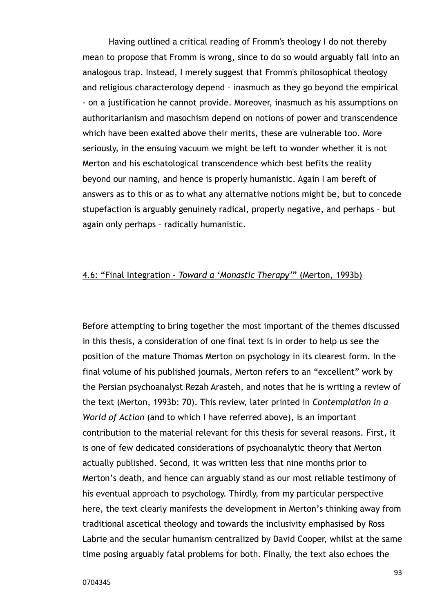Having outlined a critical reading of Fromm's theology I do not thereby mean to propose that Fromm is wrong, since to do so would arguably fall into an analogous trap. Instead, I merely suggest that Fromm's philosophical theology and religious characterology depend – inasmuch as they go beyond the empirical - on a justification he cannot provide. Moreover, inasmuch as his assumptions on authoritarianism and masochism depend on notions of power and transcendence which have been exalted above their merits, these are vulnerable too. More seriously, in the ensuing vacuum we might be left to wonder whether it is not Merton and his eschatological transcendence which best befits the reality beyond our naming, and hence is properly humanistic. Again I am bereft of answers as to this or as to what any alternative notions might be, but to concede stupefaction is arguably genuinely radical, properly negative, and perhaps – but again only perhaps – radically humanistic.

#### 4.6: "Final Integration - *Toward a 'Monastic Therapy'*" (Merton, 1993b)

Before attempting to bring together the most important of the themes discussed in this thesis, a consideration of one final text is in order to help us see the position of the mature Thomas Merton on psychology in its clearest form. In the final volume of his published journals, Merton refers to an "excellent" work by the Persian psychoanalyst Rezah Arasteh, and notes that he is writing a review of the text (Merton, 1993b: 70). This review, later printed in *Contemplation in a World of Action* (and to which I have referred above), is an important contribution to the material relevant for this thesis for several reasons. First, it is one of few dedicated considerations of psychoanalytic theory that Merton actually published. Second, it was written less that nine months prior to Merton's death, and hence can arguably stand as our most reliable testimony of his eventual approach to psychology. Thirdly, from my particular perspective here, the text clearly manifests the development in Merton's thinking away from traditional ascetical theology and towards the inclusivity emphasised by Ross Labrie and the secular humanism centralized by David Cooper, whilst at the same time posing arguably fatal problems for both. Finally, the text also echoes the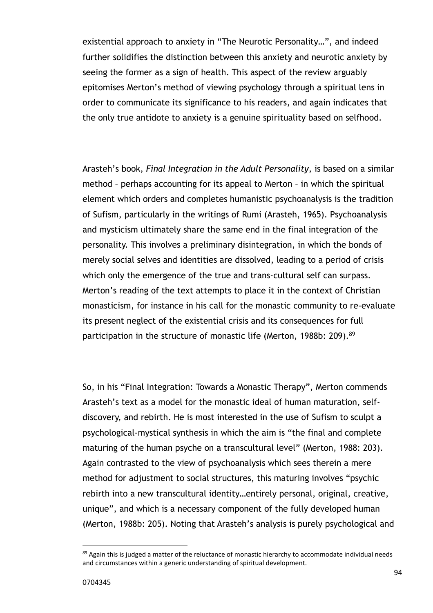existential approach to anxiety in "The Neurotic Personality…", and indeed further solidifies the distinction between this anxiety and neurotic anxiety by seeing the former as a sign of health. This aspect of the review arguably epitomises Merton's method of viewing psychology through a spiritual lens in order to communicate its significance to his readers, and again indicates that the only true antidote to anxiety is a genuine spirituality based on selfhood.

Arasteh's book, *Final Integration in the Adult Personality*, is based on a similar method – perhaps accounting for its appeal to Merton – in which the spiritual element which orders and completes humanistic psychoanalysis is the tradition of Sufism, particularly in the writings of Rumi (Arasteh, 1965). Psychoanalysis and mysticism ultimately share the same end in the final integration of the personality. This involves a preliminary disintegration, in which the bonds of merely social selves and identities are dissolved, leading to a period of crisis which only the emergence of the true and trans-cultural self can surpass. Merton's reading of the text attempts to place it in the context of Christian monasticism, for instance in his call for the monastic community to re-evaluate its present neglect of the existential crisis and its consequences for full participation in the structure of monastic life (Merton, 1988b: 209).<sup>89</sup>

So, in his "Final Integration: Towards a Monastic Therapy", Merton commends Arasteh's text as a model for the monastic ideal of human maturation, selfdiscovery, and rebirth. He is most interested in the use of Sufism to sculpt a psychological-mystical synthesis in which the aim is "the final and complete maturing of the human psyche on a transcultural level" (Merton, 1988: 203). Again contrasted to the view of psychoanalysis which sees therein a mere method for adjustment to social structures, this maturing involves "psychic rebirth into a new transcultural identity…entirely personal, original, creative, unique", and which is a necessary component of the fully developed human (Merton, 1988b: 205). Noting that Arasteh's analysis is purely psychological and

 $\overline{a}$ 

<sup>&</sup>lt;sup>89</sup> Again this is judged a matter of the reluctance of monastic hierarchy to accommodate individual needs and circumstances within a generic understanding of spiritual development.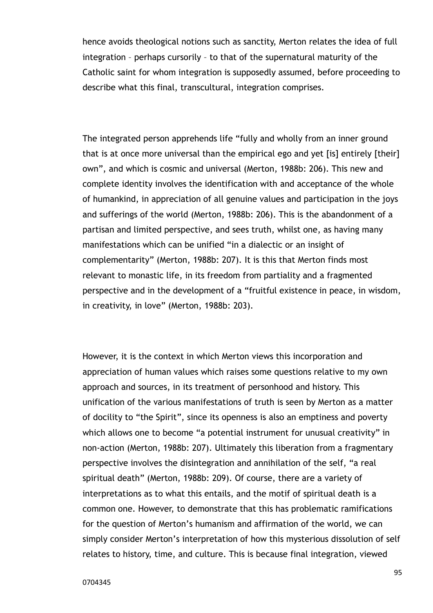hence avoids theological notions such as sanctity, Merton relates the idea of full integration – perhaps cursorily – to that of the supernatural maturity of the Catholic saint for whom integration is supposedly assumed, before proceeding to describe what this final, transcultural, integration comprises.

The integrated person apprehends life "fully and wholly from an inner ground that is at once more universal than the empirical ego and yet [is] entirely [their] own", and which is cosmic and universal (Merton, 1988b: 206). This new and complete identity involves the identification with and acceptance of the whole of humankind, in appreciation of all genuine values and participation in the joys and sufferings of the world (Merton, 1988b: 206). This is the abandonment of a partisan and limited perspective, and sees truth, whilst one, as having many manifestations which can be unified "in a dialectic or an insight of complementarity" (Merton, 1988b: 207). It is this that Merton finds most relevant to monastic life, in its freedom from partiality and a fragmented perspective and in the development of a "fruitful existence in peace, in wisdom, in creativity, in love" (Merton, 1988b: 203).

However, it is the context in which Merton views this incorporation and appreciation of human values which raises some questions relative to my own approach and sources, in its treatment of personhood and history. This unification of the various manifestations of truth is seen by Merton as a matter of docility to "the Spirit", since its openness is also an emptiness and poverty which allows one to become "a potential instrument for unusual creativity" in non-action (Merton, 1988b: 207). Ultimately this liberation from a fragmentary perspective involves the disintegration and annihilation of the self, "a real spiritual death" (Merton, 1988b: 209). Of course, there are a variety of interpretations as to what this entails, and the motif of spiritual death is a common one. However, to demonstrate that this has problematic ramifications for the question of Merton's humanism and affirmation of the world, we can simply consider Merton's interpretation of how this mysterious dissolution of self relates to history, time, and culture. This is because final integration, viewed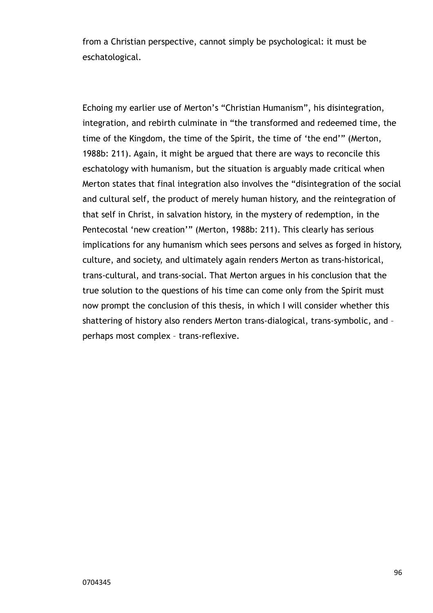from a Christian perspective, cannot simply be psychological: it must be eschatological.

Echoing my earlier use of Merton's "Christian Humanism", his disintegration, integration, and rebirth culminate in "the transformed and redeemed time, the time of the Kingdom, the time of the Spirit, the time of 'the end'" (Merton, 1988b: 211). Again, it might be argued that there are ways to reconcile this eschatology with humanism, but the situation is arguably made critical when Merton states that final integration also involves the "disintegration of the social and cultural self, the product of merely human history, and the reintegration of that self in Christ, in salvation history, in the mystery of redemption, in the Pentecostal 'new creation'" (Merton, 1988b: 211). This clearly has serious implications for any humanism which sees persons and selves as forged in history, culture, and society, and ultimately again renders Merton as trans-historical, trans-cultural, and trans-social. That Merton argues in his conclusion that the true solution to the questions of his time can come only from the Spirit must now prompt the conclusion of this thesis, in which I will consider whether this shattering of history also renders Merton trans-dialogical, trans-symbolic, and – perhaps most complex – trans-reflexive.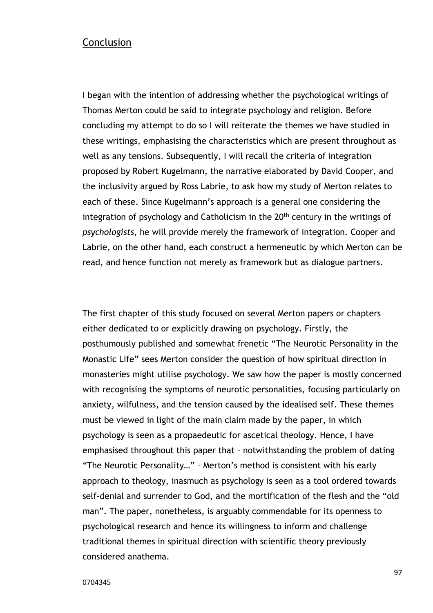### Conclusion

I began with the intention of addressing whether the psychological writings of Thomas Merton could be said to integrate psychology and religion. Before concluding my attempt to do so I will reiterate the themes we have studied in these writings, emphasising the characteristics which are present throughout as well as any tensions. Subsequently, I will recall the criteria of integration proposed by Robert Kugelmann, the narrative elaborated by David Cooper, and the inclusivity argued by Ross Labrie, to ask how my study of Merton relates to each of these. Since Kugelmann's approach is a general one considering the integration of psychology and Catholicism in the  $20<sup>th</sup>$  century in the writings of *psychologists*, he will provide merely the framework of integration. Cooper and Labrie, on the other hand, each construct a hermeneutic by which Merton can be read, and hence function not merely as framework but as dialogue partners.

The first chapter of this study focused on several Merton papers or chapters either dedicated to or explicitly drawing on psychology. Firstly, the posthumously published and somewhat frenetic "The Neurotic Personality in the Monastic Life" sees Merton consider the question of how spiritual direction in monasteries might utilise psychology. We saw how the paper is mostly concerned with recognising the symptoms of neurotic personalities, focusing particularly on anxiety, wilfulness, and the tension caused by the idealised self. These themes must be viewed in light of the main claim made by the paper, in which psychology is seen as a propaedeutic for ascetical theology. Hence, I have emphasised throughout this paper that – notwithstanding the problem of dating "The Neurotic Personality…" – Merton's method is consistent with his early approach to theology, inasmuch as psychology is seen as a tool ordered towards self-denial and surrender to God, and the mortification of the flesh and the "old man". The paper, nonetheless, is arguably commendable for its openness to psychological research and hence its willingness to inform and challenge traditional themes in spiritual direction with scientific theory previously considered anathema.

97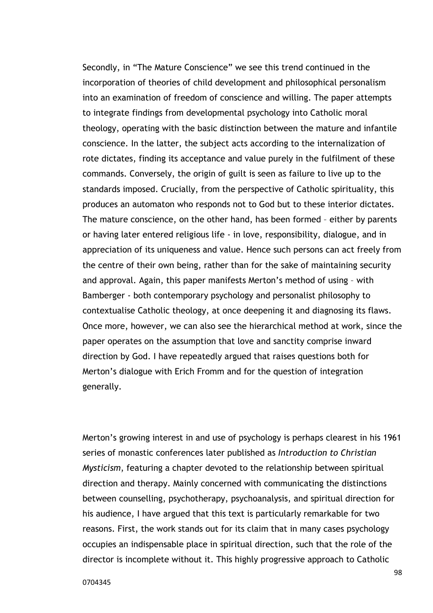Secondly, in "The Mature Conscience" we see this trend continued in the incorporation of theories of child development and philosophical personalism into an examination of freedom of conscience and willing. The paper attempts to integrate findings from developmental psychology into Catholic moral theology, operating with the basic distinction between the mature and infantile conscience. In the latter, the subject acts according to the internalization of rote dictates, finding its acceptance and value purely in the fulfilment of these commands. Conversely, the origin of guilt is seen as failure to live up to the standards imposed. Crucially, from the perspective of Catholic spirituality, this produces an automaton who responds not to God but to these interior dictates. The mature conscience, on the other hand, has been formed – either by parents or having later entered religious life - in love, responsibility, dialogue, and in appreciation of its uniqueness and value. Hence such persons can act freely from the centre of their own being, rather than for the sake of maintaining security and approval. Again, this paper manifests Merton's method of using – with Bamberger - both contemporary psychology and personalist philosophy to contextualise Catholic theology, at once deepening it and diagnosing its flaws. Once more, however, we can also see the hierarchical method at work, since the paper operates on the assumption that love and sanctity comprise inward direction by God. I have repeatedly argued that raises questions both for Merton's dialogue with Erich Fromm and for the question of integration generally.

Merton's growing interest in and use of psychology is perhaps clearest in his 1961 series of monastic conferences later published as *Introduction to Christian Mysticism*, featuring a chapter devoted to the relationship between spiritual direction and therapy. Mainly concerned with communicating the distinctions between counselling, psychotherapy, psychoanalysis, and spiritual direction for his audience, I have argued that this text is particularly remarkable for two reasons. First, the work stands out for its claim that in many cases psychology occupies an indispensable place in spiritual direction, such that the role of the director is incomplete without it. This highly progressive approach to Catholic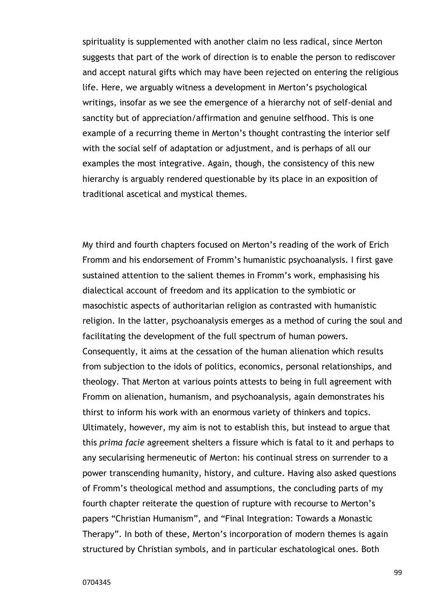spirituality is supplemented with another claim no less radical, since Merton suggests that part of the work of direction is to enable the person to rediscover and accept natural gifts which may have been rejected on entering the religious life. Here, we arguably witness a development in Merton's psychological writings, insofar as we see the emergence of a hierarchy not of self-denial and sanctity but of appreciation/affirmation and genuine selfhood. This is one example of a recurring theme in Merton's thought contrasting the interior self with the social self of adaptation or adjustment, and is perhaps of all our examples the most integrative. Again, though, the consistency of this new hierarchy is arguably rendered questionable by its place in an exposition of traditional ascetical and mystical themes.

My third and fourth chapters focused on Merton's reading of the work of Erich Fromm and his endorsement of Fromm's humanistic psychoanalysis. I first gave sustained attention to the salient themes in Fromm's work, emphasising his dialectical account of freedom and its application to the symbiotic or masochistic aspects of authoritarian religion as contrasted with humanistic religion. In the latter, psychoanalysis emerges as a method of curing the soul and facilitating the development of the full spectrum of human powers. Consequently, it aims at the cessation of the human alienation which results from subjection to the idols of politics, economics, personal relationships, and theology. That Merton at various points attests to being in full agreement with Fromm on alienation, humanism, and psychoanalysis, again demonstrates his thirst to inform his work with an enormous variety of thinkers and topics. Ultimately, however, my aim is not to establish this, but instead to argue that this *prima facie* agreement shelters a fissure which is fatal to it and perhaps to any secularising hermeneutic of Merton: his continual stress on surrender to a power transcending humanity, history, and culture. Having also asked questions of Fromm's theological method and assumptions, the concluding parts of my fourth chapter reiterate the question of rupture with recourse to Merton's papers "Christian Humanism", and "Final Integration: Towards a Monastic Therapy". In both of these, Merton's incorporation of modern themes is again structured by Christian symbols, and in particular eschatological ones. Both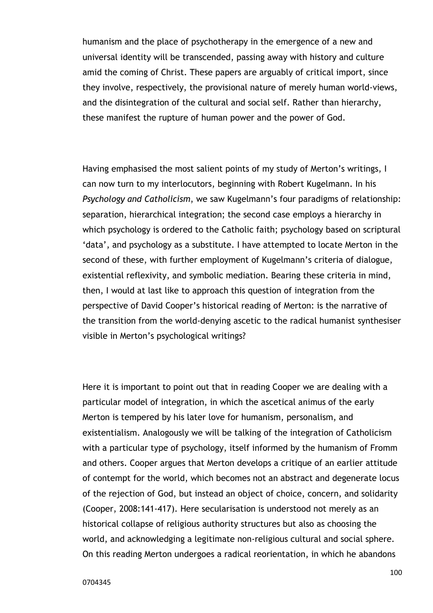humanism and the place of psychotherapy in the emergence of a new and universal identity will be transcended, passing away with history and culture amid the coming of Christ. These papers are arguably of critical import, since they involve, respectively, the provisional nature of merely human world-views, and the disintegration of the cultural and social self. Rather than hierarchy, these manifest the rupture of human power and the power of God.

Having emphasised the most salient points of my study of Merton's writings, I can now turn to my interlocutors, beginning with Robert Kugelmann. In his *Psychology and Catholicism*, we saw Kugelmann's four paradigms of relationship: separation, hierarchical integration; the second case employs a hierarchy in which psychology is ordered to the Catholic faith; psychology based on scriptural 'data', and psychology as a substitute. I have attempted to locate Merton in the second of these, with further employment of Kugelmann's criteria of dialogue, existential reflexivity, and symbolic mediation. Bearing these criteria in mind, then, I would at last like to approach this question of integration from the perspective of David Cooper's historical reading of Merton: is the narrative of the transition from the world-denying ascetic to the radical humanist synthesiser visible in Merton's psychological writings?

Here it is important to point out that in reading Cooper we are dealing with a particular model of integration, in which the ascetical animus of the early Merton is tempered by his later love for humanism, personalism, and existentialism. Analogously we will be talking of the integration of Catholicism with a particular type of psychology, itself informed by the humanism of Fromm and others. Cooper argues that Merton develops a critique of an earlier attitude of contempt for the world, which becomes not an abstract and degenerate locus of the rejection of God, but instead an object of choice, concern, and solidarity (Cooper, 2008:141-417). Here secularisation is understood not merely as an historical collapse of religious authority structures but also as choosing the world, and acknowledging a legitimate non-religious cultural and social sphere. On this reading Merton undergoes a radical reorientation, in which he abandons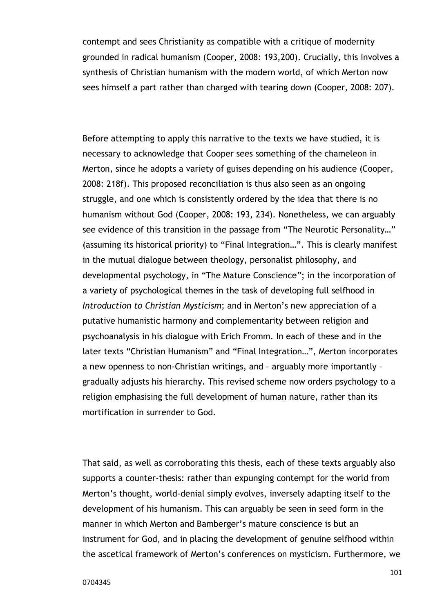contempt and sees Christianity as compatible with a critique of modernity grounded in radical humanism (Cooper, 2008: 193,200). Crucially, this involves a synthesis of Christian humanism with the modern world, of which Merton now sees himself a part rather than charged with tearing down (Cooper, 2008: 207).

Before attempting to apply this narrative to the texts we have studied, it is necessary to acknowledge that Cooper sees something of the chameleon in Merton, since he adopts a variety of guises depending on his audience (Cooper, 2008: 218f). This proposed reconciliation is thus also seen as an ongoing struggle, and one which is consistently ordered by the idea that there is no humanism without God (Cooper, 2008: 193, 234). Nonetheless, we can arguably see evidence of this transition in the passage from "The Neurotic Personality..." (assuming its historical priority) to "Final Integration…". This is clearly manifest in the mutual dialogue between theology, personalist philosophy, and developmental psychology, in "The Mature Conscience"; in the incorporation of a variety of psychological themes in the task of developing full selfhood in *Introduction to Christian Mysticism*; and in Merton's new appreciation of a putative humanistic harmony and complementarity between religion and psychoanalysis in his dialogue with Erich Fromm. In each of these and in the later texts "Christian Humanism" and "Final Integration…", Merton incorporates a new openness to non-Christian writings, and – arguably more importantly – gradually adjusts his hierarchy. This revised scheme now orders psychology to a religion emphasising the full development of human nature, rather than its mortification in surrender to God.

That said, as well as corroborating this thesis, each of these texts arguably also supports a counter-thesis: rather than expunging contempt for the world from Merton's thought, world-denial simply evolves, inversely adapting itself to the development of his humanism. This can arguably be seen in seed form in the manner in which Merton and Bamberger's mature conscience is but an instrument for God, and in placing the development of genuine selfhood within the ascetical framework of Merton's conferences on mysticism. Furthermore, we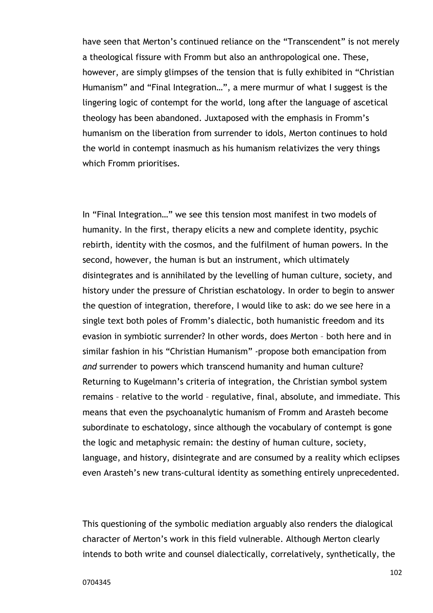have seen that Merton's continued reliance on the "Transcendent" is not merely a theological fissure with Fromm but also an anthropological one. These, however, are simply glimpses of the tension that is fully exhibited in "Christian Humanism" and "Final Integration…", a mere murmur of what I suggest is the lingering logic of contempt for the world, long after the language of ascetical theology has been abandoned. Juxtaposed with the emphasis in Fromm's humanism on the liberation from surrender to idols, Merton continues to hold the world in contempt inasmuch as his humanism relativizes the very things which Fromm prioritises.

In "Final Integration…" we see this tension most manifest in two models of humanity. In the first, therapy elicits a new and complete identity, psychic rebirth, identity with the cosmos, and the fulfilment of human powers. In the second, however, the human is but an instrument, which ultimately disintegrates and is annihilated by the levelling of human culture, society, and history under the pressure of Christian eschatology. In order to begin to answer the question of integration, therefore, I would like to ask: do we see here in a single text both poles of Fromm's dialectic, both humanistic freedom and its evasion in symbiotic surrender? In other words, does Merton – both here and in similar fashion in his "Christian Humanism" -propose both emancipation from *and* surrender to powers which transcend humanity and human culture? Returning to Kugelmann's criteria of integration, the Christian symbol system remains – relative to the world – regulative, final, absolute, and immediate. This means that even the psychoanalytic humanism of Fromm and Arasteh become subordinate to eschatology, since although the vocabulary of contempt is gone the logic and metaphysic remain: the destiny of human culture, society, language, and history, disintegrate and are consumed by a reality which eclipses even Arasteh's new trans-cultural identity as something entirely unprecedented.

This questioning of the symbolic mediation arguably also renders the dialogical character of Merton's work in this field vulnerable. Although Merton clearly intends to both write and counsel dialectically, correlatively, synthetically, the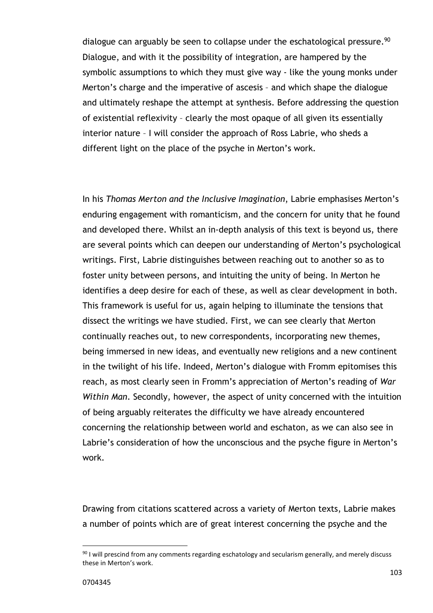dialogue can arguably be seen to collapse under the eschatological pressure.<sup>90</sup> Dialogue, and with it the possibility of integration, are hampered by the symbolic assumptions to which they must give way - like the young monks under Merton's charge and the imperative of ascesis – and which shape the dialogue and ultimately reshape the attempt at synthesis. Before addressing the question of existential reflexivity – clearly the most opaque of all given its essentially interior nature – I will consider the approach of Ross Labrie, who sheds a different light on the place of the psyche in Merton's work.

In his *Thomas Merton and the Inclusive Imagination*, Labrie emphasises Merton's enduring engagement with romanticism, and the concern for unity that he found and developed there. Whilst an in-depth analysis of this text is beyond us, there are several points which can deepen our understanding of Merton's psychological writings. First, Labrie distinguishes between reaching out to another so as to foster unity between persons, and intuiting the unity of being. In Merton he identifies a deep desire for each of these, as well as clear development in both. This framework is useful for us, again helping to illuminate the tensions that dissect the writings we have studied. First, we can see clearly that Merton continually reaches out, to new correspondents, incorporating new themes, being immersed in new ideas, and eventually new religions and a new continent in the twilight of his life. Indeed, Merton's dialogue with Fromm epitomises this reach, as most clearly seen in Fromm's appreciation of Merton's reading of *War Within Man*. Secondly, however, the aspect of unity concerned with the intuition of being arguably reiterates the difficulty we have already encountered concerning the relationship between world and eschaton, as we can also see in Labrie's consideration of how the unconscious and the psyche figure in Merton's work.

Drawing from citations scattered across a variety of Merton texts, Labrie makes a number of points which are of great interest concerning the psyche and the

 $\overline{a}$ 

 $90$  I will prescind from any comments regarding eschatology and secularism generally, and merely discuss these in Merton's work.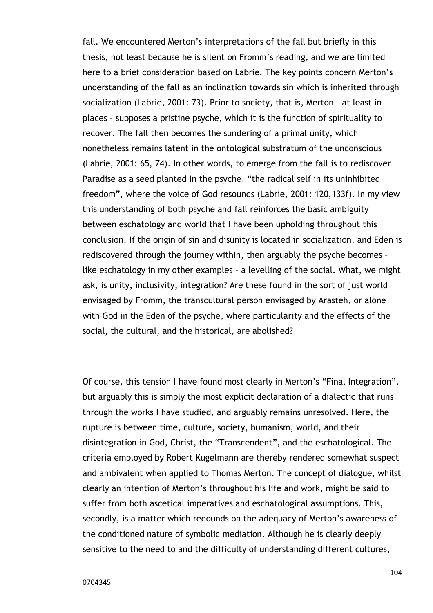fall. We encountered Merton's interpretations of the fall but briefly in this thesis, not least because he is silent on Fromm's reading, and we are limited here to a brief consideration based on Labrie. The key points concern Merton's understanding of the fall as an inclination towards sin which is inherited through socialization (Labrie, 2001: 73). Prior to society, that is, Merton – at least in places – supposes a pristine psyche, which it is the function of spirituality to recover. The fall then becomes the sundering of a primal unity, which nonetheless remains latent in the ontological substratum of the unconscious (Labrie, 2001: 65, 74). In other words, to emerge from the fall is to rediscover Paradise as a seed planted in the psyche, "the radical self in its uninhibited freedom", where the voice of God resounds (Labrie, 2001: 120,133f). In my view this understanding of both psyche and fall reinforces the basic ambiguity between eschatology and world that I have been upholding throughout this conclusion. If the origin of sin and disunity is located in socialization, and Eden is rediscovered through the journey within, then arguably the psyche becomes – like eschatology in my other examples – a levelling of the social. What, we might ask, is unity, inclusivity, integration? Are these found in the sort of just world envisaged by Fromm, the transcultural person envisaged by Arasteh, or alone with God in the Eden of the psyche, where particularity and the effects of the social, the cultural, and the historical, are abolished?

Of course, this tension I have found most clearly in Merton's "Final Integration", but arguably this is simply the most explicit declaration of a dialectic that runs through the works I have studied, and arguably remains unresolved. Here, the rupture is between time, culture, society, humanism, world, and their disintegration in God, Christ, the "Transcendent", and the eschatological. The criteria employed by Robert Kugelmann are thereby rendered somewhat suspect and ambivalent when applied to Thomas Merton. The concept of dialogue, whilst clearly an intention of Merton's throughout his life and work, might be said to suffer from both ascetical imperatives and eschatological assumptions. This, secondly, is a matter which redounds on the adequacy of Merton's awareness of the conditioned nature of symbolic mediation. Although he is clearly deeply sensitive to the need to and the difficulty of understanding different cultures,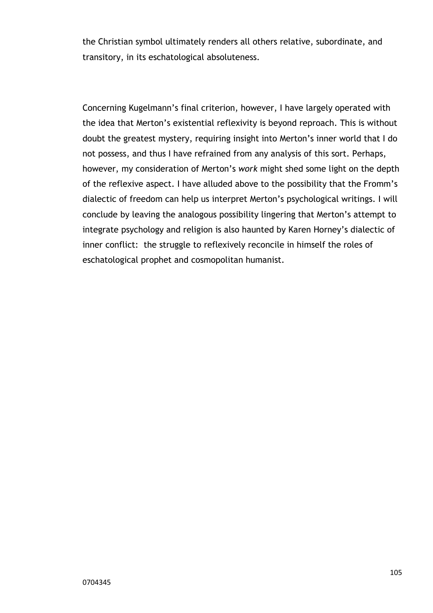the Christian symbol ultimately renders all others relative, subordinate, and transitory, in its eschatological absoluteness.

Concerning Kugelmann's final criterion, however, I have largely operated with the idea that Merton's existential reflexivity is beyond reproach. This is without doubt the greatest mystery, requiring insight into Merton's inner world that I do not possess, and thus I have refrained from any analysis of this sort. Perhaps, however, my consideration of Merton's *work* might shed some light on the depth of the reflexive aspect. I have alluded above to the possibility that the Fromm's dialectic of freedom can help us interpret Merton's psychological writings. I will conclude by leaving the analogous possibility lingering that Merton's attempt to integrate psychology and religion is also haunted by Karen Horney's dialectic of inner conflict: the struggle to reflexively reconcile in himself the roles of eschatological prophet and cosmopolitan humanist.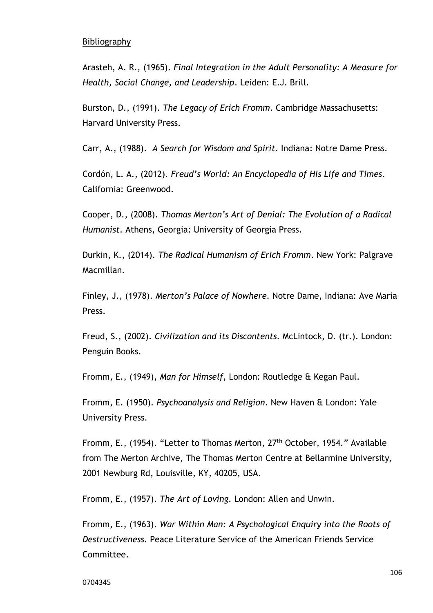#### Bibliography

Arasteh, A. R., (1965). *Final Integration in the Adult Personality: A Measure for Health, Social Change, and Leadership*. Leiden: E.J. Brill.

Burston, D., (1991). *The Legacy of Erich Fromm*. Cambridge Massachusetts: Harvard University Press.

Carr, A., (1988). *A Search for Wisdom and Spirit*. Indiana: Notre Dame Press.

Cordón, L. A., (2012). *Freud's World: An Encyclopedia of His Life and Times*. California: Greenwood.

Cooper, D., (2008). *Thomas Merton's Art of Denial: The Evolution of a Radical Humanist*. Athens, Georgia: University of Georgia Press.

Durkin, K., (2014). *The Radical Humanism of Erich Fromm*. New York: Palgrave Macmillan.

Finley, J., (1978). *Merton's Palace of Nowhere.* Notre Dame, Indiana: Ave Maria Press.

Freud, S., (2002). *Civilization and its Discontents*. McLintock, D. (tr.). London: Penguin Books.

Fromm, E., (1949), *Man for Himself*, London: Routledge & Kegan Paul.

Fromm, E. (1950). *Psychoanalysis and Religion*. New Haven & London: Yale University Press.

Fromm, E., (1954). "Letter to Thomas Merton, 27<sup>th</sup> October, 1954." Available from The Merton Archive, The Thomas Merton Centre at Bellarmine University, 2001 Newburg Rd, Louisville, KY, 40205, USA.

Fromm, E., (1957). *The Art of Loving*. London: Allen and Unwin.

Fromm, E., (1963). *War Within Man: A Psychological Enquiry into the Roots of Destructiveness*. Peace Literature Service of the American Friends Service Committee.

0704345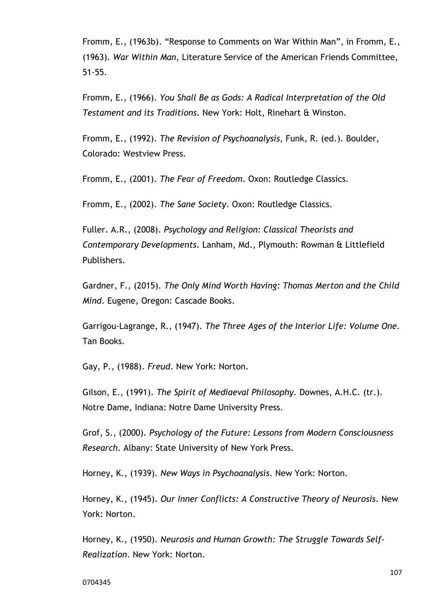Fromm, E., (1963b). "Response to Comments on War Within Man", in Fromm, E., (1963). *War Within Man*, Literature Service of the American Friends Committee, 51-55.

Fromm, E., (1966). *You Shall Be as Gods: A Radical Interpretation of the Old Testament and its Traditions*. New York: Holt, Rinehart & Winston.

Fromm, E., (1992). *The Revision of Psychoanalysis*, Funk, R. (ed.). Boulder, Colorado: Westview Press.

Fromm, E., (2001). *The Fear of Freedom*. Oxon: Routledge Classics.

Fromm, E., (2002). *The Sane Society*. Oxon: Routledge Classics.

Fuller. A.R., (2008). *Psychology and Religion: Classical Theorists and Contemporary Developments*. Lanham, Md., Plymouth: Rowman & Littlefield Publishers.

Gardner, F., (2015). *The Only Mind Worth Having: Thomas Merton and the Child Mind*. Eugene, Oregon: Cascade Books.

Garrigou-Lagrange, R., (1947). *The Three Ages of the Interior Life: Volume One*. Tan Books.

Gay, P., (1988). *Freud*. New York: Norton.

Gilson, E., (1991). *The Spirit of Mediaeval Philosophy.* Downes, A.H.C. (tr.). Notre Dame, Indiana: Notre Dame University Press.

Grof, S., (2000). *Psychology of the Future: Lessons from Modern Consciousness Research*. Albany: State University of New York Press.

Horney, K., (1939). *New Ways in Psychoanalysis*. New York: Norton.

Horney, K., (1945). *Our Inner Conflicts: A Constructive Theory of Neurosis*. New York: Norton.

Horney, K., (1950). *Neurosis and Human Growth: The Struggle Towards Self-Realization*. New York: Norton.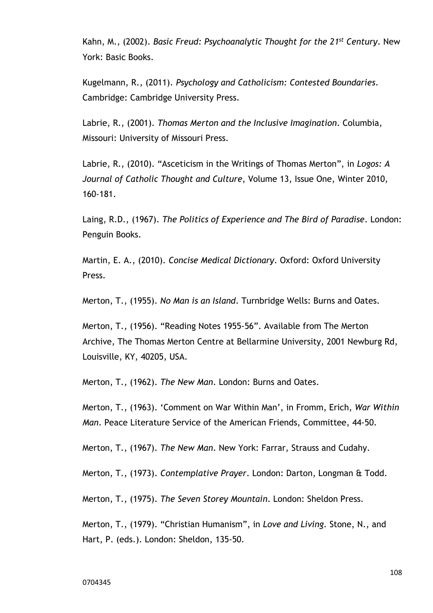Kahn, M., (2002). *Basic Freud: Psychoanalytic Thought for the 21st Century*. New York: Basic Books.

Kugelmann, R., (2011). *Psychology and Catholicism: Contested Boundaries*. Cambridge: Cambridge University Press.

Labrie, R., (2001). *Thomas Merton and the Inclusive Imagination*. Columbia, Missouri: University of Missouri Press.

Labrie, R., (2010). "Asceticism in the Writings of Thomas Merton", in *Logos: A Journal of Catholic Thought and Culture*, Volume 13, Issue One, Winter 2010, 160-181.

Laing, R.D., (1967). *The Politics of Experience and The Bird of Paradise*. London: Penguin Books.

Martin, E. A., (2010). *Concise Medical Dictionary*. Oxford: Oxford University Press.

Merton, T., (1955). *No Man is an Island*. Turnbridge Wells: Burns and Oates.

Merton, T., (1956). "Reading Notes 1955-56". Available from The Merton Archive, The Thomas Merton Centre at Bellarmine University, 2001 Newburg Rd, Louisville, KY, 40205, USA.

Merton, T., (1962). *The New Man*. London: Burns and Oates.

Merton, T., (1963). 'Comment on War Within Man', in Fromm, Erich, *War Within Man*. Peace Literature Service of the American Friends, Committee, 44-50.

Merton, T., (1967). *The New Man*. New York: Farrar, Strauss and Cudahy.

Merton, T., (1973). *Contemplative Prayer*. London: Darton, Longman & Todd.

Merton, T., (1975). *The Seven Storey Mountain*. London: Sheldon Press.

Merton, T., (1979). "Christian Humanism", in *Love and Living*. Stone, N., and Hart, P. (eds.). London: Sheldon, 135-50.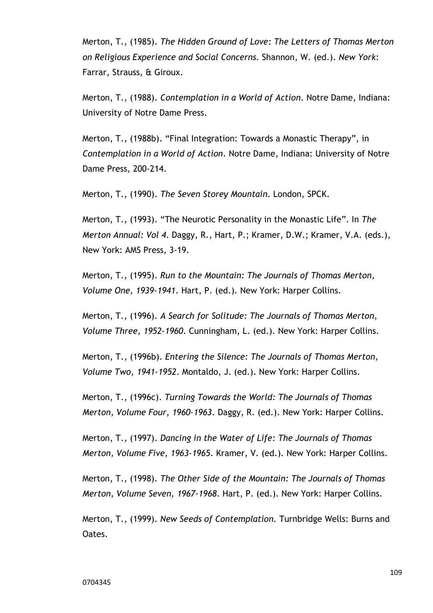Merton, T., (1985). *The Hidden Ground of Love: The Letters of Thomas Merton on Religious Experience and Social Concerns.* Shannon, W. (ed.). *New York*: Farrar, Strauss, & Giroux.

Merton, T., (1988). *Contemplation in a World of Action*. Notre Dame, Indiana: University of Notre Dame Press.

Merton, T., (1988b). "Final Integration: Towards a Monastic Therapy", in *Contemplation in a World of Action*. Notre Dame, Indiana: University of Notre Dame Press, 200-214.

Merton, T., (1990). *The Seven Storey Mountain*. London, SPCK.

Merton, T., (1993). "The Neurotic Personality in the Monastic Life". In *The Merton Annual: Vol 4*. Daggy, R., Hart, P.; Kramer, D.W.; Kramer, V.A. (eds.), New York: AMS Press, 3-19.

Merton, T., (1995). *Run to the Mountain: The Journals of Thomas Merton, Volume One, 1939-1941*. Hart, P. (ed.). New York: Harper Collins.

Merton, T., (1996). *A Search for Solitude: The Journals of Thomas Merton*, *Volume Three, 1952-1960*. Cunningham, L. (ed.). New York: Harper Collins.

Merton, T., (1996b). *Entering the Silence: The Journals of Thomas Merton, Volume Two, 1941-1952*. Montaldo, J. (ed.). New York: Harper Collins.

Merton, T., (1996c). *Turning Towards the World: The Journals of Thomas Merton, Volume Four*, *1960-1963*. Daggy, R. (ed.). New York: Harper Collins.

Merton, T., (1997). *Dancing in the Water of Life: The Journals of Thomas Merton, Volume Five, 1963-1965*. Kramer, V. (ed.). New York: Harper Collins.

Merton, T., (1998). *The Other Side of the Mountain: The Journals of Thomas Merton, Volume Seven, 1967-1968*. Hart, P. (ed.). New York: Harper Collins.

Merton, T., (1999). *New Seeds of Contemplation.* Turnbridge Wells: Burns and Oates.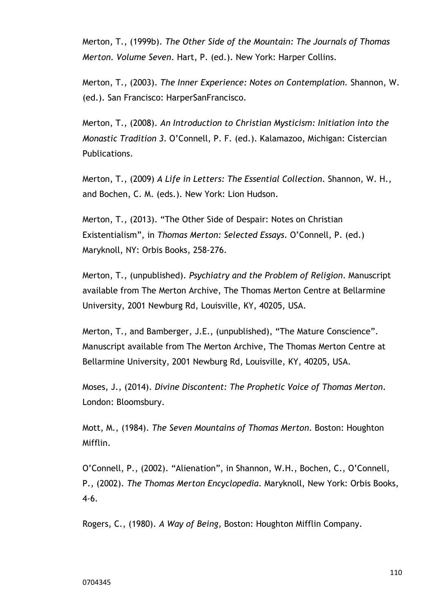Merton, T., (1999b). *The Other Side of the Mountain: The Journals of Thomas Merton. Volume Seven*. Hart, P. (ed.). New York: Harper Collins.

Merton, T., (2003). *The Inner Experience: Notes on Contemplation.* Shannon, W. (ed.). San Francisco: HarperSanFrancisco.

Merton, T., (2008). *An Introduction to Christian Mysticism: Initiation into the Monastic Tradition 3*. O'Connell, P. F. (ed.). Kalamazoo, Michigan: Cistercian Publications.

Merton, T., (2009) *A Life in Letters: The Essential Collection*. Shannon, W. H., and Bochen, C. M. (eds.). New York: Lion Hudson.

Merton, T., (2013). "The Other Side of Despair: Notes on Christian Existentialism", in *Thomas Merton: Selected Essays*. O'Connell, P. (ed.) Maryknoll, NY: Orbis Books, 258-276.

Merton, T., (unpublished). *Psychiatry and the Problem of Religion*. Manuscript available from The Merton Archive, The Thomas Merton Centre at Bellarmine University, 2001 Newburg Rd, Louisville, KY, 40205, USA.

Merton, T., and Bamberger, J.E., (unpublished), "The Mature Conscience". Manuscript available from The Merton Archive, The Thomas Merton Centre at Bellarmine University, 2001 Newburg Rd, Louisville, KY, 40205, USA.

Moses, J., (2014). *Divine Discontent: The Prophetic Voice of Thomas Merton*. London: Bloomsbury.

Mott, M., (1984). *The Seven Mountains of Thomas Merton*. Boston: Houghton Mifflin.

O'Connell, P., (2002). "Alienation", in Shannon, W.H., Bochen, C., O'Connell, P., (2002). *The Thomas Merton Encyclopedia*. Maryknoll, New York: Orbis Books, 4-6.

Rogers, C., (1980). *A Way of Being*, Boston: Houghton Mifflin Company.